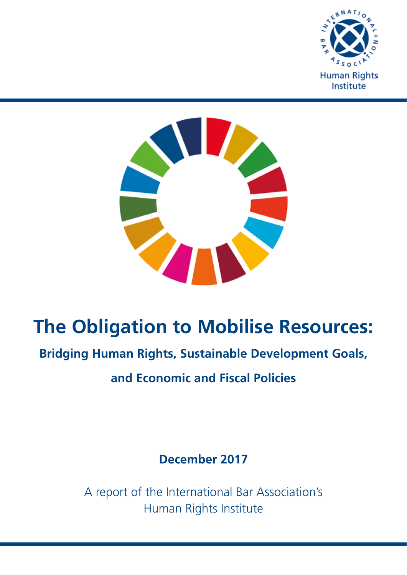



# **The Obligation to Mobilise Resources:**

## **Bridging Human Rights, Sustainable Development Goals,**

**and Economic and Fiscal Policies**

**December 2017**

A report of the International Bar Association's Human Rights Institute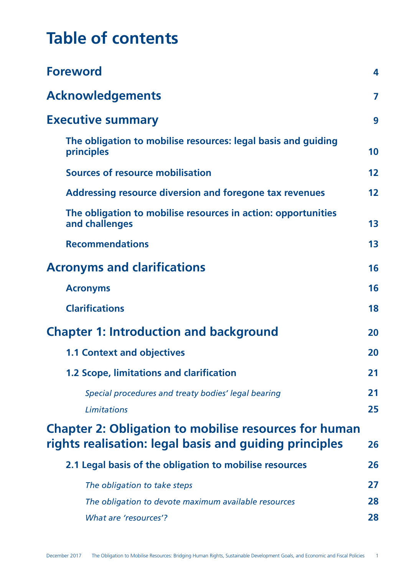# **Table of contents**

| <b>Foreword</b>                                                                                                        | 4  |
|------------------------------------------------------------------------------------------------------------------------|----|
| <b>Acknowledgements</b>                                                                                                | 7  |
| <b>Executive summary</b>                                                                                               |    |
| The obligation to mobilise resources: legal basis and guiding<br>principles                                            | 10 |
| <b>Sources of resource mobilisation</b>                                                                                | 12 |
| Addressing resource diversion and foregone tax revenues                                                                | 12 |
| The obligation to mobilise resources in action: opportunities<br>and challenges                                        | 13 |
| <b>Recommendations</b>                                                                                                 | 13 |
| <b>Acronyms and clarifications</b>                                                                                     |    |
| <b>Acronyms</b>                                                                                                        | 16 |
| <b>Clarifications</b>                                                                                                  | 18 |
| <b>Chapter 1: Introduction and background</b>                                                                          |    |
| <b>1.1 Context and objectives</b>                                                                                      | 20 |
| 1.2 Scope, limitations and clarification                                                                               | 21 |
| Special procedures and treaty bodies' legal bearing                                                                    | 21 |
| Limitations                                                                                                            | 25 |
| <b>Chapter 2: Obligation to mobilise resources for human</b><br>rights realisation: legal basis and guiding principles | 26 |
| 2.1 Legal basis of the obligation to mobilise resources                                                                | 26 |
| The obligation to take steps                                                                                           | 27 |
| The obligation to devote maximum available resources                                                                   | 28 |
| <b>What are 'resources'?</b>                                                                                           | 28 |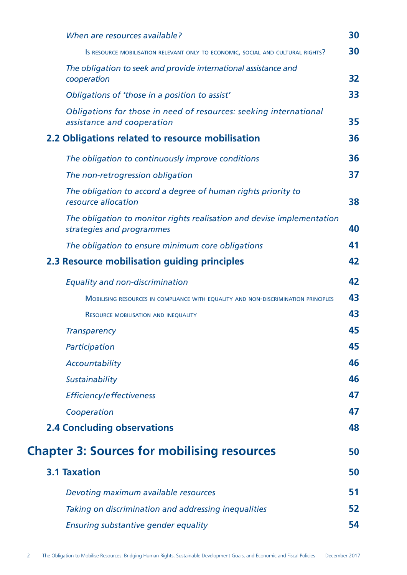| When are resources available?                                                                       | 30 |
|-----------------------------------------------------------------------------------------------------|----|
| Is RESOURCE MOBILISATION RELEVANT ONLY TO ECONOMIC, SOCIAL AND CULTURAL RIGHTS?                     | 30 |
| The obligation to seek and provide international assistance and<br>cooperation                      | 32 |
| Obligations of 'those in a position to assist'                                                      | 33 |
| Obligations for those in need of resources: seeking international<br>assistance and cooperation     | 35 |
| 2.2 Obligations related to resource mobilisation                                                    | 36 |
| The obligation to continuously improve conditions                                                   | 36 |
| The non-retrogression obligation                                                                    | 37 |
| The obligation to accord a degree of human rights priority to<br>resource allocation                | 38 |
| The obligation to monitor rights realisation and devise implementation<br>strategies and programmes | 40 |
| The obligation to ensure minimum core obligations                                                   | 41 |
| 2.3 Resource mobilisation guiding principles                                                        | 42 |
| <b>Equality and non-discrimination</b>                                                              | 42 |
| MOBILISING RESOURCES IN COMPLIANCE WITH EQUALITY AND NON-DISCRIMINATION PRINCIPLES                  | 43 |
| <b>RESOURCE MOBILISATION AND INEQUALITY</b>                                                         | 43 |
| <b>Transparency</b>                                                                                 | 45 |
| Participation                                                                                       | 45 |
| Accountability                                                                                      | 46 |
| Sustainability                                                                                      | 46 |
| Efficiency/effectiveness                                                                            | 47 |
| Cooperation                                                                                         | 47 |
| <b>2.4 Concluding observations</b>                                                                  | 48 |
| <b>Chapter 3: Sources for mobilising resources</b>                                                  | 50 |
| <b>3.1 Taxation</b>                                                                                 | 50 |
| Devoting maximum available resources                                                                | 51 |
| Taking on discrimination and addressing inequalities                                                | 52 |
| <b>Ensuring substantive gender equality</b>                                                         | 54 |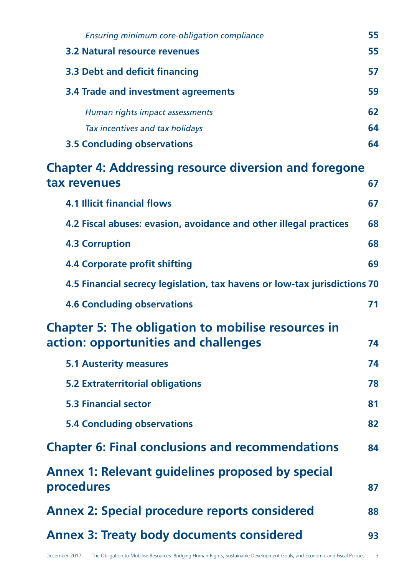| Ensuring minimum core-obligation compliance                                                             | 55 |
|---------------------------------------------------------------------------------------------------------|----|
| <b>3.2 Natural resource revenues</b>                                                                    | 55 |
| 3.3 Debt and deficit financing                                                                          | 57 |
| 3.4 Trade and investment agreements                                                                     | 59 |
| Human rights impact assessments                                                                         | 62 |
| Tax incentives and tax holidays                                                                         | 64 |
| <b>3.5 Concluding observations</b>                                                                      | 64 |
| <b>Chapter 4: Addressing resource diversion and foregone</b><br>tax revenues                            | 67 |
| <b>4.1 Illicit financial flows</b>                                                                      | 67 |
| 4.2 Fiscal abuses: evasion, avoidance and other illegal practices                                       | 68 |
| <b>4.3 Corruption</b>                                                                                   | 68 |
| <b>4.4 Corporate profit shifting</b>                                                                    | 69 |
| 4.5 Financial secrecy legislation, tax havens or low-tax jurisdictions 70                               |    |
| <b>4.6 Concluding observations</b>                                                                      | 71 |
| <b>Chapter 5: The obligation to mobilise resources in</b><br>action: opportunities and challenges<br>74 |    |
| <b>5.1 Austerity measures</b>                                                                           | 74 |
| <b>5.2 Extraterritorial obligations</b>                                                                 | 78 |
| <b>5.3 Financial sector</b>                                                                             | 81 |
| <b>5.4 Concluding observations</b>                                                                      | 82 |
| <b>Chapter 6: Final conclusions and recommendations</b>                                                 | 84 |
| <b>Annex 1: Relevant guidelines proposed by special</b><br>procedures                                   | 87 |
| <b>Annex 2: Special procedure reports considered</b>                                                    | 88 |
| <b>Annex 3: Treaty body documents considered</b>                                                        | 93 |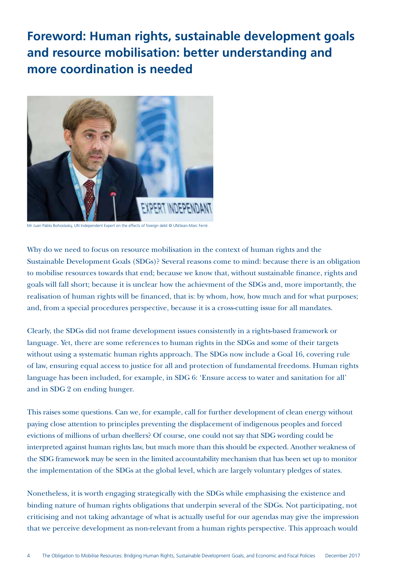## **Foreword: Human rights, sustainable development goals and resource mobilisation: better understanding and more coordination is needed**



Mr Juan Pablo Bohoslasky, UN Independent Expert on the effects of foreign debt © UN/Jean-Marc Ferré.

Why do we need to focus on resource mobilisation in the context of human rights and the Sustainable Development Goals (SDGs)? Several reasons come to mind: because there is an obligation to mobilise resources towards that end; because we know that, without sustainable finance, rights and goals will fall short; because it is unclear how the achievment of the SDGs and, more importantly, the realisation of human rights will be financed, that is: by whom, how, how much and for what purposes; and, from a special procedures perspective, because it is a cross-cutting issue for all mandates.

Clearly, the SDGs did not frame development issues consistently in a rights-based framework or language. Yet, there are some references to human rights in the SDGs and some of their targets without using a systematic human rights approach. The SDGs now include a Goal 16, covering rule of law, ensuring equal access to justice for all and protection of fundamental freedoms. Human rights language has been included, for example, in SDG 6: 'Ensure access to water and sanitation for all' and in SDG 2 on ending hunger.

This raises some questions. Can we, for example, call for further development of clean energy without paying close attention to principles preventing the displacement of indigenous peoples and forced evictions of millions of urban dwellers? Of course, one could not say that SDG wording could be interpreted against human rights law, but much more than this should be expected. Another weakness of the SDG framework may be seen in the limited accountability mechanism that has been set up to monitor the implementation of the SDGs at the global level, which are largely voluntary pledges of states.

Nonetheless, it is worth engaging strategically with the SDGs while emphasising the existence and binding nature of human rights obligations that underpin several of the SDGs. Not participating, not criticising and not taking advantage of what is actually useful for our agendas may give the impression that we perceive development as non-relevant from a human rights perspective. This approach would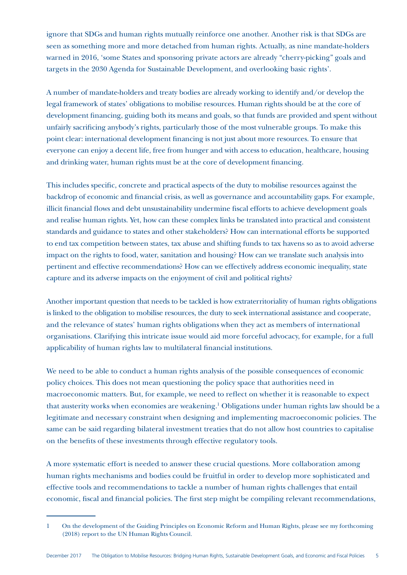ignore that SDGs and human rights mutually reinforce one another. Another risk is that SDGs are seen as something more and more detached from human rights. Actually, as nine mandate-holders warned in 2016, 'some States and sponsoring private actors are already "cherry-picking" goals and targets in the 2030 Agenda for Sustainable Development, and overlooking basic rights'.

A number of mandate-holders and treaty bodies are already working to identify and/or develop the legal framework of states' obligations to mobilise resources. Human rights should be at the core of development financing, guiding both its means and goals, so that funds are provided and spent without unfairly sacrificing anybody's rights, particularly those of the most vulnerable groups. To make this point clear: international development financing is not just about more resources. To ensure that everyone can enjoy a decent life, free from hunger and with access to education, healthcare, housing and drinking water, human rights must be at the core of development financing.

This includes specific, concrete and practical aspects of the duty to mobilise resources against the backdrop of economic and financial crisis, as well as governance and accountability gaps. For example, illicit financial flows and debt unsustainability undermine fiscal efforts to achieve development goals and realise human rights. Yet, how can these complex links be translated into practical and consistent standards and guidance to states and other stakeholders? How can international efforts be supported to end tax competition between states, tax abuse and shifting funds to tax havens so as to avoid adverse impact on the rights to food, water, sanitation and housing? How can we translate such analysis into pertinent and effective recommendations? How can we effectively address economic inequality, state capture and its adverse impacts on the enjoyment of civil and political rights?

Another important question that needs to be tackled is how extraterritoriality of human rights obligations is linked to the obligation to mobilise resources, the duty to seek international assistance and cooperate, and the relevance of states' human rights obligations when they act as members of international organisations. Clarifying this intricate issue would aid more forceful advocacy, for example, for a full applicability of human rights law to multilateral financial institutions.

We need to be able to conduct a human rights analysis of the possible consequences of economic policy choices. This does not mean questioning the policy space that authorities need in macroeconomic matters. But, for example, we need to reflect on whether it is reasonable to expect that austerity works when economies are weakening.<sup>1</sup> Obligations under human rights law should be a legitimate and necessary constraint when designing and implementing macroeconomic policies. The same can be said regarding bilateral investment treaties that do not allow host countries to capitalise on the benefits of these investments through effective regulatory tools.

A more systematic effort is needed to answer these crucial questions. More collaboration among human rights mechanisms and bodies could be fruitful in order to develop more sophisticated and effective tools and recommendations to tackle a number of human rights challenges that entail economic, fiscal and financial policies. The first step might be compiling relevant recommendations,

<sup>1</sup> On the development of the Guiding Principles on Economic Reform and Human Rights, please see my forthcoming (2018) report to the UN Human Rights Council.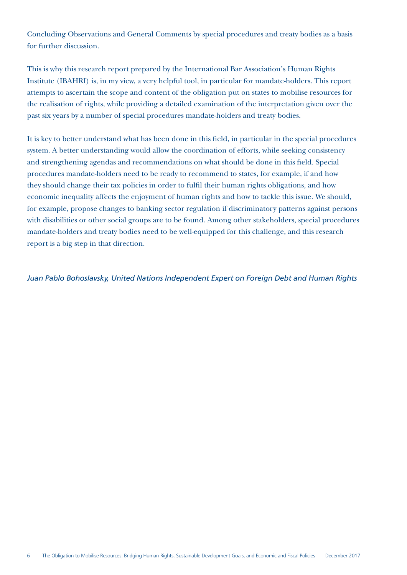Concluding Observations and General Comments by special procedures and treaty bodies as a basis for further discussion.

This is why this research report prepared by the International Bar Association's Human Rights Institute (IBAHRI) is, in my view, a very helpful tool, in particular for mandate-holders. This report attempts to ascertain the scope and content of the obligation put on states to mobilise resources for the realisation of rights, while providing a detailed examination of the interpretation given over the past six years by a number of special procedures mandate-holders and treaty bodies.

It is key to better understand what has been done in this field, in particular in the special procedures system. A better understanding would allow the coordination of efforts, while seeking consistency and strengthening agendas and recommendations on what should be done in this field. Special procedures mandate-holders need to be ready to recommend to states, for example, if and how they should change their tax policies in order to fulfil their human rights obligations, and how economic inequality affects the enjoyment of human rights and how to tackle this issue. We should, for example, propose changes to banking sector regulation if discriminatory patterns against persons with disabilities or other social groups are to be found. Among other stakeholders, special procedures mandate-holders and treaty bodies need to be well-equipped for this challenge, and this research report is a big step in that direction.

*Juan Pablo Bohoslavsky, United Nations Independent Expert on Foreign Debt and Human Rights*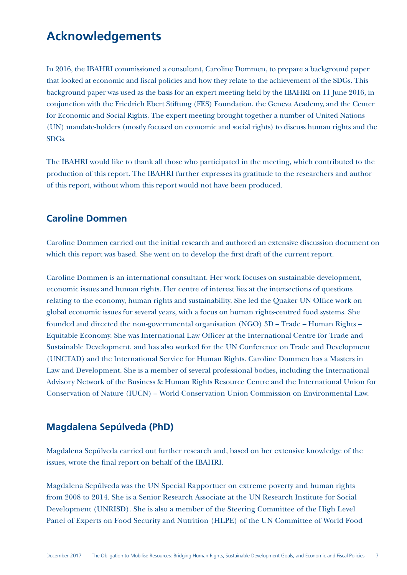## **Acknowledgements**

In 2016, the IBAHRI commissioned a consultant, Caroline Dommen, to prepare a background paper that looked at economic and fiscal policies and how they relate to the achievement of the SDGs. This background paper was used as the basis for an expert meeting held by the IBAHRI on 11 June 2016, in conjunction with the Friedrich Ebert Stiftung (FES) Foundation, the Geneva Academy, and the Center for Economic and Social Rights. The expert meeting brought together a number of United Nations (UN) mandate-holders (mostly focused on economic and social rights) to discuss human rights and the SDGs.

The IBAHRI would like to thank all those who participated in the meeting, which contributed to the production of this report. The IBAHRI further expresses its gratitude to the researchers and author of this report, without whom this report would not have been produced.

### **Caroline Dommen**

Caroline Dommen carried out the initial research and authored an extensive discussion document on which this report was based. She went on to develop the first draft of the current report.

Caroline Dommen is an international consultant. Her work focuses on sustainable development, economic issues and human rights. Her centre of interest lies at the intersections of questions relating to the economy, human rights and sustainability. She led the Quaker UN Office work on global economic issues for several years, with a focus on human rights-centred food systems. She founded and directed the non-governmental organisation (NGO) 3D – Trade – Human Rights – Equitable Economy. She was International Law Officer at the International Centre for Trade and Sustainable Development, and has also worked for the UN Conference on Trade and Development (UNCTAD) and the International Service for Human Rights. Caroline Dommen has a Masters in Law and Development. She is a member of several professional bodies, including the International Advisory Network of the Business & Human Rights Resource Centre and the International Union for Conservation of Nature (IUCN) – World Conservation Union Commission on Environmental Law.

### **Magdalena Sepúlveda (PhD)**

Magdalena Sepúlveda carried out further research and, based on her extensive knowledge of the issues, wrote the final report on behalf of the IBAHRI.

Magdalena Sepúlveda was the UN Special Rapportuer on extreme poverty and human rights from 2008 to 2014. She is a Senior Research Associate at the UN Research Institute for Social Development (UNRISD). She is also a member of the Steering Committee of the High Level Panel of Experts on Food Security and Nutrition (HLPE) of the UN Committee of World Food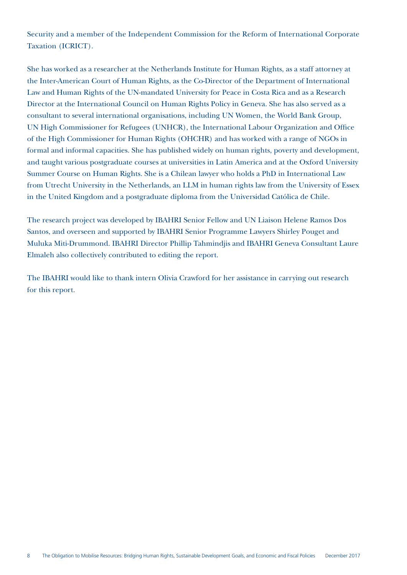Security and a member of the Independent Commission for the Reform of International Corporate Taxation (ICRICT).

She has worked as a researcher at the Netherlands Institute for Human Rights, as a staff attorney at the Inter-American Court of Human Rights, as the Co-Director of the Department of International Law and Human Rights of the UN-mandated University for Peace in Costa Rica and as a Research Director at the International Council on Human Rights Policy in Geneva. She has also served as a consultant to several international organisations, including UN Women, the World Bank Group, UN High Commissioner for Refugees (UNHCR), the International Labour Organization and Office of the High Commissioner for Human Rights (OHCHR) and has worked with a range of NGOs in formal and informal capacities. She has published widely on human rights, poverty and development, and taught various postgraduate courses at universities in Latin America and at the Oxford University Summer Course on Human Rights. She is a Chilean lawyer who holds a PhD in International Law from Utrecht University in the Netherlands, an LLM in human rights law from the University of Essex in the United Kingdom and a postgraduate diploma from the Universidad Católica de Chile.

The research project was developed by IBAHRI Senior Fellow and UN Liaison Helene Ramos Dos Santos, and overseen and supported by IBAHRI Senior Programme Lawyers Shirley Pouget and Muluka Miti-Drummond. IBAHRI Director Phillip Tahmindjis and IBAHRI Geneva Consultant Laure Elmaleh also collectively contributed to editing the report.

The IBAHRI would like to thank intern Olivia Crawford for her assistance in carrying out research for this report.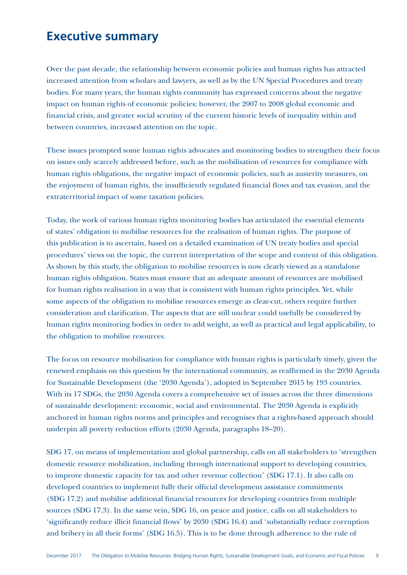## **Executive summary**

Over the past decade, the relationship between economic policies and human rights has attracted increased attention from scholars and lawyers, as well as by the UN Special Procedures and treaty bodies. For many years, the human rights community has expressed concerns about the negative impact on human rights of economic policies; however, the 2007 to 2008 global economic and financial crisis, and greater social scrutiny of the current historic levels of inequality within and between countries, increased attention on the topic.

These issues prompted some human rights advocates and monitoring bodies to strengthen their focus on issues only scarcely addressed before, such as the mobilisation of resources for compliance with human rights obligations, the negative impact of economic policies, such as austerity measures, on the enjoyment of human rights, the insufficiently regulated financial flows and tax evasion, and the extraterritorial impact of some taxation policies.

Today, the work of various human rights monitoring bodies has articulated the essential elements of states' obligation to mobilise resources for the realisation of human rights. The purpose of this publication is to ascertain, based on a detailed examination of UN treaty bodies and special procedures' views on the topic, the current interpretation of the scope and content of this obligation. As shown by this study, the obligation to mobilise resources is now clearly viewed as a standalone human rights obligation. States must ensure that an adequate amount of resources are mobilised for human rights realisation in a way that is consistent with human rights principles. Yet, while some aspects of the obligation to mobilise resources emerge as clear-cut, others require further consideration and clarification. The aspects that are still unclear could usefully be considered by human rights monitoring bodies in order to add weight, as well as practical and legal applicability, to the obligation to mobilise resources.

The focus on resource mobilisation for compliance with human rights is particularly timely, given the renewed emphasis on this question by the international community, as reaffirmed in the 2030 Agenda for Sustainable Development (the '2030 Agenda'), adopted in September 2015 by 193 countries. With its 17 SDGs, the 2030 Agenda covers a comprehensive set of issues across the three dimensions of sustainable development: economic, social and environmental. The 2030 Agenda is explicitly anchored in human rights norms and principles and recognises that a rights-based approach should underpin all poverty reduction efforts (2030 Agenda, paragraphs 18–20).

SDG 17, on means of implementation and global partnership, calls on all stakeholders to 'strengthen domestic resource mobilization, including through international support to developing countries, to improve domestic capacity for tax and other revenue collection' (SDG 17.1). It also calls on developed countries to implement fully their official development assistance commitments (SDG 17.2) and mobilise additional financial resources for developing countries from multiple sources (SDG 17.3). In the same vein, SDG 16, on peace and justice, calls on all stakeholders to 'significantly reduce illicit financial flows' by 2030 (SDG 16.4) and 'substantially reduce corruption and bribery in all their forms' (SDG 16.5). This is to be done through adherence to the rule of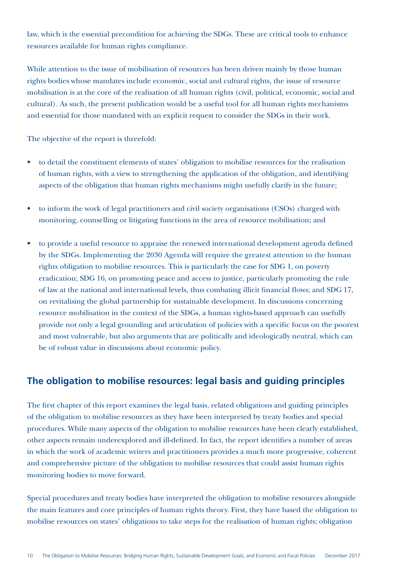law, which is the essential precondition for achieving the SDGs. These are critical tools to enhance resources available for human rights compliance.

While attention to the issue of mobilisation of resources has been driven mainly by those human rights bodies whose mandates include economic, social and cultural rights, the issue of resource mobilisation is at the core of the realisation of all human rights (civil, political, economic, social and cultural). As such, the present publication would be a useful tool for all human rights mechanisms and essential for those mandated with an explicit request to consider the SDGs in their work.

The objective of the report is threefold:

- to detail the constituent elements of states' obligation to mobilise resources for the realisation of human rights, with a view to strengthening the application of the obligation, and identifying aspects of the obligation that human rights mechanisms might usefully clarify in the future;
- to inform the work of legal practitioners and civil society organisations (CSOs) charged with monitoring, counselling or litigating functions in the area of resource mobilisation; and
- to provide a useful resource to appraise the renewed international development agenda defined by the SDGs. Implementing the 2030 Agenda will require the greatest attention to the human rights obligation to mobilise resources. This is particularly the case for SDG 1, on poverty eradication; SDG 16, on promoting peace and access to justice, particularly promoting the rule of law at the national and international levels, thus combating illicit financial flows; and SDG 17, on revitalising the global partnership for sustainable development. In discussions concerning resource mobilisation in the context of the SDGs, a human rights-based approach can usefully provide not only a legal grounding and articulation of policies with a specific focus on the poorest and most vulnerable, but also arguments that are politically and ideologically neutral, which can be of robust value in discussions about economic policy.

### **The obligation to mobilise resources: legal basis and guiding principles**

The first chapter of this report examines the legal basis, related obligations and guiding principles of the obligation to mobilise resources as they have been interpreted by treaty bodies and special procedures. While many aspects of the obligation to mobilise resources have been clearly established, other aspects remain underexplored and ill-defined. In fact, the report identifies a number of areas in which the work of academic writers and practitioners provides a much more progressive, coherent and comprehensive picture of the obligation to mobilise resources that could assist human rights monitoring bodies to move forward.

Special procedures and treaty bodies have interpreted the obligation to mobilise resources alongside the main features and core principles of human rights theory. First, they have based the obligation to mobilise resources on states' obligations to take steps for the realisation of human rights; obligation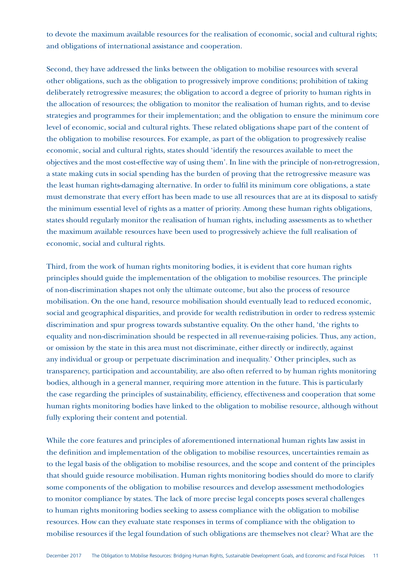to devote the maximum available resources for the realisation of economic, social and cultural rights; and obligations of international assistance and cooperation.

Second, they have addressed the links between the obligation to mobilise resources with several other obligations, such as the obligation to progressively improve conditions; prohibition of taking deliberately retrogressive measures; the obligation to accord a degree of priority to human rights in the allocation of resources; the obligation to monitor the realisation of human rights, and to devise strategies and programmes for their implementation; and the obligation to ensure the minimum core level of economic, social and cultural rights. These related obligations shape part of the content of the obligation to mobilise resources. For example, as part of the obligation to progressively realise economic, social and cultural rights, states should 'identify the resources available to meet the objectives and the most cost-effective way of using them'. In line with the principle of non-retrogression, a state making cuts in social spending has the burden of proving that the retrogressive measure was the least human rights-damaging alternative. In order to fulfil its minimum core obligations, a state must demonstrate that every effort has been made to use all resources that are at its disposal to satisfy the minimum essential level of rights as a matter of priority. Among these human rights obligations, states should regularly monitor the realisation of human rights, including assessments as to whether the maximum available resources have been used to progressively achieve the full realisation of economic, social and cultural rights.

Third, from the work of human rights monitoring bodies, it is evident that core human rights principles should guide the implementation of the obligation to mobilise resources. The principle of non-discrimination shapes not only the ultimate outcome, but also the process of resource mobilisation. On the one hand, resource mobilisation should eventually lead to reduced economic, social and geographical disparities, and provide for wealth redistribution in order to redress systemic discrimination and spur progress towards substantive equality. On the other hand, 'the rights to equality and non-discrimination should be respected in all revenue-raising policies. Thus, any action, or omission by the state in this area must not discriminate, either directly or indirectly, against any individual or group or perpetuate discrimination and inequality.' Other principles, such as transparency, participation and accountability, are also often referred to by human rights monitoring bodies, although in a general manner, requiring more attention in the future. This is particularly the case regarding the principles of sustainability, efficiency, effectiveness and cooperation that some human rights monitoring bodies have linked to the obligation to mobilise resource, although without fully exploring their content and potential.

While the core features and principles of aforementioned international human rights law assist in the definition and implementation of the obligation to mobilise resources, uncertainties remain as to the legal basis of the obligation to mobilise resources, and the scope and content of the principles that should guide resource mobilisation. Human rights monitoring bodies should do more to clarify some components of the obligation to mobilise resources and develop assessment methodologies to monitor compliance by states. The lack of more precise legal concepts poses several challenges to human rights monitoring bodies seeking to assess compliance with the obligation to mobilise resources. How can they evaluate state responses in terms of compliance with the obligation to mobilise resources if the legal foundation of such obligations are themselves not clear? What are the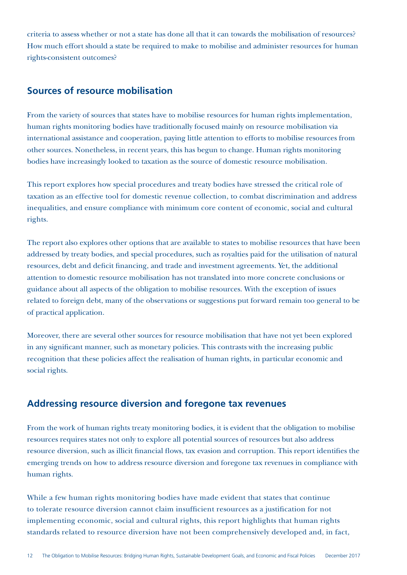criteria to assess whether or not a state has done all that it can towards the mobilisation of resources? How much effort should a state be required to make to mobilise and administer resources for human rights-consistent outcomes?

### **Sources of resource mobilisation**

From the variety of sources that states have to mobilise resources for human rights implementation, human rights monitoring bodies have traditionally focused mainly on resource mobilisation via international assistance and cooperation, paying little attention to efforts to mobilise resources from other sources. Nonetheless, in recent years, this has begun to change. Human rights monitoring bodies have increasingly looked to taxation as the source of domestic resource mobilisation.

This report explores how special procedures and treaty bodies have stressed the critical role of taxation as an effective tool for domestic revenue collection, to combat discrimination and address inequalities, and ensure compliance with minimum core content of economic, social and cultural rights.

The report also explores other options that are available to states to mobilise resources that have been addressed by treaty bodies, and special procedures, such as royalties paid for the utilisation of natural resources, debt and deficit financing, and trade and investment agreements. Yet, the additional attention to domestic resource mobilisation has not translated into more concrete conclusions or guidance about all aspects of the obligation to mobilise resources. With the exception of issues related to foreign debt, many of the observations or suggestions put forward remain too general to be of practical application.

Moreover, there are several other sources for resource mobilisation that have not yet been explored in any significant manner, such as monetary policies. This contrasts with the increasing public recognition that these policies affect the realisation of human rights, in particular economic and social rights.

## **Addressing resource diversion and foregone tax revenues**

From the work of human rights treaty monitoring bodies, it is evident that the obligation to mobilise resources requires states not only to explore all potential sources of resources but also address resource diversion, such as illicit financial flows, tax evasion and corruption. This report identifies the emerging trends on how to address resource diversion and foregone tax revenues in compliance with human rights.

While a few human rights monitoring bodies have made evident that states that continue to tolerate resource diversion cannot claim insufficient resources as a justification for not implementing economic, social and cultural rights, this report highlights that human rights standards related to resource diversion have not been comprehensively developed and, in fact,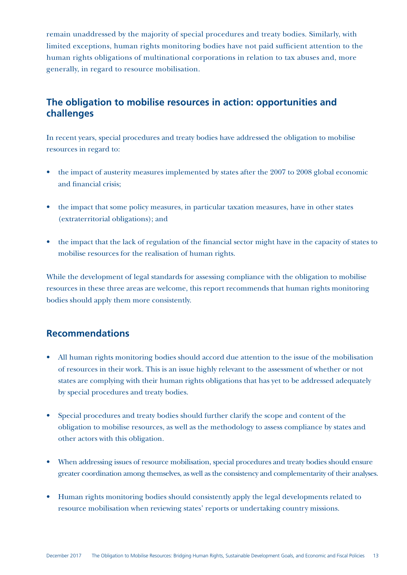remain unaddressed by the majority of special procedures and treaty bodies. Similarly, with limited exceptions, human rights monitoring bodies have not paid sufficient attention to the human rights obligations of multinational corporations in relation to tax abuses and, more generally, in regard to resource mobilisation.

## **The obligation to mobilise resources in action: opportunities and challenges**

In recent years, special procedures and treaty bodies have addressed the obligation to mobilise resources in regard to:

- the impact of austerity measures implemented by states after the 2007 to 2008 global economic and financial crisis;
- the impact that some policy measures, in particular taxation measures, have in other states (extraterritorial obligations); and
- the impact that the lack of regulation of the financial sector might have in the capacity of states to mobilise resources for the realisation of human rights.

While the development of legal standards for assessing compliance with the obligation to mobilise resources in these three areas are welcome, this report recommends that human rights monitoring bodies should apply them more consistently.

### **Recommendations**

- All human rights monitoring bodies should accord due attention to the issue of the mobilisation of resources in their work. This is an issue highly relevant to the assessment of whether or not states are complying with their human rights obligations that has yet to be addressed adequately by special procedures and treaty bodies.
- Special procedures and treaty bodies should further clarify the scope and content of the obligation to mobilise resources, as well as the methodology to assess compliance by states and other actors with this obligation.
- When addressing issues of resource mobilisation, special procedures and treaty bodies should ensure greater coordination among themselves, as well as the consistency and complementarity of their analyses.
- Human rights monitoring bodies should consistently apply the legal developments related to resource mobilisation when reviewing states' reports or undertaking country missions.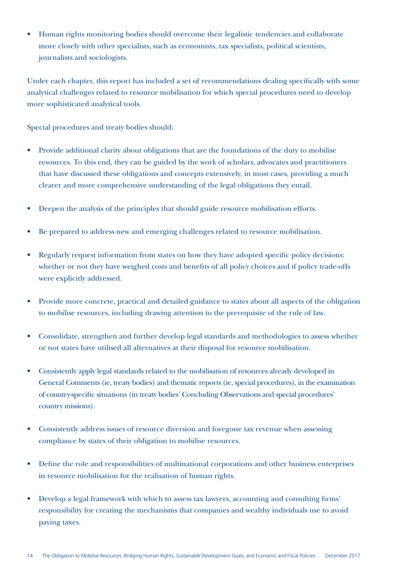• Human rights monitoring bodies should overcome their legalistic tendencies and collaborate more closely with other specialists, such as economists, tax specialists, political scientists, journalists and sociologists.

Under each chapter, this report has included a set of recommendations dealing specifically with some analytical challenges related to resource mobilisation for which special procedures need to develop more sophisticated analytical tools.

Special procedures and treaty bodies should:

- Provide additional clarity about obligations that are the foundations of the duty to mobilise resources. To this end, they can be guided by the work of scholars, advocates and practitioners that have discussed these obligations and concepts extensively, in most cases, providing a much clearer and more comprehensive understanding of the legal obligations they entail.
- Deepen the analysis of the principles that should guide resource mobilisation efforts.
- Be prepared to address new and emerging challenges related to resource mobilisation.
- Regularly request information from states on how they have adopted specific policy decisions: whether or not they have weighed costs and benefits of all policy choices and if policy trade-offs were explicitly addressed.
- Provide more concrete, practical and detailed guidance to states about all aspects of the obligation to mobilise resources, including drawing attention to the prerequisite of the rule of law.
- Consolidate, strengthen and further develop legal standards and methodologies to assess whether or not states have utilised all alternatives at their disposal for resource mobilisation.
- Consistently apply legal standards related to the mobilisation of resources already developed in General Comments (ie, treaty bodies) and thematic reports (ie, special procedures), in the examination of country-specific situations (in treaty bodies' Concluding Observations and special procedures' country missions).
- Consistently address issues of resource diversion and foregone tax revenue when assessing compliance by states of their obligation to mobilise resources.
- Define the role and responsibilities of multinational corporations and other business enterprises in resource mobilisation for the realisation of human rights.
- Develop a legal framework with which to assess tax lawyers, accounting and consulting firms' responsibility for creating the mechanisms that companies and wealthy individuals use to avoid paying taxes.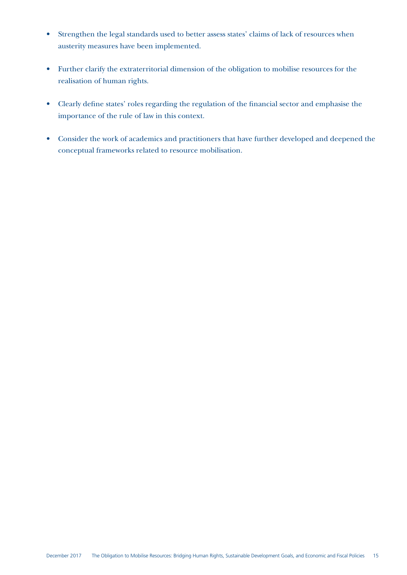- Strengthen the legal standards used to better assess states' claims of lack of resources when austerity measures have been implemented.
- Further clarify the extraterritorial dimension of the obligation to mobilise resources for the realisation of human rights.
- Clearly define states' roles regarding the regulation of the financial sector and emphasise the importance of the rule of law in this context.
- Consider the work of academics and practitioners that have further developed and deepened the conceptual frameworks related to resource mobilisation.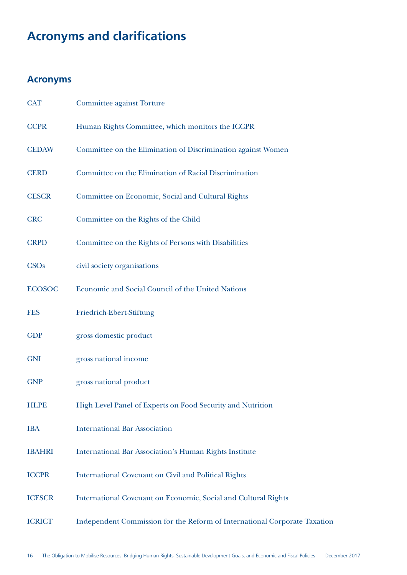## **Acronyms and clarifications**

## **Acronyms**

| <b>CAT</b>    | <b>Committee against Torture</b>                                          |
|---------------|---------------------------------------------------------------------------|
| <b>CCPR</b>   | Human Rights Committee, which monitors the ICCPR                          |
| <b>CEDAW</b>  | Committee on the Elimination of Discrimination against Women              |
| <b>CERD</b>   | Committee on the Elimination of Racial Discrimination                     |
| <b>CESCR</b>  | Committee on Economic, Social and Cultural Rights                         |
| <b>CRC</b>    | Committee on the Rights of the Child                                      |
| <b>CRPD</b>   | Committee on the Rights of Persons with Disabilities                      |
| <b>CSOs</b>   | civil society organisations                                               |
| <b>ECOSOC</b> | Economic and Social Council of the United Nations                         |
| <b>FES</b>    | Friedrich-Ebert-Stiftung                                                  |
| <b>GDP</b>    | gross domestic product                                                    |
| <b>GNI</b>    | gross national income                                                     |
| <b>GNP</b>    | gross national product                                                    |
| <b>HLPE</b>   | High Level Panel of Experts on Food Security and Nutrition                |
| <b>IBA</b>    | <b>International Bar Association</b>                                      |
| <b>IBAHRI</b> | <b>International Bar Association's Human Rights Institute</b>             |
| <b>ICCPR</b>  | <b>International Covenant on Civil and Political Rights</b>               |
| <b>ICESCR</b> | International Covenant on Economic, Social and Cultural Rights            |
| <b>ICRICT</b> | Independent Commission for the Reform of International Corporate Taxation |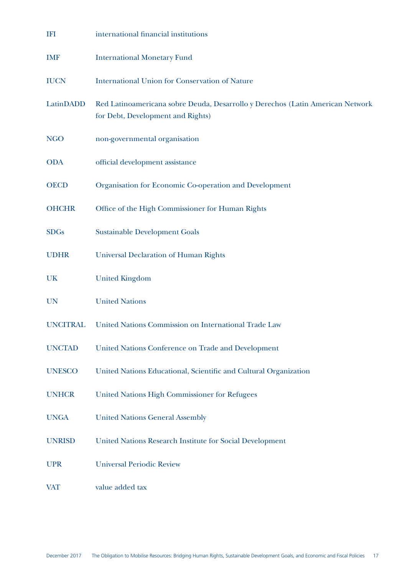| <b>IFI</b>      | international financial institutions                                                                                |
|-----------------|---------------------------------------------------------------------------------------------------------------------|
| <b>IMF</b>      | <b>International Monetary Fund</b>                                                                                  |
| <b>IUCN</b>     | <b>International Union for Conservation of Nature</b>                                                               |
| LatinDADD       | Red Latinoamericana sobre Deuda, Desarrollo y Derechos (Latin American Network<br>for Debt, Development and Rights) |
| <b>NGO</b>      | non-governmental organisation                                                                                       |
| <b>ODA</b>      | official development assistance                                                                                     |
| <b>OECD</b>     | Organisation for Economic Co-operation and Development                                                              |
| <b>OHCHR</b>    | Office of the High Commissioner for Human Rights                                                                    |
| <b>SDGs</b>     | <b>Sustainable Development Goals</b>                                                                                |
| <b>UDHR</b>     | <b>Universal Declaration of Human Rights</b>                                                                        |
| UK              | <b>United Kingdom</b>                                                                                               |
| <b>UN</b>       | <b>United Nations</b>                                                                                               |
| <b>UNCITRAL</b> | United Nations Commission on International Trade Law                                                                |
| <b>UNCTAD</b>   | United Nations Conference on Trade and Development                                                                  |
| <b>UNESCO</b>   | United Nations Educational, Scientific and Cultural Organization                                                    |
| <b>UNHCR</b>    | <b>United Nations High Commissioner for Refugees</b>                                                                |
| <b>UNGA</b>     | <b>United Nations General Assembly</b>                                                                              |
| <b>UNRISD</b>   | United Nations Research Institute for Social Development                                                            |
| <b>UPR</b>      | <b>Universal Periodic Review</b>                                                                                    |
| <b>VAT</b>      | value added tax                                                                                                     |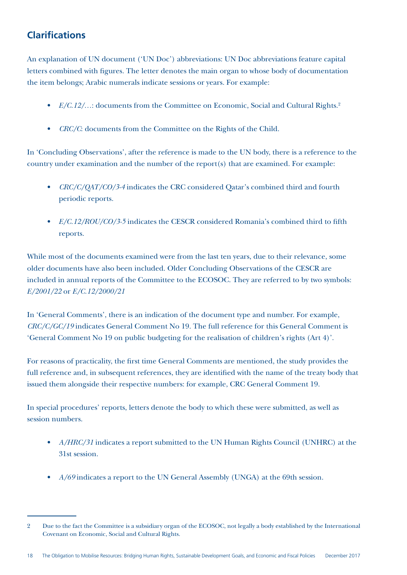## **Clarifications**

An explanation of UN document ('UN Doc') abbreviations: UN Doc abbreviations feature capital letters combined with figures. The letter denotes the main organ to whose body of documentation the item belongs; Arabic numerals indicate sessions or years. For example:

- *E/C.12/...*: documents from the Committee on Economic, Social and Cultural Rights.<sup>2</sup>
- *• CRC/C*: documents from the Committee on the Rights of the Child.

In 'Concluding Observations', after the reference is made to the UN body, there is a reference to the country under examination and the number of the report(s) that are examined. For example:

- *• CRC/C/QAT/CO/3-4* indicates the CRC considered Qatar's combined third and fourth periodic reports.
- *• E/C.12/ROU/CO/3-5* indicates the CESCR considered Romania's combined third to fifth reports.

While most of the documents examined were from the last ten years, due to their relevance, some older documents have also been included. Older Concluding Observations of the CESCR are included in annual reports of the Committee to the ECOSOC. They are referred to by two symbols: *E/2001/22* or *E/C.12/2000/21*

In 'General Comments', there is an indication of the document type and number. For example, *CRC/C/GC/19* indicates General Comment No 19. The full reference for this General Comment is 'General Comment No 19 on public budgeting for the realisation of children's rights (Art 4)'.

For reasons of practicality, the first time General Comments are mentioned, the study provides the full reference and, in subsequent references, they are identified with the name of the treaty body that issued them alongside their respective numbers: for example, CRC General Comment 19.

In special procedures' reports, letters denote the body to which these were submitted, as well as session numbers.

- *• A/HRC/31* indicates a report submitted to the UN Human Rights Council (UNHRC) at the 31st session.
- *• A/69* indicates a report to the UN General Assembly (UNGA) at the 69th session.

<sup>2</sup> Due to the fact the Committee is a subsidiary organ of the ECOSOC, not legally a body established by the International Covenant on Economic, Social and Cultural Rights.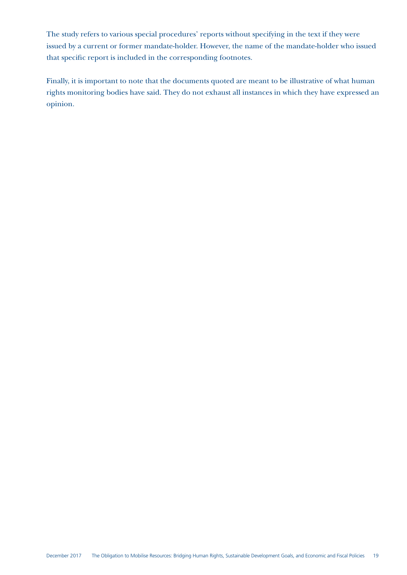The study refers to various special procedures' reports without specifying in the text if they were issued by a current or former mandate-holder. However, the name of the mandate-holder who issued that specific report is included in the corresponding footnotes.

Finally, it is important to note that the documents quoted are meant to be illustrative of what human rights monitoring bodies have said. They do not exhaust all instances in which they have expressed an opinion.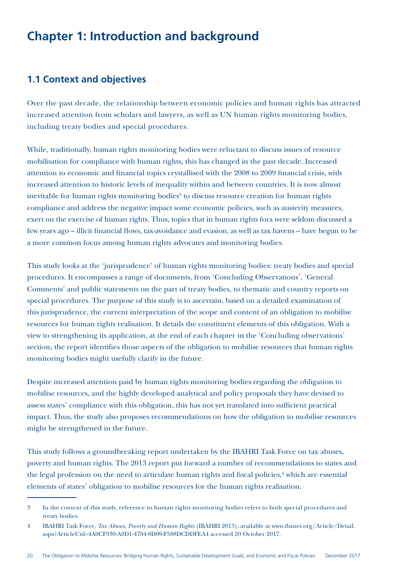## **Chapter 1: Introduction and background**

## **1.1 Context and objectives**

Over the past decade, the relationship between economic policies and human rights has attracted increased attention from scholars and lawyers, as well as UN human rights monitoring bodies, including treaty bodies and special procedures.

While, traditionally, human rights monitoring bodies were reluctant to discuss issues of resource mobilisation for compliance with human rights, this has changed in the past decade. Increased attention to economic and financial topics crystallised with the 2008 to 2009 financial crisis, with increased attention to historic levels of inequality within and between countries. It is now almost inevitable for human rights monitoring bodies<sup>3</sup> to discuss resource creation for human rights compliance and address the negative impact some economic policies, such as austerity measures, exert on the exercise of human rights. Thus, topics that in human rights fora were seldom discussed a few years ago – illicit financial flows, tax-avoidance and evasion, as well as tax havens – have begun to be a more common focus among human rights advocates and monitoring bodies.

This study looks at the 'jurisprudence' of human rights monitoring bodies: treaty bodies and special procedures. It encompasses a range of documents, from 'Concluding Observations', 'General Comments' and public statements on the part of treaty bodies, to thematic and country reports on special procedures. The purpose of this study is to ascertain, based on a detailed examination of this jurisprudence, the current interpretation of the scope and content of an obligation to mobilise resources for human rights realisation. It details the constituent elements of this obligation. With a view to strengthening its application, at the end of each chapter in the 'Concluding observations' section, the report identifies those aspects of the obligation to mobilise resources that human rights monitoring bodies might usefully clarify in the future.

Despite increased attention paid by human rights monitoring bodies regarding the obligation to mobilise resources, and the highly developed analytical and policy proposals they have devised to assess states' compliance with this obligation, this has not yet translated into sufficient practical impact. Thus, the study also proposes recommendations on how the obligation to mobilise resources might be strengthened in the future.

This study follows a groundbreaking report undertaken by the IBAHRI Task Force on tax abuses, poverty and human rights. The 2013 report put forward a number of recommendations to states and the legal profession on the need to articulate human rights and fiscal policies,<sup>4</sup> which are essential elements of states' obligation to mobilise resources for the human rights realisation.

<sup>3</sup> In the context of this study, reference to human rights monitoring bodies refers to both special procedures and treaty bodies.

<sup>4</sup> IBAHRI Task Force, *Tax Abuses, Poverty and Human Rights* (IBAHRI 2013), available at www.ibanet.org/Article/Detail. aspx?ArticleUid=4A0CF930-A0D1-4784-8D09-F588DCDDFEA4 accessed 20 October 2017.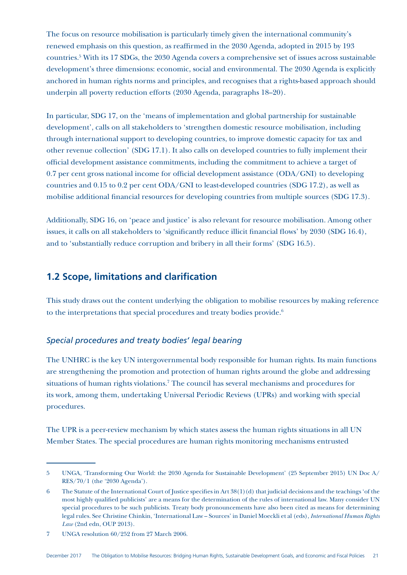The focus on resource mobilisation is particularly timely given the international community's renewed emphasis on this question, as reaffirmed in the 2030 Agenda, adopted in 2015 by 193 countries.5 With its 17 SDGs, the 2030 Agenda covers a comprehensive set of issues across sustainable development's three dimensions: economic, social and environmental. The 2030 Agenda is explicitly anchored in human rights norms and principles, and recognises that a rights-based approach should underpin all poverty reduction efforts (2030 Agenda, paragraphs 18–20).

In particular, SDG 17, on the 'means of implementation and global partnership for sustainable development', calls on all stakeholders to 'strengthen domestic resource mobilisation, including through international support to developing countries, to improve domestic capacity for tax and other revenue collection' (SDG 17.1). It also calls on developed countries to fully implement their official development assistance commitments, including the commitment to achieve a target of 0.7 per cent gross national income for official development assistance (ODA/GNI) to developing countries and 0.15 to 0.2 per cent ODA/GNI to least-developed countries (SDG 17.2), as well as mobilise additional financial resources for developing countries from multiple sources (SDG 17.3).

Additionally, SDG 16, on 'peace and justice' is also relevant for resource mobilisation. Among other issues, it calls on all stakeholders to 'significantly reduce illicit financial flows' by 2030 (SDG 16.4), and to 'substantially reduce corruption and bribery in all their forms' (SDG 16.5).

### **1.2 Scope, limitations and clarification**

This study draws out the content underlying the obligation to mobilise resources by making reference to the interpretations that special procedures and treaty bodies provide.<sup>6</sup>

#### *Special procedures and treaty bodies' legal bearing*

The UNHRC is the key UN intergovernmental body responsible for human rights. Its main functions are strengthening the promotion and protection of human rights around the globe and addressing situations of human rights violations.<sup>7</sup> The council has several mechanisms and procedures for its work, among them, undertaking Universal Periodic Reviews (UPRs) and working with special procedures.

The UPR is a peer-review mechanism by which states assess the human rights situations in all UN Member States. The special procedures are human rights monitoring mechanisms entrusted

<sup>5</sup> UNGA, 'Transforming Our World: the 2030 Agenda for Sustainable Development' (25 September 2015) UN Doc A/ RES/70/1 (the '2030 Agenda').

<sup>6</sup> The Statute of the International Court of Justice specifies in Art 38(1)(d) that judicial decisions and the teachings 'of the most highly qualified publicists' are a means for the determination of the rules of international law. Many consider UN special procedures to be such publicists. Treaty body pronouncements have also been cited as means for determining legal rules. See Christine Chinkin, 'International Law – Sources' in Daniel Moeckli et al (eds), *International Human Rights Law* (2nd edn, OUP 2013).

<sup>7</sup> UNGA resolution 60/252 from 27 March 2006.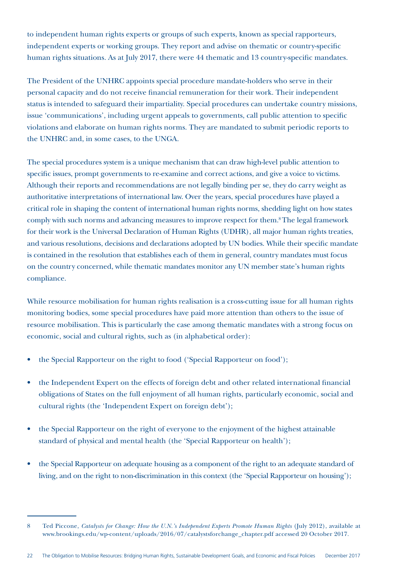to independent human rights experts or groups of such experts, known as special rapporteurs, independent experts or working groups. They report and advise on thematic or country-specific human rights situations. As at July 2017, there were 44 thematic and 13 country-specific mandates.

The President of the UNHRC appoints special procedure mandate-holders who serve in their personal capacity and do not receive financial remuneration for their work. Their independent status is intended to safeguard their impartiality. Special procedures can undertake country missions, issue 'communications', including urgent appeals to governments, call public attention to specific violations and elaborate on human rights norms. They are mandated to submit periodic reports to the UNHRC and, in some cases, to the UNGA.

The special procedures system is a unique mechanism that can draw high-level public attention to specific issues, prompt governments to re-examine and correct actions, and give a voice to victims. Although their reports and recommendations are not legally binding per se, they do carry weight as authoritative interpretations of international law. Over the years, special procedures have played a critical role in shaping the content of international human rights norms, shedding light on how states comply with such norms and advancing measures to improve respect for them.8 The legal framework for their work is the Universal Declaration of Human Rights (UDHR), all major human rights treaties, and various resolutions, decisions and declarations adopted by UN bodies. While their specific mandate is contained in the resolution that establishes each of them in general, country mandates must focus on the country concerned, while thematic mandates monitor any UN member state's human rights compliance.

While resource mobilisation for human rights realisation is a cross-cutting issue for all human rights monitoring bodies, some special procedures have paid more attention than others to the issue of resource mobilisation. This is particularly the case among thematic mandates with a strong focus on economic, social and cultural rights, such as (in alphabetical order):

- the Special Rapporteur on the right to food ('Special Rapporteur on food');
- the Independent Expert on the effects of foreign debt and other related international financial obligations of States on the full enjoyment of all human rights, particularly economic, social and cultural rights (the 'Independent Expert on foreign debt');
- the Special Rapporteur on the right of everyone to the enjoyment of the highest attainable standard of physical and mental health (the 'Special Rapporteur on health');
- the Special Rapporteur on adequate housing as a component of the right to an adequate standard of living, and on the right to non-discrimination in this context (the 'Special Rapporteur on housing');

<sup>8</sup> Ted Piccone, *Catalysts for Change: How the U.N.'s Independent Experts Promote Human Rights* (July 2012), available at www.brookings.edu/wp-content/uploads/2016/07/catalystsforchange\_chapter.pdf accessed 20 October 2017.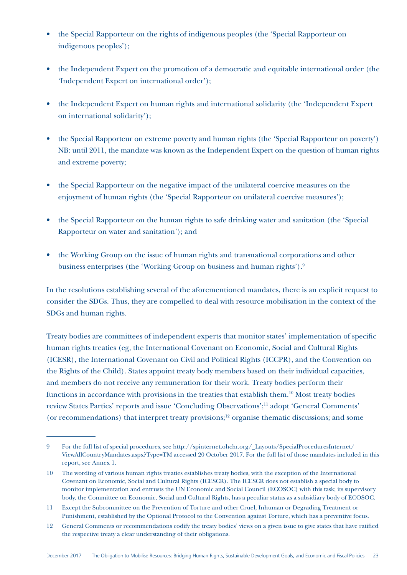- the Special Rapporteur on the rights of indigenous peoples (the 'Special Rapporteur on indigenous peoples');
- the Independent Expert on the promotion of a democratic and equitable international order (the 'Independent Expert on international order');
- the Independent Expert on human rights and international solidarity (the 'Independent Expert on international solidarity');
- the Special Rapporteur on extreme poverty and human rights (the 'Special Rapporteur on poverty') NB: until 2011, the mandate was known as the Independent Expert on the question of human rights and extreme poverty;
- the Special Rapporteur on the negative impact of the unilateral coercive measures on the enjoyment of human rights (the 'Special Rapporteur on unilateral coercive measures');
- the Special Rapporteur on the human rights to safe drinking water and sanitation (the 'Special Rapporteur on water and sanitation'); and
- the Working Group on the issue of human rights and transnational corporations and other business enterprises (the 'Working Group on business and human rights').9

In the resolutions establishing several of the aforementioned mandates, there is an explicit request to consider the SDGs. Thus, they are compelled to deal with resource mobilisation in the context of the SDGs and human rights.

Treaty bodies are committees of independent experts that monitor states' implementation of specific human rights treaties (eg, the International Covenant on Economic, Social and Cultural Rights (ICESR), the International Covenant on Civil and Political Rights (ICCPR), and the Convention on the Rights of the Child). States appoint treaty body members based on their individual capacities, and members do not receive any remuneration for their work. Treaty bodies perform their functions in accordance with provisions in the treaties that establish them.10 Most treaty bodies review States Parties' reports and issue 'Concluding Observations';11 adopt 'General Comments' (or recommendations) that interpret treaty provisions;12 organise thematic discussions; and some

<sup>9</sup> For the full list of special procedures, see http://spinternet.ohchr.org/\_Layouts/SpecialProceduresInternet/ ViewAllCountryMandates.aspx?Type=TM accessed 20 October 2017. For the full list of those mandates included in this report, see Annex 1.

<sup>10</sup> The wording of various human rights treaties establishes treaty bodies, with the exception of the International Covenant on Economic, Social and Cultural Rights (ICESCR). The ICESCR does not establish a special body to monitor implementation and entrusts the UN Economic and Social Council (ECOSOC) with this task; its supervisory body, the Committee on Economic, Social and Cultural Rights, has a peculiar status as a subsidiary body of ECOSOC.

<sup>11</sup> Except the Subcommittee on the Prevention of Torture and other Cruel, Inhuman or Degrading Treatment or Punishment, established by the Optional Protocol to the Convention against Torture, which has a preventive focus.

<sup>12</sup> General Comments or recommendations codify the treaty bodies' views on a given issue to give states that have ratified the respective treaty a clear understanding of their obligations.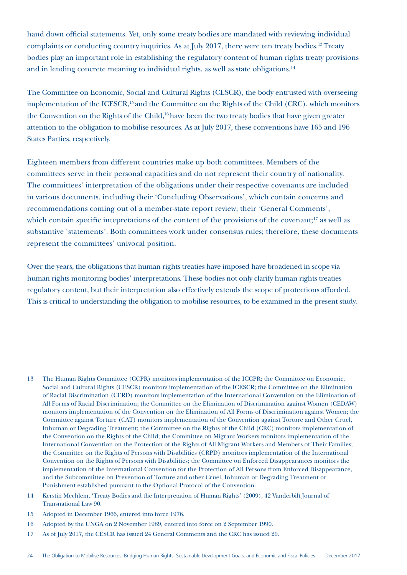hand down official statements. Yet, only some treaty bodies are mandated with reviewing individual complaints or conducting country inquiries. As at July 2017, there were ten treaty bodies.13 Treaty bodies play an important role in establishing the regulatory content of human rights treaty provisions and in lending concrete meaning to individual rights, as well as state obligations.<sup>14</sup>

The Committee on Economic, Social and Cultural Rights (CESCR), the body entrusted with overseeing implementation of the ICESCR,<sup>15</sup> and the Committee on the Rights of the Child (CRC), which monitors the Convention on the Rights of the Child,<sup>16</sup> have been the two treaty bodies that have given greater attention to the obligation to mobilise resources. As at July 2017, these conventions have 165 and 196 States Parties, respectively.

Eighteen members from different countries make up both committees. Members of the committees serve in their personal capacities and do not represent their country of nationality. The committees' interpretation of the obligations under their respective covenants are included in various documents, including their 'Concluding Observations', which contain concerns and recommendations coming out of a member-state report review; their 'General Comments', which contain specific intepretations of the content of the provisions of the covenant;<sup>17</sup> as well as substantive 'statements'. Both committees work under consensus rules; therefore, these documents represent the committees' univocal position.

Over the years, the obligations that human rights treaties have imposed have broadened in scope via human rights monitoring bodies' interpretations. These bodies not only clarify human rights treaties regulatory content, but their interpretation also effectively extends the scope of protections afforded. This is critical to understanding the obligation to mobilise resources, to be examined in the present study.

<sup>13</sup> The Human Rights Committee (CCPR) monitors implementation of the ICCPR; the Committee on Economic, Social and Cultural Rights (CESCR) monitors implementation of the ICESCR; the Committee on the Elimination of Racial Discrimination (CERD) monitors implementation of the International Convention on the Elimination of All Forms of Racial Discrimination; the Committee on the Elimination of Discrimination against Women (CEDAW) monitors implementation of the Convention on the Elimination of All Forms of Discrimination against Women; the Committee against Torture (CAT) monitors implementation of the Convention against Torture and Other Cruel, Inhuman or Degrading Treatment; the Committee on the Rights of the Child (CRC) monitors implementation of the Convention on the Rights of the Child; the Committee on Migrant Workers monitors implementation of the International Convention on the Protection of the Rights of All Migrant Workers and Members of Their Families; the Committee on the Rights of Persons with Disabilities (CRPD) monitors implementation of the International Convention on the Rights of Persons with Disabilities; the Committee on Enforced Disappearances monitors the implementation of the International Convention for the Protection of All Persons from Enforced Disappearance, and the Subcommittee on Prevention of Torture and other Cruel, Inhuman or Degrading Treatment or Punishment established pursuant to the Optional Protocol of the Convention.

<sup>14</sup> Kerstin Mechlem, 'Treaty Bodies and the Interpretation of Human Rights' (2009), 42 Vanderbilt Journal of Transnational Law 90.

<sup>15</sup> Adopted in December 1966, entered into force 1976.

<sup>16</sup> Adopted by the UNGA on 2 November 1989, entered into force on 2 September 1990.

<sup>17</sup> As of July 2017, the CESCR has issued 24 General Comments and the CRC has issued 20.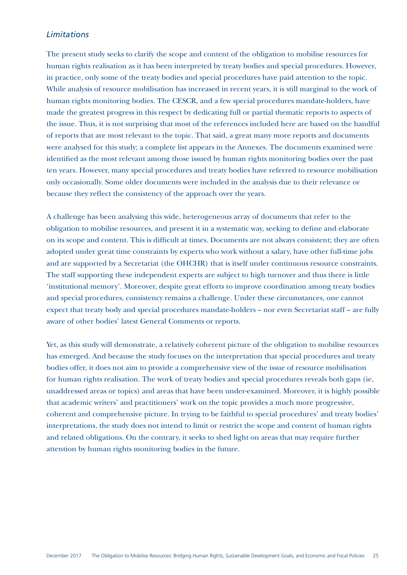### *Limitations*

The present study seeks to clarify the scope and content of the obligation to mobilise resources for human rights realisation as it has been interpreted by treaty bodies and special procedures. However, in practice, only some of the treaty bodies and special procedures have paid attention to the topic. While analysis of resource mobilisation has increased in recent years, it is still marginal to the work of human rights monitoring bodies. The CESCR, and a few special procedures mandate-holders, have made the greatest progress in this respect by dedicating full or partial thematic reports to aspects of the issue. Thus, it is not surprising that most of the references included here are based on the handful of reports that are most relevant to the topic. That said, a great many more reports and documents were analysed for this study; a complete list appears in the Annexes. The documents examined were identified as the most relevant among those issued by human rights monitoring bodies over the past ten years. However, many special procedures and treaty bodies have referred to resource mobilisation only occasionally. Some older documents were included in the analysis due to their relevance or because they reflect the consistency of the approach over the years.

A challenge has been analysing this wide, heterogeneous array of documents that refer to the obligation to mobilise resources, and present it in a systematic way, seeking to define and elaborate on its scope and content. This is difficult at times. Documents are not always consistent; they are often adopted under great time constraints by experts who work without a salary, have other full-time jobs and are supported by a Secretariat (the OHCHR) that is itself under continuous resource constraints. The staff supporting these independent experts are subject to high turnover and thus there is little 'institutional memory'. Moreover, despite great efforts to improve coordination among treaty bodies and special procedures, consistency remains a challenge. Under these circumstances, one cannot expect that treaty body and special procedures mandate-holders – nor even Secretariat staff – are fully aware of other bodies' latest General Comments or reports.

Yet, as this study will demonstrate, a relatively coherent picture of the obligation to mobilise resources has emerged. And because the study focuses on the interpretation that special procedures and treaty bodies offer, it does not aim to provide a comprehensive view of the issue of resource mobilisation for human rights realisation. The work of treaty bodies and special procedures reveals both gaps (ie, unaddressed areas or topics) and areas that have been under-examined. Moreover, it is highly possible that academic writers' and practitioners' work on the topic provides a much more progressive, coherent and comprehensive picture. In trying to be faithful to special procedures' and treaty bodies' interpretations, the study does not intend to limit or restrict the scope and content of human rights and related obligations. On the contrary, it seeks to shed light on areas that may require further attention by human rights monitoring bodies in the future.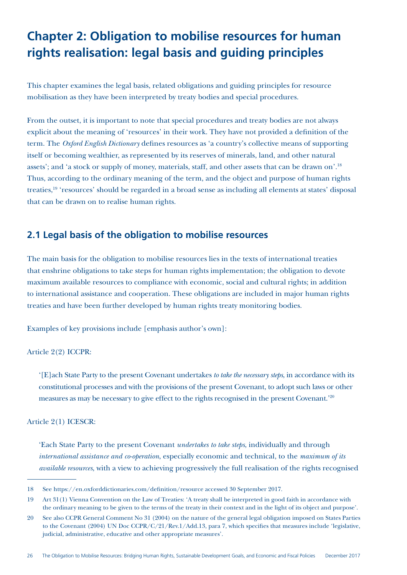## **Chapter 2: Obligation to mobilise resources for human rights realisation: legal basis and guiding principles**

This chapter examines the legal basis, related obligations and guiding principles for resource mobilisation as they have been interpreted by treaty bodies and special procedures.

From the outset, it is important to note that special procedures and treaty bodies are not always explicit about the meaning of 'resources' in their work. They have not provided a definition of the term. The *Oxford English Dictionary* defines resources as 'a country's collective means of supporting itself or becoming wealthier, as represented by its reserves of minerals, land, and other natural assets'; and 'a stock or supply of money, materials, staff, and other assets that can be drawn on'.18 Thus, according to the ordinary meaning of the term, and the object and purpose of human rights treaties,19 'resources' should be regarded in a broad sense as including all elements at states' disposal that can be drawn on to realise human rights.

## **2.1 Legal basis of the obligation to mobilise resources**

The main basis for the obligation to mobilise resources lies in the texts of international treaties that enshrine obligations to take steps for human rights implementation; the obligation to devote maximum available resources to compliance with economic, social and cultural rights; in addition to international assistance and cooperation. These obligations are included in major human rights treaties and have been further developed by human rights treaty monitoring bodies.

Examples of key provisions include [emphasis author's own]:

Article 2(2) ICCPR:

'[E]ach State Party to the present Covenant undertakes *to take the necessary steps*, in accordance with its constitutional processes and with the provisions of the present Covenant, to adopt such laws or other measures as may be necessary to give effect to the rights recognised in the present Covenant.'20

Article 2(1) ICESCR:

'Each State Party to the present Covenant *undertakes to take steps*, individually and through *international assistance and co-operation*, especially economic and technical, to the *maximum of its available resources*, with a view to achieving progressively the full realisation of the rights recognised

<sup>18</sup> See https://en.oxforddictionaries.com/definition/resource accessed 30 September 2017.

<sup>19</sup> Art 31(1) Vienna Convention on the Law of Treaties: 'A treaty shall be interpreted in good faith in accordance with the ordinary meaning to be given to the terms of the treaty in their context and in the light of its object and purpose'.

<sup>20</sup> See also CCPR General Comment No 31 (2004) on the nature of the general legal obligation imposed on States Parties to the Covenant (2004) UN Doc CCPR/C/21/Rev.1/Add.13, para 7, which specifies that measures include 'legislative, judicial, administrative, educative and other appropriate measures'.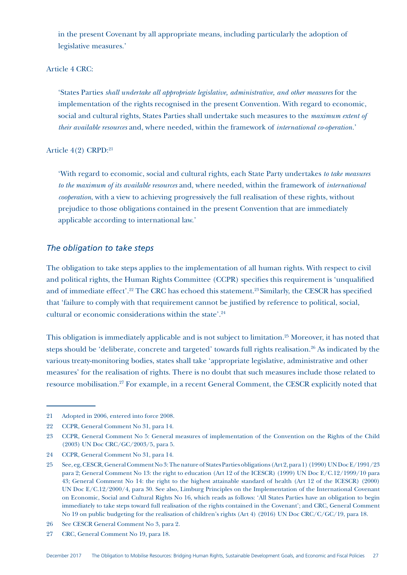in the present Covenant by all appropriate means, including particularly the adoption of legislative measures.'

#### Article 4 CRC:

'States Parties *shall undertake all appropriate legislative, administrative, and other measures* for the implementation of the rights recognised in the present Convention. With regard to economic, social and cultural rights, States Parties shall undertake such measures to the *maximum extent of their available resources* and, where needed, within the framework of *international co-operation.*'

#### Article 4(2) CRPD:21

'With regard to economic, social and cultural rights, each State Party undertakes *to take measures to the maximum of its available resources* and, where needed, within the framework of *international cooperation*, with a view to achieving progressively the full realisation of these rights, without prejudice to those obligations contained in the present Convention that are immediately applicable according to international law.'

#### *The obligation to take steps*

The obligation to take steps applies to the implementation of all human rights. With respect to civil and political rights, the Human Rights Committee (CCPR) specifies this requirement is 'unqualified and of immediate effect'.<sup>22</sup> The CRC has echoed this statement.<sup>23</sup> Similarly, the CESCR has specified that 'failure to comply with that requirement cannot be justified by reference to political, social, cultural or economic considerations within the state'.<sup>24</sup>

This obligation is immediately applicable and is not subject to limitation.<sup>25</sup> Moreover, it has noted that steps should be 'deliberate, concrete and targeted' towards full rights realisation.26 As indicated by the various treaty-monitoring bodies, states shall take 'appropriate legislative, administrative and other measures' for the realisation of rights. There is no doubt that such measures include those related to resource mobilisation.27 For example, in a recent General Comment, the CESCR explicitly noted that

<sup>21</sup> Adopted in 2006, entered into force 2008.

<sup>22</sup> CCPR, General Comment No 31, para 14.

<sup>23</sup> CCPR, General Comment No 5: General measures of implementation of the Convention on the Rights of the Child (2003) UN Doc CRC/GC/2003/5, para 5.

<sup>24</sup> CCPR, General Comment No 31, para 14.

<sup>25</sup> See, eg, CESCR, General Comment No 3: The nature of States Parties obligations (Art 2, para 1) (1990) UN Doc E/1991/23 para 2; General Comment No 13: the right to education (Art 12 of the ICESCR) (1999) UN Doc E/C.12/1999/10 para 43; General Comment No 14: the right to the highest attainable standard of health (Art 12 of the ICESCR) (2000) UN Doc E/C.12/2000/4, para 30. See also, Limburg Principles on the Implementation of the International Covenant on Economic, Social and Cultural Rights No 16, which reads as follows: 'All States Parties have an obligation to begin immediately to take steps toward full realisation of the rights contained in the Covenant'; and CRC, General Comment No 19 on public budgeting for the realisation of children's rights (Art 4) (2016) UN Doc CRC/C/GC/19, para 18.

<sup>26</sup> See CESCR General Comment No 3, para 2.

<sup>27</sup> CRC, General Comment No 19, para 18.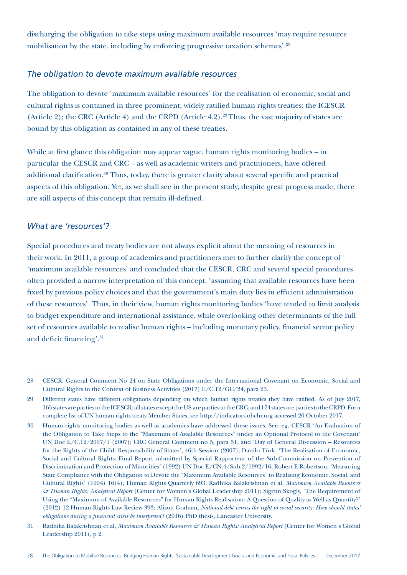discharging the obligation to take steps using maximum available resources 'may require resource mobilisation by the state, including by enforcing progressive taxation schemes'.28

#### *The obligation to devote maximum available resources*

The obligation to devote 'maximum available resources' for the realisation of economic, social and cultural rights is contained in three prominent, widely ratified human rights treaties: the ICESCR (Article 2); the CRC (Article 4) and the CRPD (Article 4.2).<sup>29</sup> Thus, the vast majority of states are bound by this obligation as contained in any of these treaties.

While at first glance this obligation may appear vague, human rights monitoring bodies – in particular the CESCR and CRC – as well as academic writers and practitioners, have offered additional clarification.<sup>30</sup> Thus, today, there is greater clarity about several specific and practical aspects of this obligation. Yet, as we shall see in the present study, despite great progress made, there are still aspects of this concept that remain ill-defined.

#### *What are 'resources'?*

Special procedures and treaty bodies are not always explicit about the meaning of resources in their work. In 2011, a group of academics and practitioners met to further clarify the concept of 'maximum available resources' and concluded that the CESCR, CRC and several special procedures often provided a narrow interpretation of this concept, 'assuming that available resources have been fixed by previous policy choices and that the government's main duty lies in efficient administration of these resources'. Thus, in their view, human rights monitoring bodies 'have tended to limit analysis to budget expenditure and international assistance, while overlooking other determinants of the full set of resources available to realise human rights – including monetary policy, financial sector policy and deficit financing'.31

<sup>28</sup> CESCR, General Comment No 24 on State Obligations under the International Covenant on Economic, Social and Cultural Rights in the Context of Business Activities (2017) E/C.12/GC/24, para 23.

<sup>29</sup> Different states have different obligations depending on which human rights treaties they have ratified. As of July 2017, 165 states are parties to the ICESCR; all states except the US are parties to the CRC; and 174 states are parties to the CRPD. For a complete list of UN human rights treaty Member States, see http://indicators.ohchr.org accessed 20 October 2017.

<sup>30</sup> Human rights monitoring bodies as well as academics have addressed these issues. See, eg, CESCR 'An Evaluation of the Obligation to Take Steps to the "Maximum of Available Resources" under an Optional Protocol to the Covenant' UN Doc E/C.12/2007/1 (2007); CRC General Comment no 5, para 51, and 'Day of General Discussion – Resources for the Rights of the Child: Responsibility of States', 46th Session (2007); Danilo Türk, 'The Realisation of Economic, Social and Cultural Rights: Final Report submitted by Special Rapporteur of the Sub-Commission on Prevention of Discrimination and Protection of Minorities' (1992) UN Doc E/CN.4/Sub.2/1992/16; Robert E Robertson, 'Measuring State Compliance with the Obligation to Devote the "Maximum Available Resources" to Realising Economic, Social, and Cultural Rights' (1994) 16(4), Human Rights Quarterly 693; Radhika Balakrishnan et al, *Maximum Available Resources & Human Rights: Analytical Report* (Center for Women's Global Leadership 2011); Sigrun Skogly, 'The Requirement of Using the "Maximum of Available Resources" for Human Rights Realisation: A Question of Quality as Well as Quantity?' (2012) 12 Human Rights Law Review 393; Alison Graham, *National debt versus the right to social security: How should states' obligations during a financial crisis be interpreted?* (2016) PhD thesis, Lancaster University.

<sup>31</sup> Radhika Balakrishnan et al, *Maximum Available Resources & Human Rights: Analytical Report* (Center for Women's Global Leadership 2011), p 2.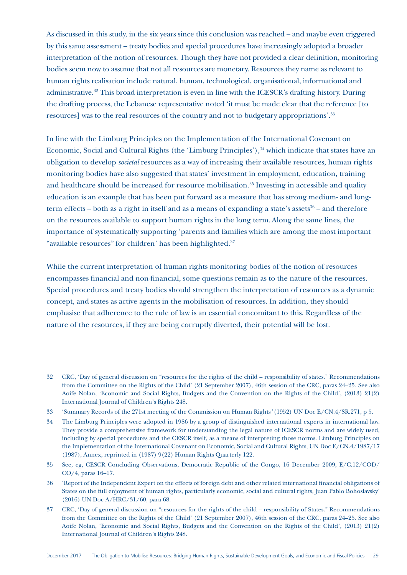As discussed in this study, in the six years since this conclusion was reached – and maybe even triggered by this same assessment – treaty bodies and special procedures have increasingly adopted a broader interpretation of the notion of resources. Though they have not provided a clear definition, monitoring bodies seem now to assume that not all resources are monetary. Resources they name as relevant to human rights realisation include natural, human, technological, organisational, informational and administrative.32 This broad interpretation is even in line with the ICESCR's drafting history. During the drafting process, the Lebanese representative noted 'it must be made clear that the reference [to resources] was to the real resources of the country and not to budgetary appropriations'.33

In line with the Limburg Principles on the Implementation of the International Covenant on Economic, Social and Cultural Rights (the 'Limburg Principles')*,* 34 which indicate that states have an obligation to develop *societal* resources as a way of increasing their available resources, human rights monitoring bodies have also suggested that states' investment in employment, education, training and healthcare should be increased for resource mobilisation.<sup>35</sup> Investing in accessible and quality education is an example that has been put forward as a measure that has strong medium- and longterm effects – both as a right in itself and as a means of expanding a state's assets $36$  – and therefore on the resources available to support human rights in the long term.Along the same lines, the importance of systematically supporting 'parents and families which are among the most important "available resources" for children' has been highlighted.<sup>37</sup>

While the current interpretation of human rights monitoring bodies of the notion of resources encompasses financial and non-financial, some questions remain as to the nature of the resources. Special procedures and treaty bodies should strengthen the interpretation of resources as a dynamic concept, and states as active agents in the mobilisation of resources. In addition, they should emphasise that adherence to the rule of law is an essential concomitant to this. Regardless of the nature of the resources, if they are being corruptly diverted, their potential will be lost.

<sup>32</sup> CRC, 'Day of general discussion on "resources for the rights of the child – responsibility of states." Recommendations from the Committee on the Rights of the Child' (21 September 2007), 46th session of the CRC, paras 24–25*.* See also Aoife Nolan, 'Economic and Social Rights, Budgets and the Convention on the Rights of the Child', (2013) 21(2) International Journal of Children's Rights 248.

<sup>33</sup> 'Summary Records of the 271st meeting of the Commission on Human Rights*'* (1952) UN Doc E/CN.4/SR.271, p 5.

<sup>34</sup> The Limburg Principles were adopted in 1986 by a group of distinguished international experts in international law. They provide a comprehensive framework for understanding the legal nature of ICESCR norms and are widely used, including by special procedures and the CESCR itself, as a means of interpreting those norms. Limburg Principles on the Implementation of the International Covenant on Economic, Social and Cultural Rights, UN Doc E/CN.4/1987/17 (1987), Annex, reprinted in (1987) 9(22) Human Rights Quarterly 122.

<sup>35</sup> See, eg, CESCR Concluding Observations, Democratic Republic of the Congo, 16 December 2009, E/C.12/COD/ CO/4, paras 16–17.

<sup>36</sup> 'Report of the Independent Expert on the effects of foreign debt and other related international financial obligations of States on the full enjoyment of human rights, particularly economic, social and cultural rights, Juan Pablo Bohoslavsky' (2016) UN Doc A/HRC/31/60, para 68.

<sup>37</sup> CRC, 'Day of general discussion on "resources for the rights of the child – responsibility of States." Recommendations from the Committee on the Rights of the Child' (21 September 2007), 46th session of the CRC, paras 24–25*.* See also Aoife Nolan, 'Economic and Social Rights, Budgets and the Convention on the Rights of the Child', (2013) 21(2) International Journal of Children's Rights 248.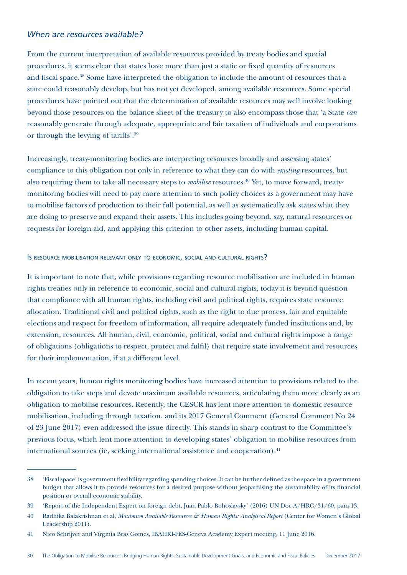#### *When are resources available?*

From the current interpretation of available resources provided by treaty bodies and special procedures, it seems clear that states have more than just a static or fixed quantity of resources and fiscal space.<sup>38</sup> Some have interpreted the obligation to include the amount of resources that a state could reasonably develop, but has not yet developed, among available resources. Some special procedures have pointed out that the determination of available resources may well involve looking beyond those resources on the balance sheet of the treasury to also encompass those that 'a State *can*  reasonably generate through adequate, appropriate and fair taxation of individuals and corporations or through the levying of tariffs'.39

Increasingly, treaty-monitoring bodies are interpreting resources broadly and assessing states' compliance to this obligation not only in reference to what they can do with *existing* resources, but also requiring them to take all necessary steps to *mobilise* resources.<sup>40</sup> Yet, to move forward, treatymonitoring bodies will need to pay more attention to such policy choices as a government may have to mobilise factors of production to their full potential, as well as systematically ask states what they are doing to preserve and expand their assets. This includes going beyond, say, natural resources or requests for foreign aid, and applying this criterion to other assets, including human capital.

#### Is resource mobilisation relevant only to economic, social and cultural rights?

It is important to note that, while provisions regarding resource mobilisation are included in human rights treaties only in reference to economic, social and cultural rights, today it is beyond question that compliance with all human rights, including civil and political rights, requires state resource allocation. Traditional civil and political rights, such as the right to due process, fair and equitable elections and respect for freedom of information, all require adequately funded institutions and, by extension, resources. All human, civil, economic, political, social and cultural rights impose a range of obligations (obligations to respect, protect and fulfil) that require state involvement and resources for their implementation, if at a different level.

In recent years, human rights monitoring bodies have increased attention to provisions related to the obligation to take steps and devote maximum available resources, articulating them more clearly as an obligation to mobilise resources. Recently, the CESCR has lent more attention to domestic resource mobilisation, including through taxation, and its 2017 General Comment (General Comment No 24 of 23 June 2017) even addressed the issue directly. This stands in sharp contrast to the Committee's previous focus, which lent more attention to developing states' obligation to mobilise resources from international sources (ie, seeking international assistance and cooperation).<sup>41</sup>

<sup>38</sup> 'Fiscal space' is government flexibility regarding spending choices. It can be further defined as the space in a government budget that allows it to provide resources for a desired purpose without jeopardising the sustainability of its financial position or overall economic stability.

<sup>39</sup> 'Report of the Independent Expert on foreign debt, Juan Pablo Bohoslavsky' (2016) UN Doc A/HRC/31/60, para 13.

<sup>40</sup> Radhika Balakrishnan et al, *Maximum Available Resources & Human Rights: Analytical Report* (Center for Women's Global Leadership 2011).

<sup>41</sup> Nico Schrijver and Virginia Bras Gomes, IBAHRI-FES-Geneva Academy Expert meeting, 11 June 2016.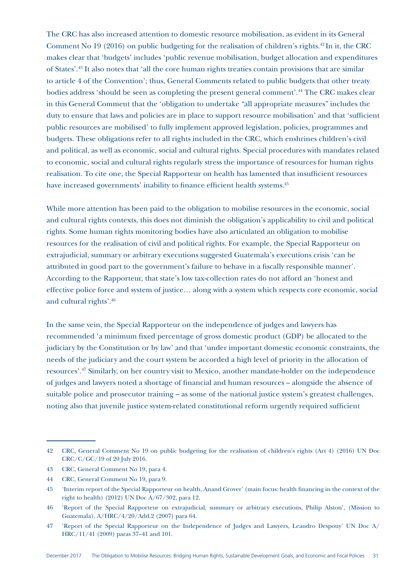The CRC has also increased attention to domestic resource mobilisation, as evident in its General Comment No 19 (2016) on public budgeting for the realisation of children's rights.42 In it, the CRC makes clear that 'budgets' includes 'public revenue mobilisation, budget allocation and expenditures of States'.43 It also notes that 'all the core human rights treaties contain provisions that are similar to article 4 of the Convention'; thus, General Comments related to public budgets that other treaty bodies address 'should be seen as completing the present general comment'.44 The CRC makes clear in this General Comment that the 'obligation to undertake "all appropriate measures" includes the duty to ensure that laws and policies are in place to support resource mobilisation' and that 'sufficient public resources are mobilised' to fully implement approved legislation, policies, programmes and budgets. These obligations refer to all rights included in the CRC, which enshrines children's civil and political, as well as economic, social and cultural rights. Special procedures with mandates related to economic, social and cultural rights regularly stress the importance of resources for human rights realisation. To cite one, the Special Rapporteur on health has lamented that insufficient resources have increased governments' inability to finance efficient health systems.<sup>45</sup>

While more attention has been paid to the obligation to mobilise resources in the economic, social and cultural rights contexts, this does not diminish the obligation's applicability to civil and political rights. Some human rights monitoring bodies have also articulated an obligation to mobilise resources for the realisation of civil and political rights. For example, the Special Rapporteur on extrajudicial, summary or arbitrary executions suggested Guatemala's executions crisis 'can be attributed in good part to the government's failure to behave in a fiscally responsible manner'. According to the Rapporteur, that state's low tax-collection rates do not afford an 'honest and effective police force and system of justice… along with a system which respects core economic, social and cultural rights'.46

In the same vein, the Special Rapporteur on the independence of judges and lawyers has recommended 'a minimum fixed percentage of gross domestic product (GDP) be allocated to the judiciary by the Constitution or by law' and that 'under important domestic economic constraints, the needs of the judiciary and the court system be accorded a high level of priority in the allocation of resources'.47 Similarly, on her country visit to Mexico, another mandate-holder on the independence of judges and lawyers noted a shortage of financial and human resources – alongside the absence of suitable police and prosecutor training – as some of the national justice system's greatest challenges, noting also that juvenile justice system-related constitutional reform urgently required sufficient

<sup>42</sup> CRC, General Comment No 19 on public budgeting for the realisation of children's rights (Art 4) (2016) UN Doc CRC/C/GC/19 of 20 July 2016.

<sup>43</sup> CRC, General Comment No 19, para 4.

<sup>44</sup> CRC, General Comment No 19, para 9.

<sup>45</sup> 'Interim report of the Special Rapporteur on health, Anand Grover' (main focus: health financing in the context of the right to health) (2012) UN Doc A/67/302, para 12.

<sup>46</sup> 'Report of the Special Rapporteur on extrajudicial, summary or arbitrary executions, Philip Alston', (Mission to Guatemala), A/HRC/4/20/Add.2 (2007) para 64.

<sup>47</sup> 'Report of the Special Rapporteur on the Independence of Judges and Lawyers, Leandro Despouy' UN Doc A/ HRC/11/41 (2009) paras 37–41 and 101.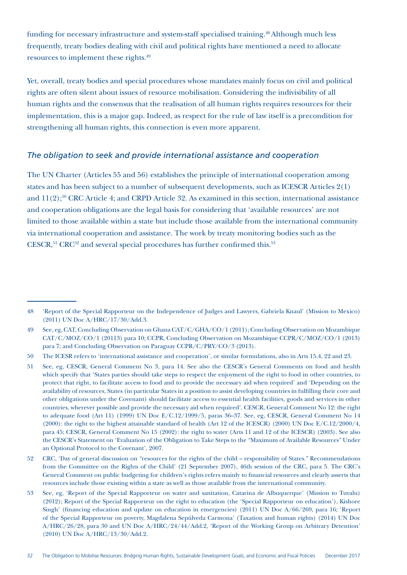funding for necessary infrastructure and system-staff specialised training.48 Although much less frequently, treaty bodies dealing with civil and political rights have mentioned a need to allocate resources to implement these rights.49

Yet, overall, treaty bodies and special procedures whose mandates mainly focus on civil and political rights are often silent about issues of resource mobilisation. Considering the indivisibility of all human rights and the consensus that the realisation of all human rights requires resources for their implementation, this is a major gap. Indeed, as respect for the rule of law itself is a precondition for strengthening all human rights, this connection is even more apparent.

#### *The obligation to seek and provide international assistance and cooperation*

The UN Charter (Articles 55 and 56) establishes the principle of international cooperation among states and has been subject to a number of subsequent developments, such as ICESCR Articles 2(1) and  $11(2)$ ;<sup>50</sup> CRC Article 4; and CRPD Article 32. As examined in this section, international assistance and cooperation obligations are the legal basis for considering that 'available resources' are not limited to those available within a state but include those available from the international community via international cooperation and assistance. The work by treaty monitoring bodies such as the  $CESCR$ <sup>51</sup>,  $CRC^{52}$  and several special procedures has further confirmed this.<sup>53</sup>

<sup>48</sup> 'Report of the Special Rapporteur on the Independence of Judges and Lawyers, Gabriela Knaul' (Mission to Mexico) (2011) UN Doc A/HRC/17/30/Add.3.

<sup>49</sup> See, eg, CAT, Concluding Observation on Ghana CAT/C/GHA/CO/1 (2011); Concluding Observation on Mozambique CAT/C/MOZ/CO/1 (20113) para 10; CCPR, Concluding Observation on Mozambique CCPR/C/MOZ/CO/1 (2013) para 7; and Concluding Observation on Paraguay CCPR/C/PRY/CO/3 (2013).

<sup>50</sup> The ICESR refers to 'international assistance and cooperation', or similar formulations, also in Arts 15.4, 22 and 23.

<sup>51</sup> See, eg, CESCR, General Comment No 3, para 14. See also the CESCR's General Comments on food and health which specify that 'States parties should take steps to respect the enjoyment of the right to food in other countries, to protect that right, to facilitate access to food and to provide the necessary aid when required' and 'Depending on the availability of resources, States (in particular States in a position to assist developing countries in fulfilling their core and other obligations under the Covenant) should facilitate access to essential health facilities, goods and services in other countries, wherever possible and provide the necessary aid when required'. CESCR, General Comment No 12: the right to adequate food (Art 11) (1999) UN Doc E/C.12/1999/5, paras 36–37. See, eg, CESCR, General Comment No 14 (2000): the right to the highest attainable standard of health (Art 12 of the ICESCR) (2000) UN Doc E/C.12/2000/4, para 45; CESCR, General Comment No 15 (2002): the right to water (Arts 11 and 12 of the ICESCR) (2003). See also the CESCR's Statement on 'Evaluation of the Obligation to Take Steps to the "Maximum of Available Resources" Under an Optional Protocol to the Covenant', 2007.

<sup>52</sup> CRC, 'Day of general discussion on "resources for the rights of the child – responsibility of States." Recommendations from the Committee on the Rights of the Child' (21 September 2007), 46th session of the CRC, para 5. The CRC's General Comment on public budgeting for children's rights refers mainly to financial resources and clearly asserts that resources include those existing within a state as well as those available from the international community.

<sup>53</sup> See, eg, 'Report of the Special Rapporteur on water and sanitation, Catarina de Albuquerque' (Mission to Tuvalu) (2012); Report of the Special Rapporteur on the right to education (the 'Special Rapporteur on education'), Kishore Singh' (financing education and update on education in emergencies) (2011) UN Doc A/66/269, para 16; 'Report of the Special Rapporteur on poverty, Magdalena Sepúlveda Carmona' (Taxation and human rights) (2014) UN Doc A/HRC/26/28, para 30 and UN Doc A/HRC/24/44/Add.2, 'Report of the Working Group on Arbitrary Detention' (2010) UN Doc A/HRC/13/30/Add.2.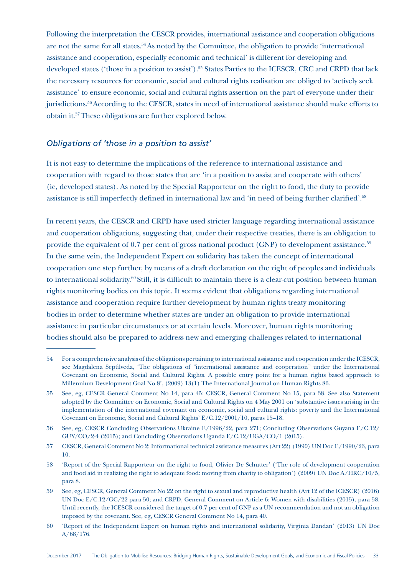Following the interpretation the CESCR provides, international assistance and cooperation obligations are not the same for all states.54 As noted by the Committee, the obligation to provide 'international assistance and cooperation, especially economic and technical' is different for developing and developed states ('those in a position to assist').<sup>55</sup> States Parties to the ICESCR, CRC and CRPD that lack the necessary resources for economic, social and cultural rights realisation are obliged to 'actively seek assistance' to ensure economic, social and cultural rights assertion on the part of everyone under their jurisdictions.<sup>56</sup> According to the CESCR, states in need of international assistance should make efforts to obtain it.57 These obligations are further explored below.

#### *Obligations of 'those in a position to assist'*

It is not easy to determine the implications of the reference to international assistance and cooperation with regard to those states that are 'in a position to assist and cooperate with others' (ie, developed states). As noted by the Special Rapporteur on the right to food, the duty to provide assistance is still imperfectly defined in international law and 'in need of being further clarified'.58

In recent years, the CESCR and CRPD have used stricter language regarding international assistance and cooperation obligations, suggesting that, under their respective treaties, there is an obligation to provide the equivalent of 0.7 per cent of gross national product (GNP) to development assistance.<sup>59</sup> In the same vein, the Independent Expert on solidarity has taken the concept of international cooperation one step further, by means of a draft declaration on the right of peoples and individuals to international solidarity.<sup>60</sup> Still, it is difficult to maintain there is a clear-cut position between human rights monitoring bodies on this topic. It seems evident that obligations regarding international assistance and cooperation require further development by human rights treaty monitoring bodies in order to determine whether states are under an obligation to provide international assistance in particular circumstances or at certain levels. Moreover, human rights monitoring bodies should also be prepared to address new and emerging challenges related to international

<sup>54</sup> For a comprehensive analysis of the obligations pertaining to international assistance and cooperation under the ICESCR, see Magdalena Sepúlveda, 'The obligations of "international assistance and cooperation" under the International Covenant on Economic, Social and Cultural Rights. A possible entry point for a human rights based approach to Millennium Development Goal No 8', (2009) 13(1) The International Journal on Human Rights 86.

<sup>55</sup> See, eg, CESCR General Comment No 14, para 45; CESCR, General Comment No 15, para 38. See also Statement adopted by the Committee on Economic, Social and Cultural Rights on 4 May 2001 on 'substantive issues arising in the implementation of the international covenant on economic, social and cultural rights: poverty and the International Covenant on Economic, Social and Cultural Rights' E/C.12/2001/10, paras 15–18.

<sup>56</sup> See, eg, CESCR Concluding Observations Ukraine E/1996/22, para 271; Concluding Observations Guyana E/C.12/ GUY/CO/2-4 (2015); and Concluding Observations Uganda E/C.12/UGA/CO/1 (2015).

<sup>57</sup> CESCR, General Comment No 2: Informational technical assistance measures (Art 22) (1990) UN Doc E/1990/23, para 10.

<sup>58</sup> 'Report of the Special Rapporteur on the right to food, Olivier De Schutter' ('The role of development cooperation and food aid in realizing the right to adequate food: moving from charity to obligation') (2009) UN Doc A/HRC/10/5, para 8.

<sup>59</sup> See, eg, CESCR, General Comment No 22 on the right to sexual and reproductive health (Art 12 of the ICESCR) (2016) UN Doc E/C.12/GC/22 para 50; and CRPD, General Comment on Article 6: Women with disabilities (2015), para 58. Until recently, the ICESCR considered the target of 0.7 per cent of GNP as a UN recommendation and not an obligation imposed by the covenant. See, eg, CESCR General Comment No 14, para 40.

<sup>60</sup> 'Report of the Independent Expert on human rights and international solidarity, Virginia Dandan' (2013) UN Doc A/68/176.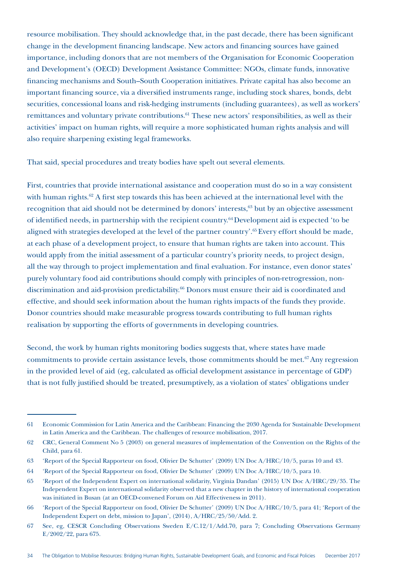resource mobilisation. They should acknowledge that, in the past decade, there has been significant change in the development financing landscape. New actors and financing sources have gained importance, including donors that are not members of the Organisation for Economic Cooperation and Development's (OECD) Development Assistance Committee: NGOs, climate funds, innovative financing mechanisms and South–South Cooperation initiatives. Private capital has also become an important financing source, via a diversified instruments range, including stock shares, bonds, debt securities, concessional loans and risk-hedging instruments (including guarantees), as well as workers' remittances and voluntary private contributions.<sup>61</sup> These new actors' responsibilities, as well as their activities' impact on human rights, will require a more sophisticated human rights analysis and will also require sharpening existing legal frameworks.

That said, special procedures and treaty bodies have spelt out several elements.

First, countries that provide international assistance and cooperation must do so in a way consistent with human rights.<sup>62</sup> A first step towards this has been achieved at the international level with the recognition that aid should not be determined by donors' interests,<sup>63</sup> but by an objective assessment of identified needs, in partnership with the recipient country.64 Development aid is expected 'to be aligned with strategies developed at the level of the partner country'.65 Every effort should be made, at each phase of a development project, to ensure that human rights are taken into account. This would apply from the initial assessment of a particular country's priority needs, to project design, all the way through to project implementation and final evaluation. For instance, even donor states' purely voluntary food aid contributions should comply with principles of non-retrogression, nondiscrimination and aid-provision predictability.66 Donors must ensure their aid is coordinated and effective, and should seek information about the human rights impacts of the funds they provide. Donor countries should make measurable progress towards contributing to full human rights realisation by supporting the efforts of governments in developing countries.

Second, the work by human rights monitoring bodies suggests that, where states have made commitments to provide certain assistance levels, those commitments should be met.<sup>67</sup> Any regression in the provided level of aid (eg, calculated as official development assistance in percentage of GDP) that is not fully justified should be treated, presumptively, as a violation of states' obligations under

<sup>61</sup> Economic Commission for Latin America and the Caribbean: Financing the 2030 Agenda for Sustainable Development in Latin America and the Caribbean. The challenges of resource mobilisation, 2017.

<sup>62</sup> CRC, General Comment No 5 (2003) on general measures of implementation of the Convention on the Rights of the Child, para 61.

<sup>63</sup> 'Report of the Special Rapporteur on food, Olivier De Schutter' (2009) UN Doc A/HRC/10/5, paras 10 and 43.

<sup>64</sup> 'Report of the Special Rapporteur on food, Olivier De Schutter' (2009) UN Doc A/HRC/10/5, para 10.

<sup>65</sup> 'Report of the Independent Expert on international solidarity, Virginia Dandan' (2015) UN Doc A/HRC/29/35. The Independent Expert on international solidarity observed that a new chapter in the history of international cooperation was initiated in Busan (at an OECD-convened Forum on Aid Effectiveness in 2011).

<sup>66</sup> 'Report of the Special Rapporteur on food, Olivier De Schutter' (2009) UN Doc A/HRC/10/5, para 41; 'Report of the Independent Expert on debt, mission to Japan', (2014), A/HRC/25/50/Add. 2.

<sup>67</sup> See, eg, CESCR Concluding Observations Sweden E/C.12/1/Add.70, para 7; Concluding Observations Germany E/2002/22, para 675.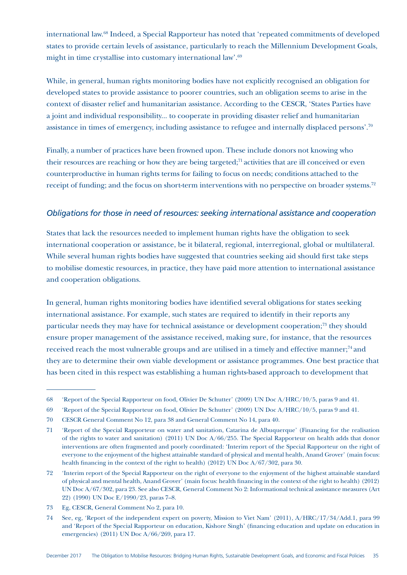international law.68 Indeed, a Special Rapporteur has noted that 'repeated commitments of developed states to provide certain levels of assistance, particularly to reach the Millennium Development Goals, might in time crystallise into customary international law'.69

While, in general, human rights monitoring bodies have not explicitly recognised an obligation for developed states to provide assistance to poorer countries, such an obligation seems to arise in the context of disaster relief and humanitarian assistance. According to the CESCR, 'States Parties have a joint and individual responsibility... to cooperate in providing disaster relief and humanitarian assistance in times of emergency, including assistance to refugee and internally displaced persons'.70

Finally, a number of practices have been frowned upon. These include donors not knowing who their resources are reaching or how they are being targeted; $71$  activities that are ill conceived or even counterproductive in human rights terms for failing to focus on needs; conditions attached to the receipt of funding; and the focus on short-term interventions with no perspective on broader systems.72

### *Obligations for those in need of resources: seeking international assistance and cooperation*

States that lack the resources needed to implement human rights have the obligation to seek international cooperation or assistance, be it bilateral, regional, interregional, global or multilateral. While several human rights bodies have suggested that countries seeking aid should first take steps to mobilise domestic resources, in practice, they have paid more attention to international assistance and cooperation obligations.

In general, human rights monitoring bodies have identified several obligations for states seeking international assistance. For example, such states are required to identify in their reports any particular needs they may have for technical assistance or development cooperation;<sup>73</sup> they should ensure proper management of the assistance received, making sure, for instance, that the resources received reach the most vulnerable groups and are utilised in a timely and effective manner;<sup>74</sup> and they are to determine their own viable development or assistance programmes. One best practice that has been cited in this respect was establishing a human rights-based approach to development that

<sup>68</sup> 'Report of the Special Rapporteur on food, Olivier De Schutter' (2009) UN Doc A/HRC/10/5, paras 9 and 41.

<sup>69</sup> 'Report of the Special Rapporteur on food, Olivier De Schutter' (2009) UN Doc A/HRC/10/5, paras 9 and 41.

<sup>70</sup> CESCR General Comment No 12, para 38 and General Comment No 14, para 40.

<sup>71</sup> 'Report of the Special Rapporteur on water and sanitation, Catarina de Albuquerque' (Financing for the realisation of the rights to water and sanitation) (2011) UN Doc A/66/255. The Special Rapporteur on health adds that donor interventions are often fragmented and poorly coordinated: 'Interim report of the Special Rapporteur on the right of everyone to the enjoyment of the highest attainable standard of physical and mental health, Anand Grover' (main focus: health financing in the context of the right to health) (2012) UN Doc A/67/302, para 30.

<sup>72</sup> 'Interim report of the Special Rapporteur on the right of everyone to the enjoyment of the highest attainable standard of physical and mental health, Anand Grover' (main focus: health financing in the context of the right to health) (2012) UN Doc A/67/302, para 23. See also CESCR, General Comment No 2: Informational technical assistance measures (Art 22) (1990) UN Doc E/1990/23*,* paras 7–8.

<sup>73</sup> Eg, CESCR, General Comment No 2, para 10.

<sup>74</sup> See, eg, 'Report of the independent expert on poverty, Mission to Viet Nam' (2011), A/HRC/17/34/Add.1, para 99 and 'Report of the Special Rapporteur on education, Kishore Singh' (financing education and update on education in emergencies) (2011) UN Doc A/66/269, para 17.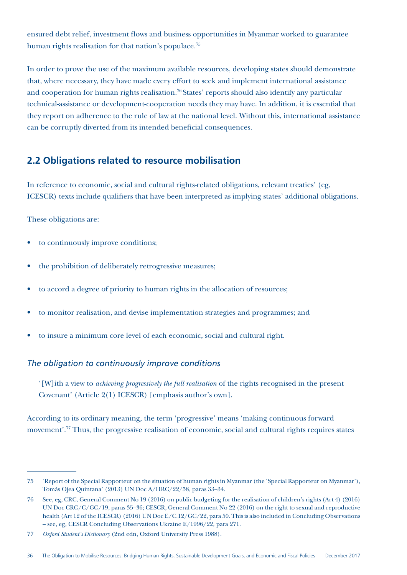ensured debt relief, investment flows and business opportunities in Myanmar worked to guarantee human rights realisation for that nation's populace.<sup>75</sup>

In order to prove the use of the maximum available resources, developing states should demonstrate that, where necessary, they have made every effort to seek and implement international assistance and cooperation for human rights realisation.<sup>76</sup> States' reports should also identify any particular technical-assistance or development-cooperation needs they may have. In addition, it is essential that they report on adherence to the rule of law at the national level. Without this, international assistance can be corruptly diverted from its intended beneficial consequences.

# **2.2 Obligations related to resource mobilisation**

In reference to economic, social and cultural rights-related obligations, relevant treaties' (eg, ICESCR) texts include qualifiers that have been interpreted as implying states' additional obligations.

These obligations are:

- to continuously improve conditions;
- the prohibition of deliberately retrogressive measures;
- to accord a degree of priority to human rights in the allocation of resources;
- to monitor realisation, and devise implementation strategies and programmes; and
- to insure a minimum core level of each economic, social and cultural right.

### *The obligation to continuously improve conditions*

'[W]ith a view to *achieving progressively the full realisation* of the rights recognised in the present Covenant' (Article 2(1) ICESCR) [emphasis author's own].

According to its ordinary meaning, the term 'progressive' means 'making continuous forward movement'.77 Thus, the progressive realisation of economic, social and cultural rights requires states

<sup>75</sup> 'Report of the Special Rapporteur on the situation of human rights in Myanmar (the 'Special Rapporteur on Myanmar'), Tomás Ojea Quintana' (2013) UN Doc A/HRC/22/58, paras 33–34.

<sup>76</sup> See, eg, CRC, General Comment No 19 (2016) on public budgeting for the realisation of children's rights (Art 4) (2016) UN Doc CRC/C/GC/19, paras 35–36; CESCR, General Comment No 22 (2016) on the right to sexual and reproductive health (Art 12 of the ICESCR) (2016) UN Doc E/C.12/GC/22, para 50. This is also included in Concluding Observations – see, eg, CESCR Concluding Observations Ukraine E/1996/22, para 271.

<sup>77</sup> *Oxford Student's Dictionary* (2nd edn, Oxford University Press 1988).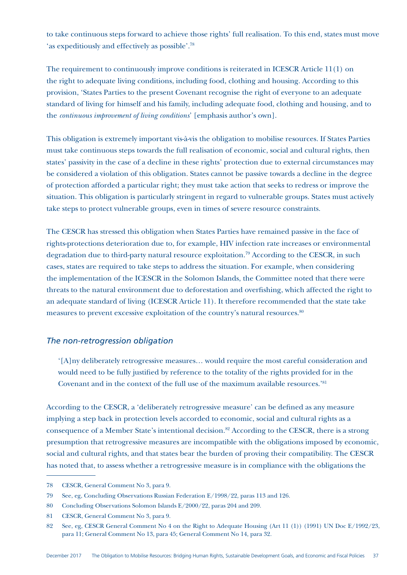to take continuous steps forward to achieve those rights' full realisation. To this end, states must move 'as expeditiously and effectively as possible'.78

The requirement to continuously improve conditions is reiterated in ICESCR Article 11(1) on the right to adequate living conditions, including food, clothing and housing. According to this provision, 'States Parties to the present Covenant recognise the right of everyone to an adequate standard of living for himself and his family, including adequate food, clothing and housing, and to the *continuous improvement of living conditions*' [emphasis author's own].

This obligation is extremely important vis-à-vis the obligation to mobilise resources. If States Parties must take continuous steps towards the full realisation of economic, social and cultural rights, then states' passivity in the case of a decline in these rights' protection due to external circumstances may be considered a violation of this obligation. States cannot be passive towards a decline in the degree of protection afforded a particular right; they must take action that seeks to redress or improve the situation. This obligation is particularly stringent in regard to vulnerable groups. States must actively take steps to protect vulnerable groups, even in times of severe resource constraints.

The CESCR has stressed this obligation when States Parties have remained passive in the face of rights-protections deterioration due to, for example, HIV infection rate increases or environmental degradation due to third-party natural resource exploitation.79 According to the CESCR, in such cases, states are required to take steps to address the situation. For example, when considering the implementation of the ICESCR in the Solomon Islands, the Committee noted that there were threats to the natural environment due to deforestation and overfishing, which affected the right to an adequate standard of living (ICESCR Article 11). It therefore recommended that the state take measures to prevent excessive exploitation of the country's natural resources.<sup>80</sup>

#### *The non-retrogression obligation*

'[A]ny deliberately retrogressive measures… would require the most careful consideration and would need to be fully justified by reference to the totality of the rights provided for in the Covenant and in the context of the full use of the maximum available resources.'81

According to the CESCR, a 'deliberately retrogressive measure' can be defined as any measure implying a step back in protection levels accorded to economic, social and cultural rights as a consequence of a Member State's intentional decision.<sup>82</sup> According to the CESCR, there is a strong presumption that retrogressive measures are incompatible with the obligations imposed by economic, social and cultural rights, and that states bear the burden of proving their compatibility. The CESCR has noted that, to assess whether a retrogressive measure is in compliance with the obligations the

<sup>78</sup> CESCR, General Comment No 3, para 9.

<sup>79</sup> See, eg, Concluding Observations Russian Federation E/1998/22, paras 113 and 126.

<sup>80</sup> Concluding Observations Solomon Islands E/2000/22, paras 204 and 209.

<sup>81</sup> CESCR, General Comment No 3, para 9.

<sup>82</sup> See, eg, CESCR General Comment No 4 on the Right to Adequate Housing (Art 11 (1)) (1991) UN Doc E/1992/23, para 11; General Comment No 13, para 45; General Comment No 14, para 32.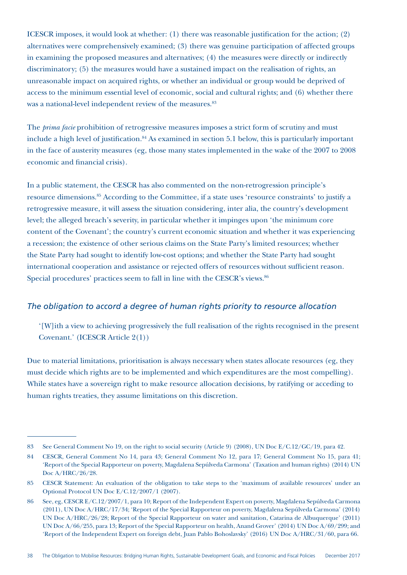ICESCR imposes, it would look at whether: (1) there was reasonable justification for the action; (2) alternatives were comprehensively examined; (3) there was genuine participation of affected groups in examining the proposed measures and alternatives; (4) the measures were directly or indirectly discriminatory; (5) the measures would have a sustained impact on the realisation of rights, an unreasonable impact on acquired rights, or whether an individual or group would be deprived of access to the minimum essential level of economic, social and cultural rights; and (6) whether there was a national-level independent review of the measures.<sup>83</sup>

The *prima facie* prohibition of retrogressive measures imposes a strict form of scrutiny and must include a high level of justification.<sup>84</sup> As examined in section 5.1 below, this is particularly important in the face of austerity measures (eg, those many states implemented in the wake of the 2007 to 2008 economic and financial crisis).

In a public statement, the CESCR has also commented on the non-retrogression principle's resource dimensions.<sup>85</sup> According to the Committee, if a state uses 'resource constraints' to justify a retrogressive measure, it will assess the situation considering, inter alia, the country's development level; the alleged breach's severity, in particular whether it impinges upon 'the minimum core content of the Covenant'; the country's current economic situation and whether it was experiencing a recession; the existence of other serious claims on the State Party's limited resources; whether the State Party had sought to identify low-cost options; and whether the State Party had sought international cooperation and assistance or rejected offers of resources without sufficient reason. Special procedures' practices seem to fall in line with the CESCR's views.<sup>86</sup>

### *The obligation to accord a degree of human rights priority to resource allocation*

'[W]ith a view to achieving progressively the full realisation of the rights recognised in the present Covenant.' (ICESCR Article 2(1))

Due to material limitations, prioritisation is always necessary when states allocate resources (eg, they must decide which rights are to be implemented and which expenditures are the most compelling). While states have a sovereign right to make resource allocation decisions, by ratifying or acceding to human rights treaties, they assume limitations on this discretion.

<sup>83</sup> See General Comment No 19, on the right to social security (Article 9) (2008), UN Doc E/C.12/GC/19, para 42.

<sup>84</sup> CESCR, General Comment No 14, para 43; General Comment No 12, para 17; General Comment No 15, para 41; 'Report of the Special Rapporteur on poverty, Magdalena Sepúlveda Carmona' (Taxation and human rights) (2014) UN Doc A/HRC/26/28.

<sup>85</sup> CESCR Statement: An evaluation of the obligation to take steps to the 'maximum of available resources' under an Optional Protocol UN Doc E/C.12/2007/1 (2007).

<sup>86</sup> See, eg, CESCR E/C.12/2007/1, para 10; Report of the Independent Expert on poverty, Magdalena Sepúlveda Carmona (2011), UN Doc A/HRC/17/34; 'Report of the Special Rapporteur on poverty, Magdalena Sepúlveda Carmona' (2014) UN Doc A/HRC/26/28; Report of the Special Rapporteur on water and sanitation, Catarina de Albuquerque' (2011) UN Doc A/66/255, para 13; Report of the Special Rapporteur on health, Anand Grover' (2014) UN Doc A/69/299; and 'Report of the Independent Expert on foreign debt, Juan Pablo Bohoslavsky' (2016) UN Doc A/HRC/31/60, para 66.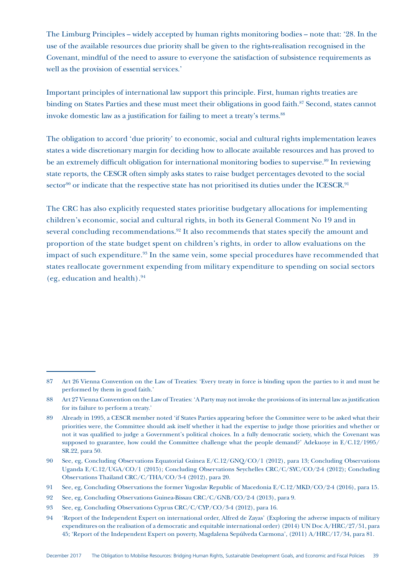The Limburg Principles – widely accepted by human rights monitoring bodies – note that: '28. In the use of the available resources due priority shall be given to the rights-realisation recognised in the Covenant, mindful of the need to assure to everyone the satisfaction of subsistence requirements as well as the provision of essential services.'

Important principles of international law support this principle. First, human rights treaties are binding on States Parties and these must meet their obligations in good faith.<sup>87</sup> Second, states cannot invoke domestic law as a justification for failing to meet a treaty's terms.<sup>88</sup>

The obligation to accord 'due priority' to economic, social and cultural rights implementation leaves states a wide discretionary margin for deciding how to allocate available resources and has proved to be an extremely difficult obligation for international monitoring bodies to supervise.<sup>89</sup> In reviewing state reports, the CESCR often simply asks states to raise budget percentages devoted to the social sector<sup>90</sup> or indicate that the respective state has not prioritised its duties under the ICESCR.<sup>91</sup>

The CRC has also explicitly requested states prioritise budgetary allocations for implementing children's economic, social and cultural rights, in both its General Comment No 19 and in several concluding recommendations.<sup>92</sup> It also recommends that states specify the amount and proportion of the state budget spent on children's rights, in order to allow evaluations on the impact of such expenditure.<sup>93</sup> In the same vein, some special procedures have recommended that states reallocate government expending from military expenditure to spending on social sectors (eg, education and health). $94$ 

<sup>87</sup> Art 26 Vienna Convention on the Law of Treaties: 'Every treaty in force is binding upon the parties to it and must be performed by them in good faith.'

<sup>88</sup> Art 27 Vienna Convention on the Law of Treaties: 'A Party may not invoke the provisions of its internal law as justification for its failure to perform a treaty.'

<sup>89</sup> Already in 1995, a CESCR member noted 'if States Parties appearing before the Committee were to be asked what their priorities were, the Committee should ask itself whether it had the expertise to judge those priorities and whether or not it was qualified to judge a Government's political choices. In a fully democratic society, which the Covenant was supposed to guarantee, how could the Committee challenge what the people demand?' Adekuoye in E/C.12/1995/ SR.22, para 50.

<sup>90</sup> See, eg, Concluding Observations Equatorial Guinea E/C.12/GNQ/CO/1 (2012), para 13; Concluding Observations Uganda E/C.12/UGA/CO/1 (2015); Concluding Observations Seychelles CRC/C/SYC/CO/2-4 (2012); Concluding Observations Thailand CRC/C/THA/CO/3-4 (2012), para 20.

<sup>91</sup> See, eg, Concluding Observations the former Yugoslav Republic of Macedonia E/C.12/MKD/CO/2-4 (2016), para 15.

<sup>92</sup> See, eg, Concluding Observations Guinea-Bissau CRC/C/GNB/CO/2-4 (2013), para 9.

<sup>93</sup> See, eg, Concluding Observations Cyprus CRC/C/CYP/CO/3-4 (2012), para 16.

<sup>94</sup> 'Report of the Independent Expert on international order, Alfred de Zayas' (Exploring the adverse impacts of military expenditures on the realisation of a democratic and equitable international order) (2014) UN Doc A/HRC/27/51, para 45; 'Report of the Independent Expert on poverty, Magdalena Sepúlveda Carmona', (2011) A/HRC/17/34, para 81.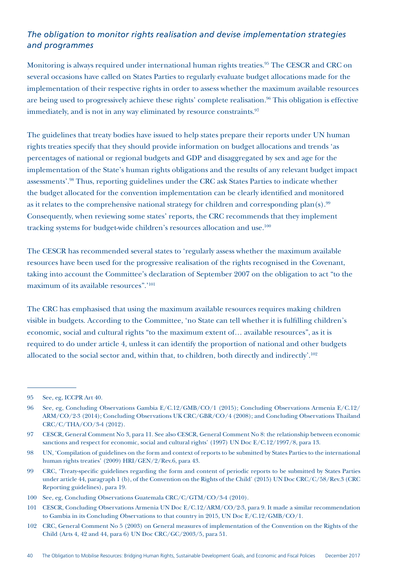# *The obligation to monitor rights realisation and devise implementation strategies and programmes*

Monitoring is always required under international human rights treaties.<sup>95</sup> The CESCR and CRC on several occasions have called on States Parties to regularly evaluate budget allocations made for the implementation of their respective rights in order to assess whether the maximum available resources are being used to progressively achieve these rights' complete realisation.<sup>96</sup> This obligation is effective immediately, and is not in any way eliminated by resource constraints.<sup>97</sup>

The guidelines that treaty bodies have issued to help states prepare their reports under UN human rights treaties specify that they should provide information on budget allocations and trends 'as percentages of national or regional budgets and GDP and disaggregated by sex and age for the implementation of the State's human rights obligations and the results of any relevant budget impact assessments'.98 Thus, reporting guidelines under the CRC ask States Parties to indicate whether the budget allocated for the convention implementation can be clearly identified and monitored as it relates to the comprehensive national strategy for children and corresponding plan $(s)$ .<sup>99</sup> Consequently, when reviewing some states' reports, the CRC recommends that they implement tracking systems for budget-wide children's resources allocation and use.<sup>100</sup>

The CESCR has recommended several states to 'regularly assess whether the maximum available resources have been used for the progressive realisation of the rights recognised in the Covenant, taking into account the Committee's declaration of September 2007 on the obligation to act "to the maximum of its available resources".'101

The CRC has emphasised that using the maximum available resources requires making children visible in budgets. According to the Committee, 'no State can tell whether it is fulfilling children's economic, social and cultural rights "to the maximum extent of… available resources", as it is required to do under article 4, unless it can identify the proportion of national and other budgets allocated to the social sector and, within that, to children, both directly and indirectly'.102

<sup>95</sup> See, eg, ICCPR Art 40.

<sup>96</sup> See, eg, Concluding Observations Gambia E/C.12/GMB/CO/1 (2015); Concluding Observations Armenia E/C.12/ ARM/CO/2-3 (2014); Concluding Observations UK CRC/GBR/CO/4 (2008); and Concluding Observations Thailand CRC/C/THA/CO/3-4 (2012).

<sup>97</sup> CESCR, General Comment No 3, para 11. See also CESCR, General Comment No 8: the relationship between economic sanctions and respect for economic, social and cultural rights' (1997) UN Doc E/C.12/1997/8, para 13.

<sup>98</sup> UN, 'Compilation of guidelines on the form and context of reports to be submitted by States Parties to the international human rights treaties' (2009) HRI/GEN/2/Rev.6, para 43.

<sup>99</sup> CRC, 'Treaty-specific guidelines regarding the form and content of periodic reports to be submitted by States Parties under article 44, paragraph 1 (b), of the Convention on the Rights of the Child' (2015) UN Doc CRC/C/58/Rev.3 (CRC Reporting guidelines), para 19.

<sup>100</sup> See, eg, Concluding Observations Guatemala CRC/C/GTM/CO/3-4 (2010).

<sup>101</sup> CESCR, Concluding Observations Armenia UN Doc E/C.12/ARM/CO/2-3, para 9. It made a similar recommendation to Gambia in its Concluding Observations to that country in 2015, UN Doc E/C.12/GMB/CO/1.

<sup>102</sup> CRC, General Comment No 5 (2003) on General measures of implementation of the Convention on the Rights of the Child (Arts 4, 42 and 44, para 6) UN Doc CRC/GC/2003/5, para 51.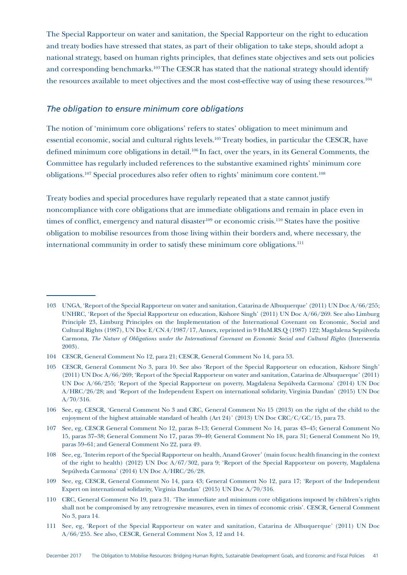The Special Rapporteur on water and sanitation, the Special Rapporteur on the right to education and treaty bodies have stressed that states, as part of their obligation to take steps, should adopt a national strategy, based on human rights principles, that defines state objectives and sets out policies and corresponding benchmarks.<sup>103</sup> The CESCR has stated that the national strategy should identify the resources available to meet objectives and the most cost-effective way of using these resources.104

#### *The obligation to ensure minimum core obligations*

The notion of 'minimum core obligations' refers to states' obligation to meet minimum and essential economic, social and cultural rights levels.105 Treaty bodies, in particular the CESCR, have defined minimum core obligations in detail.<sup>106</sup> In fact, over the years, in its General Comments, the Committee has regularly included references to the substantive examined rights' minimum core obligations.107 Special procedures also refer often to rights' minimum core content.108

Treaty bodies and special procedures have regularly repeated that a state cannot justify noncompliance with core obligations that are immediate obligations and remain in place even in times of conflict, emergency and natural disaster<sup>109</sup> or economic crisis.<sup>110</sup> States have the positive obligation to mobilise resources from those living within their borders and, where necessary, the international community in order to satisfy these minimum core obligations.<sup>111</sup>

<sup>103</sup> UNGA, 'Report of the Special Rapporteur on water and sanitation, Catarina de Albuquerque' (2011) UN Doc A/66/255; UNHRC, 'Report of the Special Rapporteur on education, Kishore Singh' (2011) UN Doc A/66/269. See also Limburg Principle 23, Limburg Principles on the Implementation of the International Covenant on Economic, Social and Cultural Rights (1987), UN Doc E/CN.4/1987/17, Annex, reprinted in 9 HuM.RS.Q (1987) 122; Magdalena Sepúlveda Carmona, *The Nature of Obligations under the International Covenant on Economic Social and Cultural Rights* (Intersentia 2003).

<sup>104</sup> CESCR, General Comment No 12, para 21; CESCR, General Comment No 14, para 53.

<sup>105</sup> CESCR, General Comment No 3, para 10. See also 'Report of the Special Rapporteur on education, Kishore Singh' (2011) UN Doc A/66/269; 'Report of the Special Rapporteur on water and sanitation, Catarina de Albuquerque' (2011) UN Doc A/66/255; 'Report of the Special Rapporteur on poverty, Magdalena Sepúlveda Carmona' (2014) UN Doc A/HRC/26/28; and 'Report of the Independent Expert on international solidarity, Virginia Dandan' (2015) UN Doc A/70/316.

<sup>106</sup> See, eg, CESCR, 'General Comment No 3 and CRC, General Comment No 15 (2013) on the right of the child to the enjoyment of the highest attainable standard of health (Art 24)' (2013) UN Doc CRC/C/GC/15*,* para 73.

<sup>107</sup> See, eg, CESCR General Comment No 12, paras 8–13; General Comment No 14, paras 43–45; General Comment No 15, paras 37–38; General Comment No 17, paras 39–40; General Comment No 18, para 31; General Comment No 19, paras 59–61; and General Comment No 22, para 49.

<sup>108</sup> See, eg, 'Interim report of the Special Rapporteur on health, Anand Grover' (main focus: health financing in the context of the right to health) (2012) UN Doc A/67/302, para 9; 'Report of the Special Rapporteur on poverty, Magdalena Sepúlveda Carmona' (2014) UN Doc A/HRC/26/28.

<sup>109</sup> See, eg, CESCR, General Comment No 14, para 43; General Comment No 12, para 17; 'Report of the Independent Expert on international solidarity, Virginia Dandan' (2015) UN Doc A/70/316.

<sup>110</sup> CRC, General Comment No 19, para 31. 'The immediate and minimum core obligations imposed by children's rights shall not be compromised by any retrogressive measures, even in times of economic crisis'. CESCR, General Comment No 3, para 14.

<sup>111</sup> See, eg, 'Report of the Special Rapporteur on water and sanitation, Catarina de Albuquerque' (2011) UN Doc A/66/255. See also, CESCR, General Comment Nos 3, 12 and 14.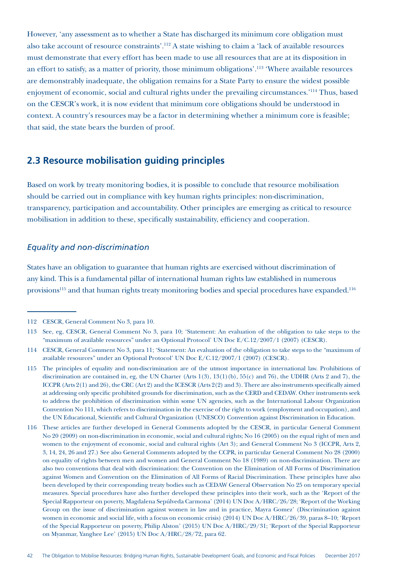However, 'any assessment as to whether a State has discharged its minimum core obligation must also take account of resource constraints'.112 A state wishing to claim a 'lack of available resources must demonstrate that every effort has been made to use all resources that are at its disposition in an effort to satisfy, as a matter of priority, those minimum obligations'.113 'Where available resources are demonstrably inadequate, the obligation remains for a State Party to ensure the widest possible enjoyment of economic, social and cultural rights under the prevailing circumstances.'114 Thus, based on the CESCR's work, it is now evident that minimum core obligations should be understood in context. A country's resources may be a factor in determining whether a minimum core is feasible; that said, the state bears the burden of proof.

# **2.3 Resource mobilisation guiding principles**

Based on work by treaty monitoring bodies, it is possible to conclude that resource mobilisation should be carried out in compliance with key human rights principles: non-discrimination, transparency, participation and accountability. Other principles are emerging as critical to resource mobilisation in addition to these, specifically sustainability, efficiency and cooperation.

#### *Equality and non-discrimination*

States have an obligation to guarantee that human rights are exercised without discrimination of any kind. This is a fundamental pillar of international human rights law established in numerous provisions<sup>115</sup> and that human rights treaty monitoring bodies and special procedures have expanded.<sup>116</sup>

<sup>112</sup> CESCR, General Comment No 3, para 10.

<sup>113</sup> See, eg, CESCR, General Comment No 3, para 10; 'Statement: An evaluation of the obligation to take steps to the "maximum of available resources" under an Optional Protocol' UN Doc E/C.12/2007/1 (2007) (CESCR).

<sup>114</sup> CESCR, General Comment No 3, para 11; 'Statement: An evaluation of the obligation to take steps to the "maximum of available resources" under an Optional Protocol' UN Doc E/C.12/2007/1 (2007) (CESCR).

<sup>115</sup> The principles of equality and non-discrimination are of the utmost importance in international law. Prohibitions of discrimination are contained in, eg, the UN Charter (Arts 1(3), 13(1)(b), 55(c) and 76), the UDHR (Arts 2 and 7), the ICCPR (Arts 2(1) and 26), the CRC (Art 2) and the ICESCR (Arts 2(2) and 3). There are also instruments specifically aimed at addressing only specific prohibited grounds for discrimination, such as the CERD and CEDAW. Other instruments seek to address the prohibition of discrimination within some UN agencies, such as the International Labour Organization Convention No 111, which refers to discrimination in the exercise of the right to work (employment and occupation), and the UN Educational, Scientific and Cultural Organization (UNESCO) Convention against Discrimination in Education.

<sup>116</sup> These articles are further developed in General Comments adopted by the CESCR, in particular General Comment No 20 (2009) on non-discrimination in economic, social and cultural rights; No 16 (2005) on the equal right of men and women to the enjoyment of economic, social and cultural rights (Art 3); and General Comment No 3 (ICCPR, Arts 2, 3, 14, 24, 26 and 27.) See also General Comments adopted by the CCPR, in particular General Comment No 28 (2000) on equality of rights between men and women and General Comment No 18 (1989) on non-discrimination. There are also two conventions that deal with discrimination: the Convention on the Elimination of All Forms of Discrimination against Women and Convention on the Elimination of All Forms of Racial Discrimination. These principles have also been developed by their corresponding treaty bodies such as CEDAW General Observation No 25 on temporary special measures. Special procedures have also further developed these principles into their work, such as the 'Report of the Special Rapporteur on poverty, Magdalena Sepúlveda Carmona' (2014) UN Doc A/HRC/26/28; 'Report of the Working Group on the issue of discrimination against women in law and in practice, Mayra Gomez' (Discrimination against women in economic and social life, with a focus on economic crisis) (2014) UN Doc A/HRC/26/39, paras 8–10; 'Report of the Special Rapporteur on poverty, Philip Alston' (2015) UN Doc A/HRC/29/31; 'Report of the Special Rapporteur on Myanmar, Yanghee Lee' (2015) UN Doc A/HRC/28/72, para 62.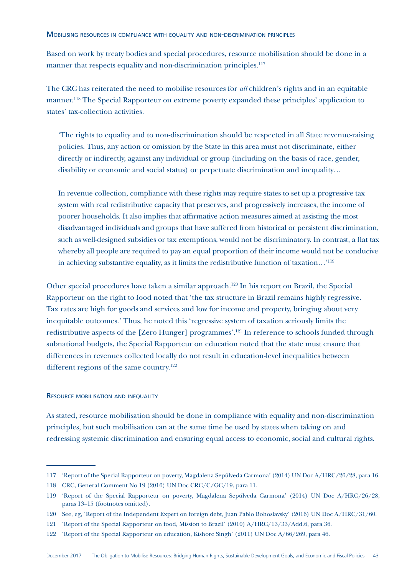Based on work by treaty bodies and special procedures, resource mobilisation should be done in a manner that respects equality and non-discrimination principles.<sup>117</sup>

The CRC has reiterated the need to mobilise resources for *all* children's rights and in an equitable manner.<sup>118</sup> The Special Rapporteur on extreme poverty expanded these principles' application to states' tax-collection activities.

'The rights to equality and to non-discrimination should be respected in all State revenue-raising policies. Thus, any action or omission by the State in this area must not discriminate, either directly or indirectly, against any individual or group (including on the basis of race, gender, disability or economic and social status) or perpetuate discrimination and inequality…

In revenue collection, compliance with these rights may require states to set up a progressive tax system with real redistributive capacity that preserves, and progressively increases, the income of poorer households. It also implies that affirmative action measures aimed at assisting the most disadvantaged individuals and groups that have suffered from historical or persistent discrimination, such as well-designed subsidies or tax exemptions, would not be discriminatory. In contrast, a flat tax whereby all people are required to pay an equal proportion of their income would not be conducive in achieving substantive equality, as it limits the redistributive function of taxation…'119

Other special procedures have taken a similar approach.120 In his report on Brazil, the Special Rapporteur on the right to food noted that 'the tax structure in Brazil remains highly regressive. Tax rates are high for goods and services and low for income and property, bringing about very inequitable outcomes.' Thus, he noted this 'regressive system of taxation seriously limits the redistributive aspects of the [Zero Hunger] programmes'.121 In reference to schools funded through subnational budgets, the Special Rapporteur on education noted that the state must ensure that differences in revenues collected locally do not result in education-level inequalities between different regions of the same country.<sup>122</sup>

#### Resource mobilisation and inequality

As stated, resource mobilisation should be done in compliance with equality and non-discrimination principles, but such mobilisation can at the same time be used by states when taking on and redressing systemic discrimination and ensuring equal access to economic, social and cultural rights.

<sup>117</sup> 'Report of the Special Rapporteur on poverty, Magdalena Sepúlveda Carmona' (2014) UN Doc A/HRC/26/28, para 16.

<sup>118</sup> CRC, General Comment No 19 (2016) UN Doc CRC/C/GC/19, para 11.

<sup>119</sup> 'Report of the Special Rapporteur on poverty, Magdalena Sepúlveda Carmona' (2014) UN Doc A/HRC/26/28, paras 13–15 (footnotes omitted).

<sup>120</sup> See, eg, 'Report of the Independent Expert on foreign debt, Juan Pablo Bohoslavsky' (2016) UN Doc A/HRC/31/60.

<sup>121</sup> 'Report of the Special Rapporteur on food, Mission to Brazil' (2010) A/HRC/13/33/Add.6, para 36.

<sup>122</sup> 'Report of the Special Rapporteur on education, Kishore Singh' (2011) UN Doc A/66/269, para 46.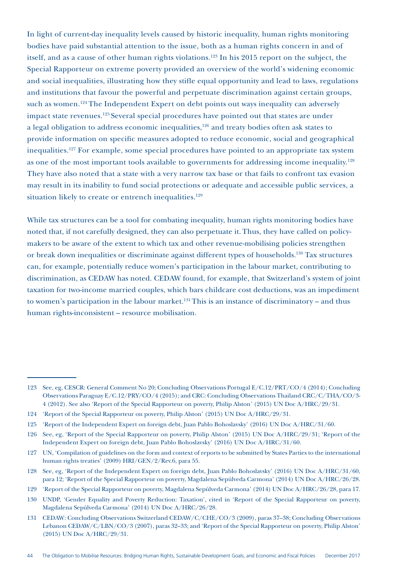In light of current-day inequality levels caused by historic inequality, human rights monitoring bodies have paid substantial attention to the issue, both as a human rights concern in and of itself, and as a cause of other human rights violations.<sup>123</sup> In his 2015 report on the subject, the Special Rapporteur on extreme poverty provided an overview of the world's widening economic and social inequalities, illustrating how they stifle equal opportunity and lead to laws, regulations and institutions that favour the powerful and perpetuate discrimination against certain groups, such as women.<sup>124</sup> The Independent Expert on debt points out ways inequality can adversely impact state revenues.<sup>125</sup> Several special procedures have pointed out that states are under a legal obligation to address economic inequalities,<sup>126</sup> and treaty bodies often ask states to provide information on specific measures adopted to reduce economic, social and geographical inequalities.127 For example, some special procedures have pointed to an appropriate tax system as one of the most important tools available to governments for addressing income inequality.<sup>128</sup> They have also noted that a state with a very narrow tax base or that fails to confront tax evasion may result in its inability to fund social protections or adequate and accessible public services, a situation likely to create or entrench inequalities.<sup>129</sup>

While tax structures can be a tool for combating inequality, human rights monitoring bodies have noted that, if not carefully designed, they can also perpetuate it. Thus, they have called on policymakers to be aware of the extent to which tax and other revenue-mobilising policies strengthen or break down inequalities or discriminate against different types of households.130 Tax structures can, for example, potentially reduce women's participation in the labour market, contributing to discrimination, as CEDAW has noted. CEDAW found, for example, that Switzerland's system of joint taxation for two-income married couples, which bars childcare cost deductions, was an impediment to women's participation in the labour market.<sup>131</sup> This is an instance of discriminatory – and thus human rights-inconsistent – resource mobilisation.

<sup>123</sup> See, eg, CESCR: General Comment No 20; Concluding Observations Portugal E/C.12/PRT/CO/4 (2014); Concluding Observations Paraguay E/C.12/PRY/CO/4 (2015); and CRC: Concluding Observations Thailand CRC/C/THA/CO/3- 4 (2012). See also 'Report of the Special Rapporteur on poverty, Philip Alston' (2015) UN Doc A/HRC/29/31.

<sup>124</sup> 'Report of the Special Rapporteur on poverty, Philip Alston' (2015) UN Doc A/HRC/29/31.

<sup>125</sup> 'Report of the Independent Expert on foreign debt, Juan Pablo Bohoslavsky' (2016) UN Doc A/HRC/31/60.

<sup>126</sup> See, eg, 'Report of the Special Rapporteur on poverty, Philip Alston' (2015) UN Doc A/HRC/29/31; 'Report of the Independent Expert on foreign debt, Juan Pablo Bohoslavsky' (2016) UN Doc A/HRC/31/60.

<sup>127</sup> UN, 'Compilation of guidelines on the form and context of reports to be submitted by States Parties to the international human rights treaties' (2009) HRI/GEN/2/Rev.6, para 55.

<sup>128</sup> See, eg, 'Report of the Independent Expert on foreign debt, Juan Pablo Bohoslavsky' (2016) UN Doc A/HRC/31/60, para 12; 'Report of the Special Rapporteur on poverty, Magdalena Sepúlveda Carmona' (2014) UN Doc A/HRC/26/28.

<sup>129</sup> 'Report of the Special Rapporteur on poverty, Magdalena Sepúlveda Carmona' (2014) UN Doc A/HRC/26/28, para 17.

<sup>130</sup> UNDP, 'Gender Equality and Poverty Reduction: Taxation', cited in 'Report of the Special Rapporteur on poverty, Magdalena Sepúlveda Carmona' (2014) UN Doc A/HRC/26/28.

<sup>131</sup> CEDAW: Concluding Observations Switzerland CEDAW/C/CHE/CO/3 (2009), paras 37–38; Concluding Observations Lebanon CEDAW/C/LBN/CO/3 (2007), paras 32–33; and 'Report of the Special Rapporteur on poverty, Philip Alston' (2015) UN Doc A/HRC/29/31.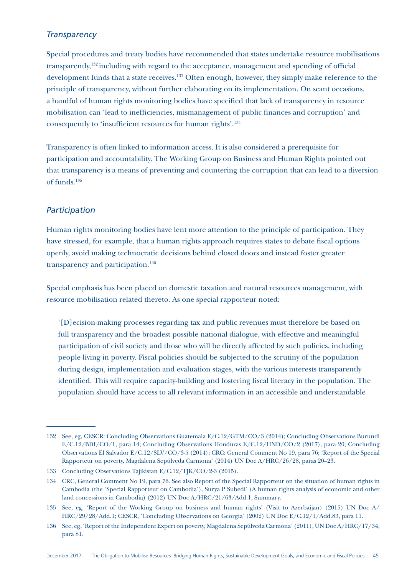### *Transparency*

Special procedures and treaty bodies have recommended that states undertake resource mobilisations transparently,132 including with regard to the acceptance, management and spending of official development funds that a state receives.<sup>133</sup> Often enough, however, they simply make reference to the principle of transparency, without further elaborating on its implementation. On scant occasions, a handful of human rights monitoring bodies have specified that lack of transparency in resource mobilisation can 'lead to inefficiencies, mismanagement of public finances and corruption' and consequently to 'insufficient resources for human rights'.134

Transparency is often linked to information access. It is also considered a prerequisite for participation and accountability. The Working Group on Business and Human Rights pointed out that transparency is a means of preventing and countering the corruption that can lead to a diversion of funds.135

#### *Participation*

Human rights monitoring bodies have lent more attention to the principle of participation. They have stressed, for example, that a human rights approach requires states to debate fiscal options openly, avoid making technocratic decisions behind closed doors and instead foster greater transparency and participation.<sup>136</sup>

Special emphasis has been placed on domestic taxation and natural resources management, with resource mobilisation related thereto. As one special rapporteur noted:

'[D]ecision-making processes regarding tax and public revenues must therefore be based on full transparency and the broadest possible national dialogue, with effective and meaningful participation of civil society and those who will be directly affected by such policies, including people living in poverty. Fiscal policies should be subjected to the scrutiny of the population during design, implementation and evaluation stages, with the various interests transparently identified. This will require capacity-building and fostering fiscal literacy in the population. The population should have access to all relevant information in an accessible and understandable

<sup>132</sup> See, eg, CESCR: Concluding Observations Guatemala E/C.12/GTM/CO/3 (2014); Concluding Observations Burundi E/C.12/BDI/CO/1, para 14; Concluding Observations Honduras E/C.12/HND/CO/2 (2017), para 20; Concluding Observations El Salvador E/C.12/SLV/CO/3-5 (2014); CRC: General Comment No 19, para 76; 'Report of the Special Rapporteur on poverty, Magdalena Sepúlveda Carmona' (2014) UN Doc A/HRC/26/28, paras 20–23.

<sup>133</sup> Concluding Observations Tajikistan E/C.12/TJK/CO/2-3 (2015).

<sup>134</sup> CRC, General Comment No 19, para 76. See also Report of the Special Rapporteur on the situation of human rights in Cambodia (the 'Special Rapporteur on Cambodia'), Surya P Subedi' (A human rights analysis of economic and other land concessions in Cambodia) (2012) UN Doc A/HRC/21/63/Add.1, Summary.

<sup>135</sup> See, eg, 'Report of the Working Group on business and human rights' (Visit to Azerbaijan) (2015) UN Doc A/ HRC/29/28/Add.1; CESCR, 'Concluding Observations on Georgia' (2002) UN Doc E/C.12/1/Add.83, para 11.

<sup>136</sup> See, eg, 'Report of the Independent Expert on poverty, Magdalena Sepúlveda Carmona' (2011), UN Doc A/HRC/17/34, para 81.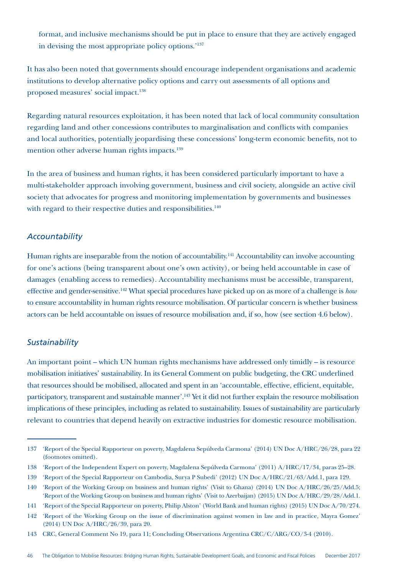format, and inclusive mechanisms should be put in place to ensure that they are actively engaged in devising the most appropriate policy options.'137

It has also been noted that governments should encourage independent organisations and academic institutions to develop alternative policy options and carry out assessments of all options and proposed measures' social impact.138

Regarding natural resources exploitation, it has been noted that lack of local community consultation regarding land and other concessions contributes to marginalisation and conflicts with companies and local authorities, potentially jeopardising these concessions' long-term economic benefits, not to mention other adverse human rights impacts.<sup>139</sup>

In the area of business and human rights, it has been considered particularly important to have a multi-stakeholder approach involving government, business and civil society, alongside an active civil society that advocates for progress and monitoring implementation by governments and businesses with regard to their respective duties and responsibilities.<sup>140</sup>

### *Accountability*

Human rights are inseparable from the notion of accountability.<sup>141</sup> Accountability can involve accounting for one's actions (being transparent about one's own activity), or being held accountable in case of damages (enabling access to remedies). Accountability mechanisms must be accessible, transparent, effective and gender-sensitive.142 What special procedures have picked up on as more of a challenge is *how* to ensure accountability in human rights resource mobilisation. Of particular concern is whether business actors can be held accountable on issues of resource mobilisation and, if so, how (see section 4.6 below).

### *Sustainability*

An important point – which UN human rights mechanisms have addressed only timidly – is resource mobilisation initiatives' sustainability. In its General Comment on public budgeting, the CRC underlined that resources should be mobilised, allocated and spent in an 'accountable, effective, efficient, equitable, participatory, transparent and sustainable manner'.143 Yet it did not further explain the resource mobilisation implications of these principles, including as related to sustainability. Issues of sustainability are particularly relevant to countries that depend heavily on extractive industries for domestic resource mobilisation.

<sup>137</sup> 'Report of the Special Rapporteur on poverty, Magdalena Sepúlveda Carmona' (2014) UN Doc A/HRC/26/28, para 22 (footnotes omitted).

<sup>138</sup> 'Report of the Independent Expert on poverty, Magdalena Sepúlveda Carmona' (2011) A/HRC/17/34, paras 25–28.

<sup>139</sup> 'Report of the Special Rapporteur on Cambodia, Surya P Subedi' (2012) UN Doc A/HRC/21/63/Add.1, para 129.

<sup>140</sup> 'Report of the Working Group on business and human rights' (Visit to Ghana) (2014) UN Doc A/HRC/26/25/Add.5; 'Report of the Working Group on business and human rights' (Visit to Azerbaijan) (2015) UN Doc A/HRC/29/28/Add.1.

<sup>141</sup> 'Report of the Special Rapporteur on poverty, Philip Alston' (World Bank and human rights) (2015) UN Doc A/70/274.

<sup>142</sup> 'Report of the Working Group on the issue of discrimination against women in law and in practice, Mayra Gomez' (2014) UN Doc A/HRC/26/39, para 20.

<sup>143</sup> CRC, General Comment No 19, para 11; Concluding Observations Argentina CRC/C/ARG/CO/3-4 (2010).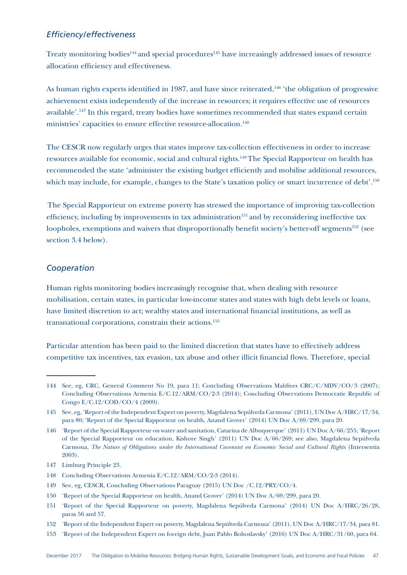### *Efficiency/effectiveness*

Treaty monitoring bodies<sup>144</sup> and special procedures<sup>145</sup> have increasingly addressed issues of resource allocation efficiency and effectiveness.

As human rights experts identified in 1987, and have since reiterated,<sup>146</sup> 'the obligation of progressive achievement exists independently of the increase in resources; it requires effective use of resources available'.147 In this regard, treaty bodies have sometimes recommended that states expand certain ministries' capacities to ensure effective resource-allocation.<sup>148</sup>

The CESCR now regularly urges that states improve tax-collection effectiveness in order to increase resources available for economic, social and cultural rights.149 The Special Rapporteur on health has recommended the state 'administer the existing budget efficiently and mobilise additional resources, which may include, for example, changes to the State's taxation policy or smart incurrence of debt'.<sup>150</sup>

The Special Rapporteur on extreme poverty has stressed the importance of improving tax-collection efficiency, including by improvements in tax administration<sup>151</sup> and by reconsidering ineffective tax loopholes, exemptions and waivers that disproportionally benefit society's better-off segments<sup>152</sup> (see section 3.4 below).

### *Cooperation*

Human rights monitoring bodies increasingly recognise that, when dealing with resource mobilisation, certain states, in particular low-income states and states with high debt levels or loans, have limited discretion to act; wealthy states and international financial institutions, as well as transnational corporations, constrain their actions.153

Particular attention has been paid to the limited discretion that states have to effectively address competitive tax incentives, tax evasion, tax abuse and other illicit financial flows. Therefore, special

<sup>144</sup> See, eg, CRC, General Comment No 19, para 11; Concluding Observations Maldives CRC/C/MDV/CO/3 (2007); Concluding Observations Armenia E/C.12/ARM/CO/2-3 (2014); Concluding Observations Democratic Republic of Congo E/C.12/COD/CO/4 (2009).

<sup>145</sup> See, eg, 'Report of the Independent Expert on poverty, Magdalena Sepúlveda Carmona' (2011), UN Doc A/HRC/17/34, para 80; 'Report of the Special Rapporteur on health, Anand Grover' (2014) UN Doc A/69/299, para 20.

<sup>146</sup> 'Report of the Special Rapporteur on water and sanitation, Catarina de Albuquerque' (2011) UN Doc A/66/255; 'Report of the Special Rapporteur on education, Kishore Singh' (2011) UN Doc A/66/269; see also, Magdalena Sepúlveda Carmona, *The Nature of Obligations under the International Covenant on Economic Social and Cultural Rights* (Intersentia 2003).

<sup>147</sup> Limburg Principle 23.

<sup>148</sup> Concluding Observations Armenia E/C.12/ARM/CO/2-3 (2014).

<sup>149</sup> See, eg, CESCR, Concluding Observations Paraguay (2015) UN Doc /C.12/PRY/CO/4.

<sup>150</sup> 'Report of the Special Rapporteur on health, Anand Grover' (2014) UN Doc A/69/299, para 20.

<sup>151</sup> 'Report of the Special Rapporteur on poverty, Magdalena Sepúlveda Carmona' (2014) UN Doc A/HRC/26/28, paras 56 and 57.

<sup>152</sup> 'Report of the Independent Expert on poverty, Magdalena Sepúlveda Carmona' (2011), UN Doc A/HRC/17/34, para 81.

<sup>153</sup> 'Report of the Independent Expert on foreign debt, Juan Pablo Bohoslavsky' (2016) UN Doc A/HRC/31/60, para 64.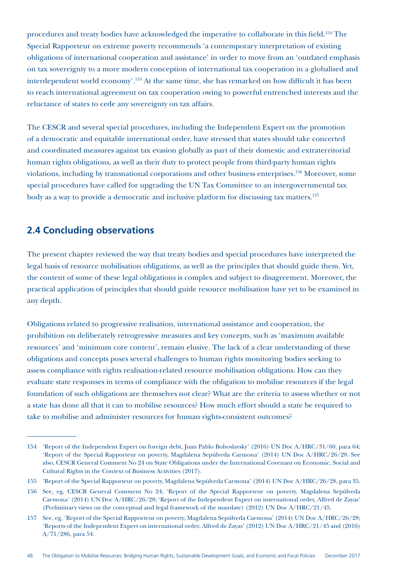procedures and treaty bodies have acknowledged the imperative to collaborate in this field.154 The Special Rapporteur on extreme poverty recommends 'a contemporary interpretation of existing obligations of international cooperation and assistance' in order to move from an 'outdated emphasis on tax sovereignty to a more modern conception of international tax cooperation in a globalised and interdependent world economy'.155 At the same time, she has remarked on how difficult it has been to reach international agreement on tax cooperation owing to powerful entrenched interests and the reluctance of states to cede any sovereignty on tax affairs.

The CESCR and several special procedures, including the Independent Expert on the promotion of a democratic and equitable international order, have stressed that states should take concerted and coordinated measures against tax evasion globally as part of their domestic and extraterritorial human rights obligations, as well as their duty to protect people from third-party human rights violations, including by transnational corporations and other business enterprises.<sup>156</sup> Moreover, some special procedures have called for upgrading the UN Tax Committee to an intergovernmental tax body as a way to provide a democratic and inclusive platform for discussing tax matters.157

# **2.4 Concluding observations**

The present chapter reviewed the way that treaty bodies and special procedures have interpreted the legal basis of resource mobilisation obligations, as well as the principles that should guide them. Yet, the content of some of these legal obligations is complex and subject to disagreement. Moreover, the practical application of principles that should guide resource mobilisation have yet to be examined in any depth.

Obligations related to progressive realisation, international assistance and cooperation, the prohibition on deliberately retrogressive measures and key concepts, such as 'maximum available resources' and 'minimum core content', remain elusive. The lack of a clear understanding of these obligations and concepts poses several challenges to human rights monitoring bodies seeking to assess compliance with rights realisation-related resource mobilisation obligations. How can they evaluate state responses in terms of compliance with the obligation to mobilise resources if the legal foundation of such obligations are themselves not clear? What are the criteria to assess whether or not a state has done all that it can to mobilise resources? How much effort should a state be required to take to mobilise and administer resources for human rights-consistent outcomes?

<sup>154</sup> 'Report of the Independent Expert on foreign debt, Juan Pablo Bohoslavsky' (2016) UN Doc A/HRC/31/60, para 64; 'Report of the Special Rapporteur on poverty, Magdalena Sepúlveda Carmona' (2014) UN Doc A/HRC/26/28. See also, CESCR General Comment No 24 on State Obligations under the International Covenant on Economic, Social and Cultural Rights in the Context of Business Activities (2017).

<sup>155</sup> 'Report of the Special Rapporteur on poverty, Magdalena Sepúlveda Carmona' (2014) UN Doc A/HRC/26/28, para 35.

<sup>156</sup> See, eg, CESCR General Comment No 24; 'Report of the Special Rapporteur on poverty, Magdalena Sepúlveda Carmona' (2014) UN Doc A/HRC/26/28; 'Report of the Independent Expert on international order, Alfred de Zayas' (Preliminary views on the conceptual and legal framework of the mandate) (2012) UN Doc A/HRC/21/45.

<sup>157</sup> See, eg, 'Report of the Special Rapporteur on poverty, Magdalena Sepúlveda Carmona' (2014) UN Doc A/HRC/26/28; 'Reports of the Independent Expert on international order, Alfred de Zayas' (2012) UN Doc A/HRC/21/45 and (2016) A/71/286, para 54.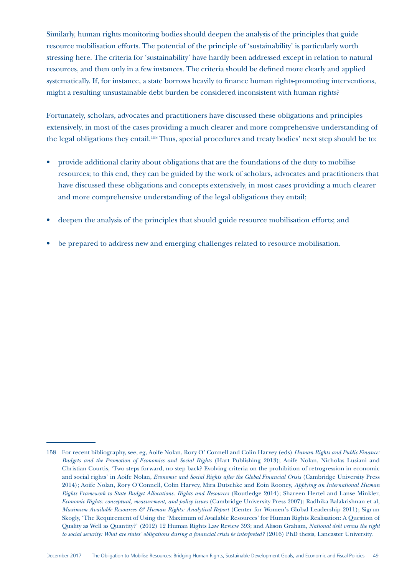Similarly, human rights monitoring bodies should deepen the analysis of the principles that guide resource mobilisation efforts. The potential of the principle of 'sustainability' is particularly worth stressing here. The criteria for 'sustainability' have hardly been addressed except in relation to natural resources, and then only in a few instances. The criteria should be defined more clearly and applied systematically. If, for instance, a state borrows heavily to finance human rights-promoting interventions, might a resulting unsustainable debt burden be considered inconsistent with human rights?

Fortunately, scholars, advocates and practitioners have discussed these obligations and principles extensively, in most of the cases providing a much clearer and more comprehensive understanding of the legal obligations they entail.158 Thus, special procedures and treaty bodies' next step should be to:

- provide additional clarity about obligations that are the foundations of the duty to mobilise resources; to this end, they can be guided by the work of scholars, advocates and practitioners that have discussed these obligations and concepts extensively, in most cases providing a much clearer and more comprehensive understanding of the legal obligations they entail;
- deepen the analysis of the principles that should guide resource mobilisation efforts; and
- be prepared to address new and emerging challenges related to resource mobilisation.

<sup>158</sup> For recent bibliography, see, eg, Aoife Nolan, Rory O' Connell and Colin Harvey (eds) *Human Rights and Public Finance: Budgets and the Promotion of Economics and Social Rights* (Hart Publishing 2013); Aoife Nolan, Nicholas Lusiani and Christian Courtis, 'Two steps forward, no step back? Evolving criteria on the prohibition of retrogression in economic and social rights' in Aoife Nolan, *Economic and Social Rights after the Global Financial Crisis* (Cambridge University Press 2014); Aoife Nolan, Rory O'Connell, Colin Harvey, Mira Dutschke and Eoin Rooney, *Applying an International Human Rights Framework to State Budget Allocations. Rights and Resources* (Routledge 2014); Shareen Hertel and Lanse Minkler, *Economic Rights: conceptual, measurement, and policy issues* (Cambridge University Press 2007); Radhika Balakrishnan et al, *Maximum Available Resources & Human Rights: Analytical Report* (Center for Women's Global Leadership 2011); Sigrun Skogly, 'The Requirement of Using the 'Maximum of Available Resources' for Human Rights Realisation: A Question of Quality as Well as Quantity?' (2012) 12 Human Rights Law Review 393; and Alison Graham, *National debt versus the right to social security: What are states' obligations during a financial crisis be interpreted?* (2016) PhD thesis, Lancaster University.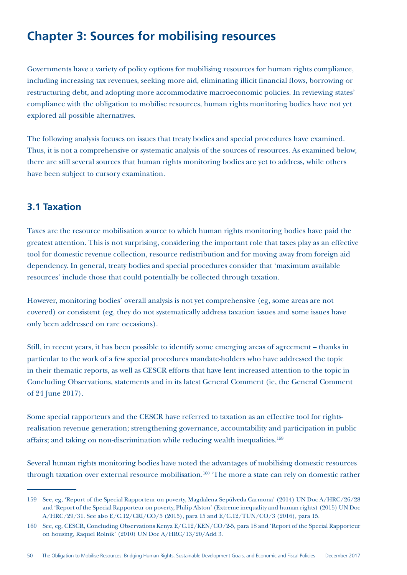# **Chapter 3: Sources for mobilising resources**

Governments have a variety of policy options for mobilising resources for human rights compliance, including increasing tax revenues, seeking more aid, eliminating illicit financial flows, borrowing or restructuring debt, and adopting more accommodative macroeconomic policies. In reviewing states' compliance with the obligation to mobilise resources, human rights monitoring bodies have not yet explored all possible alternatives.

The following analysis focuses on issues that treaty bodies and special procedures have examined. Thus, it is not a comprehensive or systematic analysis of the sources of resources. As examined below, there are still several sources that human rights monitoring bodies are yet to address, while others have been subject to cursory examination.

# **3.1 Taxation**

Taxes are the resource mobilisation source to which human rights monitoring bodies have paid the greatest attention. This is not surprising, considering the important role that taxes play as an effective tool for domestic revenue collection, resource redistribution and for moving away from foreign aid dependency. In general, treaty bodies and special procedures consider that 'maximum available resources' include those that could potentially be collected through taxation.

However, monitoring bodies' overall analysis is not yet comprehensive (eg, some areas are not covered) or consistent (eg, they do not systematically address taxation issues and some issues have only been addressed on rare occasions).

Still, in recent years, it has been possible to identify some emerging areas of agreement – thanks in particular to the work of a few special procedures mandate-holders who have addressed the topic in their thematic reports, as well as CESCR efforts that have lent increased attention to the topic in Concluding Observations, statements and in its latest General Comment (ie, the General Comment of 24 June 2017).

Some special rapporteurs and the CESCR have referred to taxation as an effective tool for rightsrealisation revenue generation; strengthening governance, accountability and participation in public affairs; and taking on non-discrimination while reducing wealth inequalities.159

Several human rights monitoring bodies have noted the advantages of mobilising domestic resources through taxation over external resource mobilisation.<sup>160</sup> 'The more a state can rely on domestic rather

<sup>159</sup> See, eg, 'Report of the Special Rapporteur on poverty, Magdalena Sepúlveda Carmona' (2014) UN Doc A/HRC/26/28 and 'Report of the Special Rapporteur on poverty, Philip Alston' (Extreme inequality and human rights) (2015) UN Doc A/HRC/29/31. See also E/C.12/CRI/CO/5 (2015), para 15 and E/C.12/TUN/CO/3 (2016), para 15.

<sup>160</sup> See, eg, CESCR, Concluding Observations Kenya E/C.12/KEN/CO/2-5, para 18 and 'Report of the Special Rapporteur on housing, Raquel Rolnik' (2010) UN Doc A/HRC/13/20/Add 3.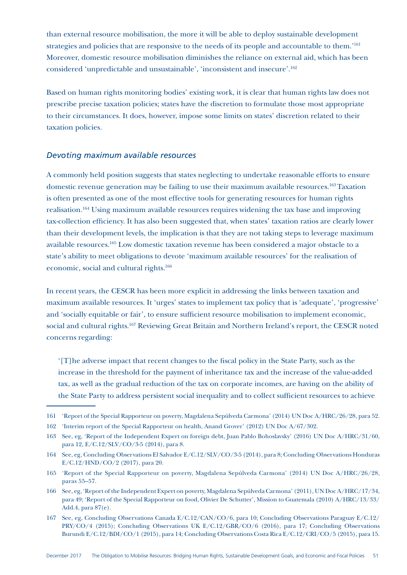than external resource mobilisation, the more it will be able to deploy sustainable development strategies and policies that are responsive to the needs of its people and accountable to them.'161 Moreover, domestic resource mobilisation diminishes the reliance on external aid, which has been considered 'unpredictable and unsustainable', 'inconsistent and insecure'.162

Based on human rights monitoring bodies' existing work, it is clear that human rights law does not prescribe precise taxation policies; states have the discretion to formulate those most appropriate to their circumstances. It does, however, impose some limits on states' discretion related to their taxation policies.

#### *Devoting maximum available resources*

A commonly held position suggests that states neglecting to undertake reasonable efforts to ensure domestic revenue generation may be failing to use their maximum available resources.163 Taxation is often presented as one of the most effective tools for generating resources for human rights realisation.164 Using maximum available resources requires widening the tax base and improving tax-collection efficiency. It has also been suggested that, when states' taxation ratios are clearly lower than their development levels, the implication is that they are not taking steps to leverage maximum available resources.165 Low domestic taxation revenue has been considered a major obstacle to a state's ability to meet obligations to devote 'maximum available resources' for the realisation of economic, social and cultural rights.<sup>166</sup>

In recent years, the CESCR has been more explicit in addressing the links between taxation and maximum available resources. It 'urges' states to implement tax policy that is 'adequate', 'progressive' and 'socially equitable or fair', to ensure sufficient resource mobilisation to implement economic, social and cultural rights.167 Reviewing Great Britain and Northern Ireland's report, the CESCR noted concerns regarding:

'[T]he adverse impact that recent changes to the fiscal policy in the State Party, such as the increase in the threshold for the payment of inheritance tax and the increase of the value-added tax, as well as the gradual reduction of the tax on corporate incomes, are having on the ability of the State Party to address persistent social inequality and to collect sufficient resources to achieve

<sup>161</sup> 'Report of the Special Rapporteur on poverty, Magdalena Sepúlveda Carmona' (2014) UN Doc A/HRC/26/28, para 52.

<sup>162</sup> 'Interim report of the Special Rapporteur on health, Anand Grover' (2012) UN Doc A/67/302.

<sup>163</sup> See, eg, 'Report of the Independent Expert on foreign debt, Juan Pablo Bohoslavsky' (2016) UN Doc A/HRC/31/60, para 12, E/C.12/SLV/CO/3-5 (2014), para 8.

<sup>164</sup> See, eg, Concluding Observations El Salvador E/C.12/SLV/CO/3-5 (2014), para 8; Concluding Observations Honduras E/C.12/HND/CO/2 (2017), para 20.

<sup>165</sup> 'Report of the Special Rapporteur on poverty, Magdalena Sepúlveda Carmona' (2014) UN Doc A/HRC/26/28, paras 55–57.

<sup>166</sup> See, eg, 'Report of the Independent Expert on poverty, Magdalena Sepúlveda Carmona' (2011), UN Doc A/HRC/17/34, para 49; 'Report of the Special Rapporteur on food, Olivier De Schutter', Mission to Guatemala (2010) A/HRC/13/33/ Add.4, para 87(e).

<sup>167</sup> See, eg, Concluding Observations Canada E/C.12/CAN/CO/6, para 10; Concluding Observations Paraguay E/C.12/ PRY/CO/4 (2015); Concluding Observations UK E/C.12/GBR/CO/6 (2016), para 17; Concluding Observations Burundi E/C.12/BDI/CO/1 (2015), para 14; Concluding Observations Costa Rica E/C.12/CRI/CO/5 (2015), para 15.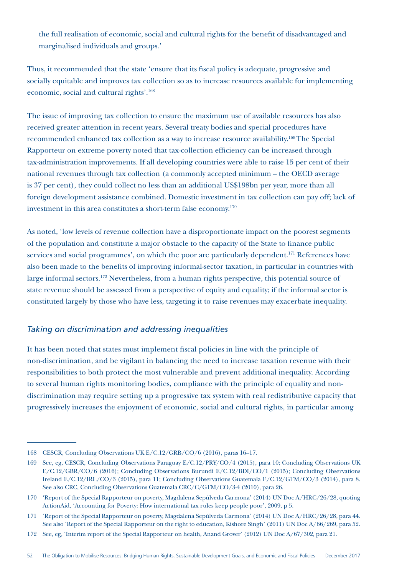the full realisation of economic, social and cultural rights for the benefit of disadvantaged and marginalised individuals and groups.'

Thus, it recommended that the state 'ensure that its fiscal policy is adequate, progressive and socially equitable and improves tax collection so as to increase resources available for implementing economic, social and cultural rights'.168

The issue of improving tax collection to ensure the maximum use of available resources has also received greater attention in recent years. Several treaty bodies and special procedures have recommended enhanced tax collection as a way to increase resource availability.169 The Special Rapporteur on extreme poverty noted that tax-collection efficiency can be increased through tax-administration improvements. If all developing countries were able to raise 15 per cent of their national revenues through tax collection (a commonly accepted minimum – the OECD average is 37 per cent), they could collect no less than an additional US\$198bn per year, more than all foreign development assistance combined. Domestic investment in tax collection can pay off; lack of investment in this area constitutes a short-term false economy.170

As noted, 'low levels of revenue collection have a disproportionate impact on the poorest segments of the population and constitute a major obstacle to the capacity of the State to finance public services and social programmes', on which the poor are particularly dependent.<sup>171</sup> References have also been made to the benefits of improving informal-sector taxation, in particular in countries with large informal sectors.<sup>172</sup> Nevertheless, from a human rights perspective, this potential source of state revenue should be assessed from a perspective of equity and equality; if the informal sector is constituted largely by those who have less, targeting it to raise revenues may exacerbate inequality.

### *Taking on discrimination and addressing inequalities*

It has been noted that states must implement fiscal policies in line with the principle of non-discrimination, and be vigilant in balancing the need to increase taxation revenue with their responsibilities to both protect the most vulnerable and prevent additional inequality. According to several human rights monitoring bodies, compliance with the principle of equality and nondiscrimination may require setting up a progressive tax system with real redistributive capacity that progressively increases the enjoyment of economic, social and cultural rights, in particular among

<sup>168</sup> CESCR, Concluding Observations UK E/C.12/GRB/CO/6 (2016), paras 16–17.

<sup>169</sup> See, eg, CESCR, Concluding Observations Paraguay E/C.12/PRY/CO/4 (2015), para 10; Concluding Observations UK E/C.12/GBR/CO/6 (2016); Concluding Observations Burundi E/C.12/BDI/CO/1 (2015); Concluding Observations Ireland E/C.12/IRL/CO/3 (2015), para 11; Concluding Observations Guatemala E/C.12/GTM/CO/3 (2014), para 8. See also CRC, Concluding Observations Guatemala CRC/C/GTM/CO/3-4 (2010), para 26.

<sup>170</sup> 'Report of the Special Rapporteur on poverty, Magdalena Sepúlveda Carmona' (2014) UN Doc A/HRC/26/28, quoting ActionAid, 'Accounting for Poverty: How international tax rules keep people poor', 2009, p 5.

<sup>171</sup> 'Report of the Special Rapporteur on poverty, Magdalena Sepúlveda Carmona' (2014) UN Doc A/HRC/26/28, para 44. See also 'Report of the Special Rapporteur on the right to education, Kishore Singh' (2011) UN Doc A/66/269, para 52.

<sup>172</sup> See, eg, 'Interim report of the Special Rapporteur on health, Anand Grover' (2012) UN Doc A/67/302, para 21.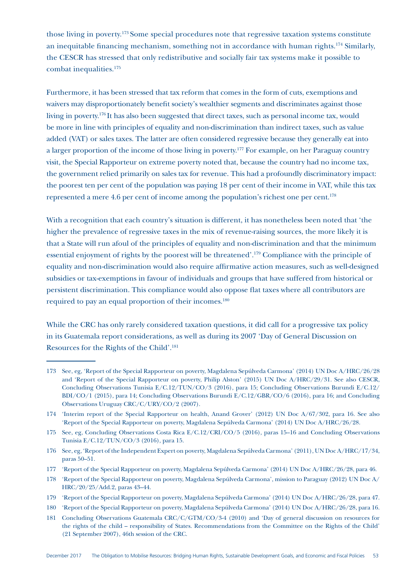those living in poverty.173 Some special procedures note that regressive taxation systems constitute an inequitable financing mechanism, something not in accordance with human rights.174 Similarly, the CESCR has stressed that only redistributive and socially fair tax systems make it possible to combat inequalities.175

Furthermore, it has been stressed that tax reform that comes in the form of cuts, exemptions and waivers may disproportionately benefit society's wealthier segments and discriminates against those living in poverty.176 It has also been suggested that direct taxes, such as personal income tax, would be more in line with principles of equality and non-discrimination than indirect taxes, such as value added (VAT) or sales taxes. The latter are often considered regressive because they generally eat into a larger proportion of the income of those living in poverty.177 For example, on her Paraguay country visit, the Special Rapporteur on extreme poverty noted that, because the country had no income tax, the government relied primarily on sales tax for revenue. This had a profoundly discriminatory impact: the poorest ten per cent of the population was paying 18 per cent of their income in VAT, while this tax represented a mere 4.6 per cent of income among the population's richest one per cent.178

With a recognition that each country's situation is different, it has nonetheless been noted that 'the higher the prevalence of regressive taxes in the mix of revenue-raising sources, the more likely it is that a State will run afoul of the principles of equality and non-discrimination and that the minimum essential enjoyment of rights by the poorest will be threatened'.179 Compliance with the principle of equality and non-discrimination would also require affirmative action measures, such as well-designed subsidies or tax-exemptions in favour of individuals and groups that have suffered from historical or persistent discrimination. This compliance would also oppose flat taxes where all contributors are required to pay an equal proportion of their incomes.180

While the CRC has only rarely considered taxation questions, it did call for a progressive tax policy in its Guatemala report considerations, as well as during its 2007 'Day of General Discussion on Resources for the Rights of the Child'.181

<sup>173</sup> See, eg, 'Report of the Special Rapporteur on poverty, Magdalena Sepúlveda Carmona' (2014) UN Doc A/HRC/26/28 and 'Report of the Special Rapporteur on poverty, Philip Alston' (2015) UN Doc A/HRC/29/31. See also CESCR, Concluding Observations Tunisia E/C.12/TUN/CO/3 (2016), para 15; Concluding Observations Burundi E/C.12/ BDI/CO/1 (2015), para 14; Concluding Observations Burundi E/C.12/GBR/CO/6 (2016), para 16; and Concluding Observations Uruguay CRC/C/URY/CO/2 (2007).

<sup>174</sup> 'Interim report of the Special Rapporteur on health, Anand Grover' (2012) UN Doc A/67/302, para 16. See also 'Report of the Special Rapporteur on poverty, Magdalena Sepúlveda Carmona' (2014) UN Doc A/HRC/26/28.

<sup>175</sup> See, eg, Concluding Observations Costa Rica E/C.12/CRI/CO/5 (2016), paras 15–16 and Concluding Observations Tunisia E/C.12/TUN/CO/3 (2016), para 15.

<sup>176</sup> See, eg, 'Report of the Independent Expert on poverty, Magdalena Sepúlveda Carmona' (2011), UN Doc A/HRC/17/34, paras 50–51.

<sup>177</sup> 'Report of the Special Rapporteur on poverty, Magdalena Sepúlveda Carmona' (2014) UN Doc A/HRC/26/28, para 46.

<sup>178</sup> 'Report of the Special Rapporteur on poverty, Magdalena Sepúlveda Carmona', mission to Paraguay (2012) UN Doc A/ HRC/20/25/Add.2, paras 43–44.

<sup>179</sup> 'Report of the Special Rapporteur on poverty, Magdalena Sepúlveda Carmona' (2014) UN Doc A/HRC/26/28, para 47.

<sup>180</sup> 'Report of the Special Rapporteur on poverty, Magdalena Sepúlveda Carmona' (2014) UN Doc A/HRC/26/28, para 16.

<sup>181</sup> Concluding Observations Guatemala CRC/C/GTM/CO/3-4 (2010) and 'Day of general discussion on resources for the rights of the child – responsibility of States. Recommendations from the Committee on the Rights of the Child' (21 September 2007), 46th session of the CRC.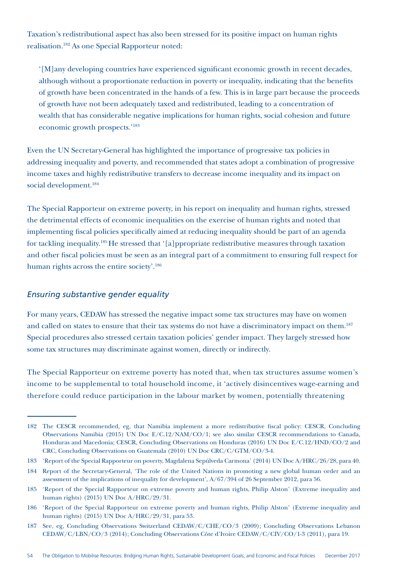Taxation's redistributional aspect has also been stressed for its positive impact on human rights realisation.182 As one Special Rapporteur noted:

'[M]any developing countries have experienced significant economic growth in recent decades, although without a proportionate reduction in poverty or inequality, indicating that the benefits of growth have been concentrated in the hands of a few. This is in large part because the proceeds of growth have not been adequately taxed and redistributed, leading to a concentration of wealth that has considerable negative implications for human rights, social cohesion and future economic growth prospects.'183

Even the UN Secretary-General has highlighted the importance of progressive tax policies in addressing inequality and poverty, and recommended that states adopt a combination of progressive income taxes and highly redistributive transfers to decrease income inequality and its impact on social development.<sup>184</sup>

The Special Rapporteur on extreme poverty, in his report on inequality and human rights, stressed the detrimental effects of economic inequalities on the exercise of human rights and noted that implementing fiscal policies specifically aimed at reducing inequality should be part of an agenda for tackling inequality.185 He stressed that '[a]ppropriate redistributive measures through taxation and other fiscal policies must be seen as an integral part of a commitment to ensuring full respect for human rights across the entire society'.186

### *Ensuring substantive gender equality*

For many years, CEDAW has stressed the negative impact some tax structures may have on women and called on states to ensure that their tax systems do not have a discriminatory impact on them.<sup>187</sup> Special procedures also stressed certain taxation policies' gender impact. They largely stressed how some tax structures may discriminate against women, directly or indirectly.

The Special Rapporteur on extreme poverty has noted that, when tax structures assume women's income to be supplemental to total household income, it 'actively disincentives wage-earning and therefore could reduce participation in the labour market by women, potentially threatening

<sup>182</sup> The CESCR recommended, eg, that Namibia implement a more redistributive fiscal policy: CESCR, Concluding Observations Namibia (2015) UN Doc E/C.12/NAM/CO/1; see also similar CESCR recommendations to Canada, Honduras and Macedonia; CESCR, Concluding Observations on Honduras (2016) UN Doc E/C.12/HND/CO/2 and CRC, Concluding Observations on Guatemala (2010) UN Doc CRC/C/GTM/CO/3-4.

<sup>183</sup> 'Report of the Special Rapporteur on poverty, Magdalena Sepúlveda Carmona' (2014) UN Doc A/HRC/26/28, para 40.

<sup>184</sup> Report of the Secretary-General, 'The role of the United Nations in promoting a new global human order and an assessment of the implications of inequality for development', A/67/394 of 26 September 2012, para 56.

<sup>185</sup> 'Report of the Special Rapporteur on extreme poverty and human rights, Philip Alston' (Extreme inequality and human rights) (2015) UN Doc A/HRC/29/31.

<sup>186</sup> 'Report of the Special Rapporteur on extreme poverty and human rights, Philip Alston' (Extreme inequality and human rights) (2015) UN Doc A/HRC/29/31, para 53.

<sup>187</sup> See, eg, Concluding Observations Switzerland CEDAW/C/CHE/CO/3 (2009); Concluding Observations Lebanon CEDAW/C/LBN/CO/3 (2014); Concluding Observations Côte d'Ivoire CEDAW/C/CIV/CO/1-3 (2011), para 19.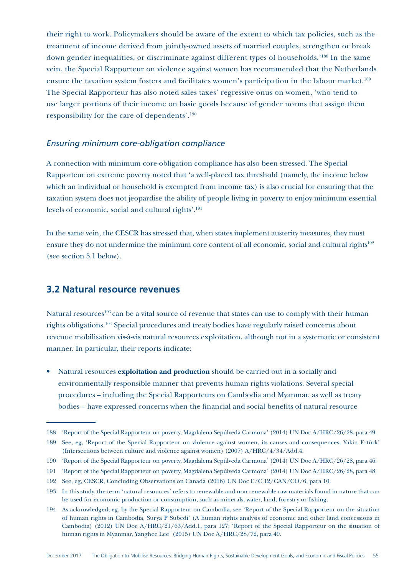their right to work. Policymakers should be aware of the extent to which tax policies, such as the treatment of income derived from jointly-owned assets of married couples, strengthen or break down gender inequalities, or discriminate against different types of households.'188 In the same vein, the Special Rapporteur on violence against women has recommended that the Netherlands ensure the taxation system fosters and facilitates women's participation in the labour market.<sup>189</sup> The Special Rapporteur has also noted sales taxes' regressive onus on women, 'who tend to use larger portions of their income on basic goods because of gender norms that assign them responsibility for the care of dependents'.190

#### *Ensuring minimum core-obligation compliance*

A connection with minimum core-obligation compliance has also been stressed. The Special Rapporteur on extreme poverty noted that 'a well-placed tax threshold (namely, the income below which an individual or household is exempted from income tax) is also crucial for ensuring that the taxation system does not jeopardise the ability of people living in poverty to enjoy minimum essential levels of economic, social and cultural rights'.191

In the same vein, the CESCR has stressed that, when states implement austerity measures, they must ensure they do not undermine the minimum core content of all economic, social and cultural rights<sup>192</sup> (see section 5.1 below).

## **3.2 Natural resource revenues**

Natural resources<sup>193</sup> can be a vital source of revenue that states can use to comply with their human rights obligations.194 Special procedures and treaty bodies have regularly raised concerns about revenue mobilisation vis-à-vis natural resources exploitation, although not in a systematic or consistent manner. In particular, their reports indicate:

• Natural resources **exploitation and production** should be carried out in a socially and environmentally responsible manner that prevents human rights violations. Several special procedures – including the Special Rapporteurs on Cambodia and Myanmar, as well as treaty bodies – have expressed concerns when the financial and social benefits of natural resource

<sup>188</sup> 'Report of the Special Rapporteur on poverty, Magdalena Sepúlveda Carmona' (2014) UN Doc A/HRC/26/28, para 49.

<sup>189</sup> See, eg, 'Report of the Special Rapporteur on violence against women, its causes and consequences, Yakin Ertürk' (Intersections between culture and violence against women) (2007) A/HRC/4/34/Add.4.

<sup>190</sup> 'Report of the Special Rapporteur on poverty, Magdalena Sepúlveda Carmona' (2014) UN Doc A/HRC/26/28, para 46.

<sup>191</sup> 'Report of the Special Rapporteur on poverty, Magdalena Sepúlveda Carmona' (2014) UN Doc A/HRC/26/28, para 48.

<sup>192</sup> See, eg, CESCR, Concluding Observations on Canada (2016) UN Doc E/C.12/CAN/CO/6, para 10.

<sup>193</sup> In this study, the term 'natural resources' refers to renewable and non-renewable raw materials found in nature that can be used for economic production or consumption, such as minerals, water, land, forestry or fishing.

<sup>194</sup> As acknowledged, eg, by the Special Rapporteur on Cambodia, see 'Report of the Special Rapporteur on the situation of human rights in Cambodia, Surya P Subedi' (A human rights analysis of economic and other land concessions in Cambodia) (2012) UN Doc A/HRC/21/63/Add.1, para 127; 'Report of the Special Rapporteur on the situation of human rights in Myanmar, Yanghee Lee' (2015) UN Doc A/HRC/28/72, para 49.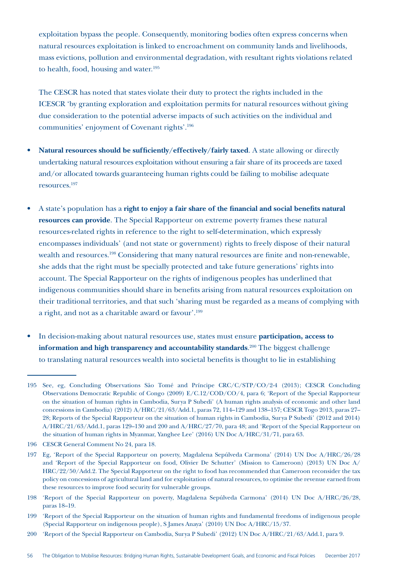exploitation bypass the people. Consequently, monitoring bodies often express concerns when natural resources exploitation is linked to encroachment on community lands and livelihoods, mass evictions, pollution and environmental degradation, with resultant rights violations related to health, food, housing and water.<sup>195</sup>

The CESCR has noted that states violate their duty to protect the rights included in the ICESCR 'by granting exploration and exploitation permits for natural resources without giving due consideration to the potential adverse impacts of such activities on the individual and communities' enjoyment of Covenant rights'.196

- **Natural resources should be sufficiently/effectively/fairly taxed**. A state allowing or directly undertaking natural resources exploitation without ensuring a fair share of its proceeds are taxed and/or allocated towards guaranteeing human rights could be failing to mobilise adequate resources.197
- A state's population has a **right to enjoy a fair share of the financial and social benefits natural resources can provide**. The Special Rapporteur on extreme poverty frames these natural resources-related rights in reference to the right to self-determination, which expressly encompasses individuals' (and not state or government) rights to freely dispose of their natural wealth and resources.198 Considering that many natural resources are finite and non-renewable, she adds that the right must be specially protected and take future generations' rights into account. The Special Rapporteur on the rights of indigenous peoples has underlined that indigenous communities should share in benefits arising from natural resources exploitation on their traditional territories, and that such 'sharing must be regarded as a means of complying with a right, and not as a charitable award or favour'.199
- In decision-making about natural resources use, states must ensure **participation, access to information and high transparency and accountability standards**. 200 The biggest challenge to translating natural resources wealth into societal benefits is thought to lie in establishing

<sup>195</sup> See, eg, Concluding Observations São Tomé and Príncipe CRC/C/STP/CO/2-4 (2013); CESCR Concluding Observations Democratic Republic of Congo (2009) E/C.12/COD/CO/4, para 6; 'Report of the Special Rapporteur on the situation of human rights in Cambodia, Surya P Subedi' (A human rights analysis of economic and other land concessions in Cambodia) (2012) A/HRC/21/63/Add.1, paras 72, 114–129 and 138–157; CESCR Togo 2013, paras 27– 28; Reports of the Special Rapporteur on the situation of human rights in Cambodia, Surya P Subedi' (2012 and 2014) A/HRC/21/63/Add.1, paras 129–130 and 200 and A/HRC/27/70, para 48; and 'Report of the Special Rapporteur on the situation of human rights in Myanmar, Yanghee Lee' (2016) UN Doc A/HRC/31/71, para 63.

<sup>196</sup> CESCR General Comment No 24, para 18.

<sup>197</sup> Eg, 'Report of the Special Rapporteur on poverty, Magdalena Sepúlveda Carmona' (2014) UN Doc A/HRC/26/28 and 'Report of the Special Rapporteur on food, Olivier De Schutter' (Mission to Cameroon) (2013) UN Doc A/ HRC/22/50/Add.2. The Special Rapporteur on the right to food has recommended that Cameroon reconsider the tax policy on concessions of agricultural land and for exploitation of natural resources, to optimise the revenue earned from these resources to improve food security for vulnerable groups.

<sup>198</sup> 'Report of the Special Rapporteur on poverty, Magdalena Sepúlveda Carmona' (2014) UN Doc A/HRC/26/28, paras 18–19.

<sup>199</sup> 'Report of the Special Rapporteur on the situation of human rights and fundamental freedoms of indigenous people (Special Rapporteur on indigenous people), S James Anaya' (2010) UN Doc A/HRC/15/37.

<sup>200</sup> 'Report of the Special Rapporteur on Cambodia, Surya P Subedi' (2012) UN Doc A/HRC/21/63/Add.1, para 9.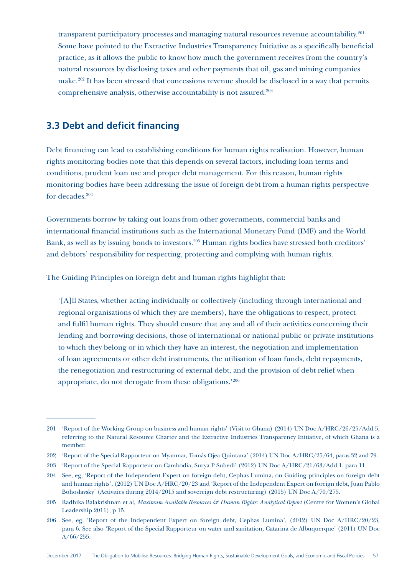transparent participatory processes and managing natural resources revenue accountability.<sup>201</sup> Some have pointed to the Extractive Industries Transparency Initiative as a specifically beneficial practice, as it allows the public to know how much the government receives from the country's natural resources by disclosing taxes and other payments that oil, gas and mining companies make.202 It has been stressed that concessions revenue should be disclosed in a way that permits comprehensive analysis, otherwise accountability is not assured.203

# **3.3 Debt and deficit financing**

Debt financing can lead to establishing conditions for human rights realisation. However, human rights monitoring bodies note that this depends on several factors, including loan terms and conditions, prudent loan use and proper debt management. For this reason, human rights monitoring bodies have been addressing the issue of foreign debt from a human rights perspective for decades.204

Governments borrow by taking out loans from other governments, commercial banks and international financial institutions such as the International Monetary Fund (IMF) and the World Bank, as well as by issuing bonds to investors.205 Human rights bodies have stressed both creditors' and debtors' responsibility for respecting, protecting and complying with human rights.

The Guiding Principles on foreign debt and human rights highlight that:

'[A]ll States, whether acting individually or collectively (including through international and regional organisations of which they are members), have the obligations to respect, protect and fulfil human rights. They should ensure that any and all of their activities concerning their lending and borrowing decisions, those of international or national public or private institutions to which they belong or in which they have an interest, the negotiation and implementation of loan agreements or other debt instruments, the utilisation of loan funds, debt repayments, the renegotiation and restructuring of external debt, and the provision of debt relief when appropriate, do not derogate from these obligations.'206

<sup>201</sup> 'Report of the Working Group on business and human rights' (Visit to Ghana) (2014) UN Doc A/HRC/26/25/Add.5, referring to the Natural Resource Charter and the Extractive Industries Transparency Initiative, of which Ghana is a member.

<sup>202</sup> 'Report of the Special Rapporteur on Myanmar, Tomás Ojea Quintana' (2014) UN Doc A/HRC/25/64, paras 32 and 79.

<sup>203</sup> 'Report of the Special Rapporteur on Cambodia, Surya P Subedi' (2012) UN Doc A/HRC/21/63/Add.1, para 11.

<sup>204</sup> See, eg, 'Report of the Independent Expert on foreign debt, Cephas Lumina, on Guiding principles on foreign debt and human rights', (2012) UN Doc A/HRC/20/23 and 'Report of the Independent Expert on foreign debt, Juan Pablo Bohoslavsky' (Activities during 2014/2015 and sovereign debt restructuring) (2015) UN Doc A/70/275.

<sup>205</sup> Radhika Balakrishnan et al, *Maximum Available Resources & Human Rights: Analytical Report* (Centre for Women's Global Leadership 2011), p 15.

<sup>206</sup> See, eg, 'Report of the Independent Expert on foreign debt, Cephas Lumina', (2012) UN Doc A/HRC/20/23, para 6. See also 'Report of the Special Rapporteur on water and sanitation, Catarina de Albuquerque' (2011) UN Doc A/66/255.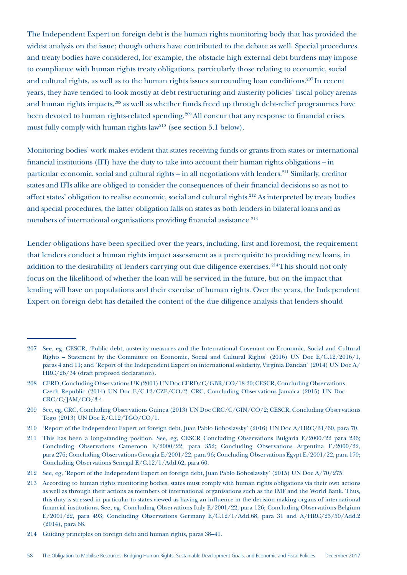The Independent Expert on foreign debt is the human rights monitoring body that has provided the widest analysis on the issue; though others have contributed to the debate as well. Special procedures and treaty bodies have considered, for example, the obstacle high external debt burdens may impose to compliance with human rights treaty obligations, particularly those relating to economic, social and cultural rights, as well as to the human rights issues surrounding loan conditions.<sup>207</sup> In recent years, they have tended to look mostly at debt restructuring and austerity policies' fiscal policy arenas and human rights impacts,<sup>208</sup> as well as whether funds freed up through debt-relief programmes have been devoted to human rights-related spending.<sup>209</sup> All concur that any response to financial crises must fully comply with human rights law<sup>210</sup> (see section 5.1 below).

Monitoring bodies' work makes evident that states receiving funds or grants from states or international financial institutions (IFI) have the duty to take into account their human rights obligations – in particular economic, social and cultural rights – in all negotiations with lenders.211 Similarly, creditor states and IFIs alike are obliged to consider the consequences of their financial decisions so as not to affect states' obligation to realise economic, social and cultural rights.212 As interpreted by treaty bodies and special procedures, the latter obligation falls on states as both lenders in bilateral loans and as members of international organisations providing financial assistance.<sup>213</sup>

Lender obligations have been specified over the years, including, first and foremost, the requirement that lenders conduct a human rights impact assessment as a prerequisite to providing new loans, in addition to the desirability of lenders carrying out due diligence exercises. <sup>214</sup> This should not only focus on the likelihood of whether the loan will be serviced in the future, but on the impact that lending will have on populations and their exercise of human rights. Over the years, the Independent Expert on foreign debt has detailed the content of the due diligence analysis that lenders should

<sup>207</sup> See, eg, CESCR, 'Public debt, austerity measures and the International Covenant on Economic, Social and Cultural Rights – Statement by the Committee on Economic, Social and Cultural Rights' (2016) UN Doc E/C.12/2016/1, paras 4 and 11; and 'Report of the Independent Expert on international solidarity, Virginia Dandan' (2014) UN Doc A/ HRC/26/34 (draft proposed declaration).

<sup>208</sup> CERD, Concluding Observations UK (2001) UN Doc CERD/C/GBR/CO/18-20; CESCR, Concluding Observations Czech Republic (2014) UN Doc E/C.12/CZE/CO/2; CRC, Concluding Observations Jamaica (2015) UN Doc CRC/C/JAM/CO/3-4.

<sup>209</sup> See, eg, CRC, Concluding Observations Guinea (2013) UN Doc CRC/C/GIN/CO/2; CESCR, Concluding Observations Togo (2013) UN Doc E/C.12/TGO/CO/1.

<sup>210</sup> 'Report of the Independent Expert on foreign debt, Juan Pablo Bohoslavsky' (2016) UN Doc A/HRC/31/60, para 70.

<sup>211</sup> This has been a long-standing position. See, eg, CESCR Concluding Observations Bulgaria E/2000/22 para 236; Concluding Observations Cameroon E/2000/22, para 352; Concluding Observations Argentina E/2000/22, para 276; Concluding Observations Georgia E/2001/22, para 96; Concluding Observations Egypt E/2001/22, para 170; Concluding Observations Senegal E/C.12/1/Add.62, para 60.

<sup>212</sup> See, eg, 'Report of the Independent Expert on foreign debt, Juan Pablo Bohoslavsky' (2015) UN Doc A/70/275.

<sup>213</sup> According to human rights monitoring bodies, states must comply with human rights obligations via their own actions as well as through their actions as members of international organisations such as the IMF and the World Bank. Thus, this duty is stressed in particular to states viewed as having an influence in the decision-making organs of international financial institutions. See, eg, Concluding Observations Italy E/2001/22, para 126; Concluding Observations Belgium E/2001/22, para 493; Concluding Observations Germany E/C.12/1/Add.68, para 31 and A/HRC/25/50/Add.2 (2014), para 68.

<sup>214</sup> Guiding principles on foreign debt and human rights, paras 38–41.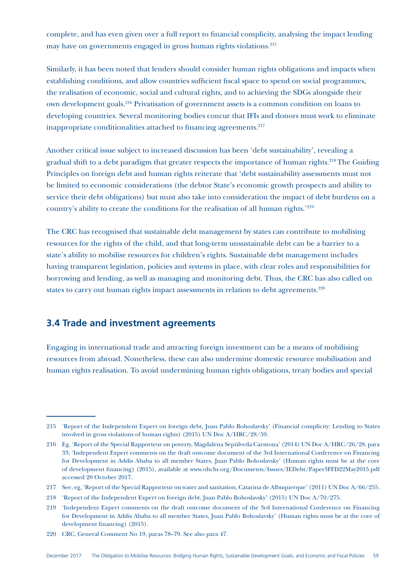complete, and has even given over a full report to financial complicity, analysing the impact lending may have on governments engaged in gross human rights violations.215

Similarly, it has been noted that lenders should consider human rights obligations and impacts when establishing conditions, and allow countries sufficient fiscal space to spend on social programmes, the realisation of economic, social and cultural rights, and to achieving the SDGs alongside their own development goals.216 Privatisation of government assets is a common condition on loans to developing countries. Several monitoring bodies concur that IFIs and donors must work to eliminate inappropriate conditionalities attached to financing agreements.<sup>217</sup>

Another critical issue subject to increased discussion has been 'debt sustainability', revealing a gradual shift to a debt paradigm that greater respects the importance of human rights.<sup>218</sup> The Guiding Principles on foreign debt and human rights reiterate that 'debt sustainability assessments must not be limited to economic considerations (the debtor State's economic growth prospects and ability to service their debt obligations) but must also take into consideration the impact of debt burdens on a country's ability to create the conditions for the realisation of all human rights.'219

The CRC has recognised that sustainable debt management by states can contribute to mobilising resources for the rights of the child, and that long-term unsustainable debt can be a barrier to a state's ability to mobilise resources for children's rights. Sustainable debt management includes having transparent legislation, policies and systems in place, with clear roles and responsibilities for borrowing and lending, as well as managing and monitoring debt. Thus, the CRC has also called on states to carry out human rights impact assessments in relation to debt agreements.<sup>220</sup>

# **3.4 Trade and investment agreements**

Engaging in international trade and attracting foreign investment can be a means of mobilising resources from abroad. Nonetheless, these can also undermine domestic resource mobilisation and human rights realisation. To avoid undermining human rights obligations, treaty bodies and special

<sup>215</sup> 'Report of the Independent Expert on foreign debt, Juan Pablo Bohoslavsky' (Financial complicity: Lending to States involved in gross violations of human rights) (2015) UN Doc A/HRC/28/59.

<sup>216</sup> Eg, 'Report of the Special Rapporteur on poverty, Magdalena Sepúlveda Carmona' (2014) UN Doc A/HRC/26/28, para 33; 'Independent Expert comments on the draft outcome document of the 3rd International Conference on Financing for Development in Addis Ababa to all member States, Juan Pablo Bohoslavsky' (Human rights must be at the core of development financing) (2015), available at www.ohchr.org/Documents/Issues/IEDebt/Paper3FFD22May2015.pdf accessed 20 October 2017.

<sup>217</sup> See, eg, 'Report of the Special Rapporteur on water and sanitation, Catarina de Albuquerque' (2011) UN Doc A/66/255.

<sup>218</sup> 'Report of the Independent Expert on foreign debt, Juan Pablo Bohoslavsky' (2015) UN Doc A/70/275.

<sup>219</sup> 'Independent Expert comments on the draft outcome document of the 3rd International Conference on Financing for Development in Addis Ababa to all member States, Juan Pablo Bohoslavsky' (Human rights must be at the core of development financing) (2015).

<sup>220</sup> CRC, General Comment No 19, paras 78–79. See also para 47.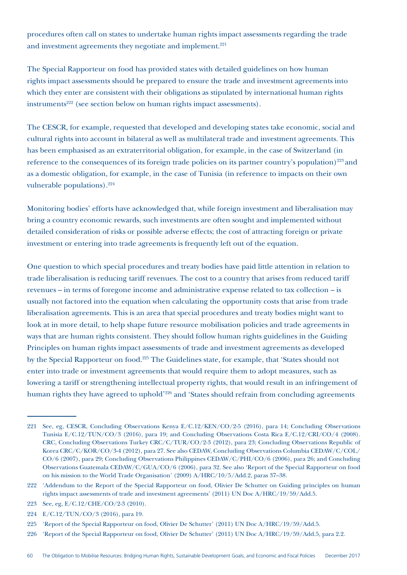procedures often call on states to undertake human rights impact assessments regarding the trade and investment agreements they negotiate and implement.<sup>221</sup>

The Special Rapporteur on food has provided states with detailed guidelines on how human rights impact assessments should be prepared to ensure the trade and investment agreements into which they enter are consistent with their obligations as stipulated by international human rights instruments<sup>222</sup> (see section below on human rights impact assessments).

The CESCR, for example, requested that developed and developing states take economic, social and cultural rights into account in bilateral as well as multilateral trade and investment agreements. This has been emphasised as an extraterritorial obligation, for example, in the case of Switzerland (in reference to the consequences of its foreign trade policies on its partner country's population)<sup>223</sup> and as a domestic obligation, for example, in the case of Tunisia (in reference to impacts on their own vulnerable populations).224

Monitoring bodies' efforts have acknowledged that, while foreign investment and liberalisation may bring a country economic rewards, such investments are often sought and implemented without detailed consideration of risks or possible adverse effects; the cost of attracting foreign or private investment or entering into trade agreements is frequently left out of the equation.

One question to which special procedures and treaty bodies have paid little attention in relation to trade liberalisation is reducing tariff revenues. The cost to a country that arises from reduced tariff revenues – in terms of foregone income and administrative expense related to tax collection – is usually not factored into the equation when calculating the opportunity costs that arise from trade liberalisation agreements. This is an area that special procedures and treaty bodies might want to look at in more detail, to help shape future resource mobilisation policies and trade agreements in ways that are human rights consistent. They should follow human rights guidelines in the Guiding Principles on human rights impact assessments of trade and investment agreements as developed by the Special Rapporteur on food.<sup>225</sup> The Guidelines state, for example, that 'States should not enter into trade or investment agreements that would require them to adopt measures, such as lowering a tariff or strengthening intellectual property rights, that would result in an infringement of human rights they have agreed to uphold<sup>'226</sup> and 'States should refrain from concluding agreements

- 223 See, eg, E/C.12/CHE/CO/2-3 (2010).
- 224 E/C.12/TUN/CO/3 (2016), para 19.

<sup>221</sup> See, eg, CESCR, Concluding Observations Kenya E/C.12/KEN/CO/2-5 (2016), para 14; Concluding Observations Tunisia E/C.12/TUN/CO/3 (2016), para 19; and Concluding Observations Costa Rica E/C.12/CRI/CO/4 (2008). CRC, Concluding Observations Turkey CRC/C/TUR/CO/2-3 (2012), para 23; Concluding Observations Republic of Korea CRC/C/KOR/CO/3-4 (2012), para 27. See also CEDAW, Concluding Observations Columbia CEDAW/C/COL/ CO/6 (2007), para 29; Concluding Observations Philippines CEDAW/C/PHI/CO/6 (2006), para 26; and Concluding Observations Guatemala CEDAW/C/GUA/CO/6 (2006), para 32. See also 'Report of the Special Rapporteur on food on his mission to the World Trade Organisation' (2009) A/HRC/10/5/Add.2, paras 37–38.

<sup>222</sup> 'Addendum to the Report of the Special Rapporteur on food, Olivier De Schutter on Guiding principles on human rights impact assessments of trade and investment agreements' (2011) UN Doc A/HRC/19/59/Add.5.

<sup>225</sup> 'Report of the Special Rapporteur on food, Olivier De Schutter' (2011) UN Doc A/HRC/19/59/Add.5.

<sup>226</sup> 'Report of the Special Rapporteur on food, Olivier De Schutter' (2011) UN Doc A/HRC/19/59/Add.5, para 2.2.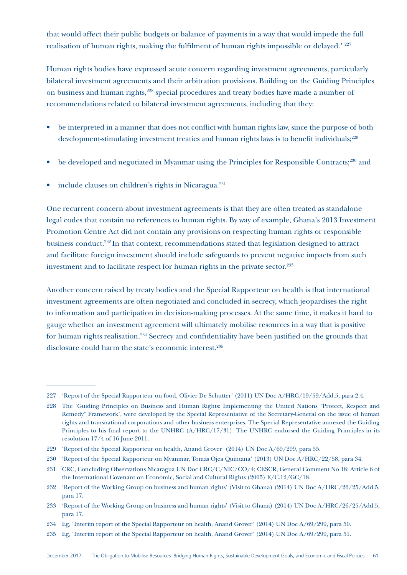that would affect their public budgets or balance of payments in a way that would impede the full realisation of human rights, making the fulfilment of human rights impossible or delayed.' <sup>227</sup>

Human rights bodies have expressed acute concern regarding investment agreements, particularly bilateral investment agreements and their arbitration provisions. Building on the Guiding Principles on business and human rights,<sup>228</sup> special procedures and treaty bodies have made a number of recommendations related to bilateral investment agreements, including that they:

- be interpreted in a manner that does not conflict with human rights law, since the purpose of both development-stimulating investment treaties and human rights laws is to benefit individuals;<sup>229</sup>
- be developed and negotiated in Myanmar using the Principles for Responsible Contracts;<sup>230</sup> and
- include clauses on children's rights in Nicaragua.<sup>231</sup>

One recurrent concern about investment agreements is that they are often treated as standalone legal codes that contain no references to human rights. By way of example, Ghana's 2013 Investment Promotion Centre Act did not contain any provisions on respecting human rights or responsible business conduct.232 In that context, recommendations stated that legislation designed to attract and facilitate foreign investment should include safeguards to prevent negative impacts from such investment and to facilitate respect for human rights in the private sector.<sup>233</sup>

Another concern raised by treaty bodies and the Special Rapporteur on health is that international investment agreements are often negotiated and concluded in secrecy, which jeopardises the right to information and participation in decision-making processes. At the same time, it makes it hard to gauge whether an investment agreement will ultimately mobilise resources in a way that is positive for human rights realisation.234 Secrecy and confidentiality have been justified on the grounds that disclosure could harm the state's economic interest.<sup>235</sup>

<sup>227</sup> 'Report of the Special Rapporteur on food, Olivier De Schutter' (2011) UN Doc A/HRC/19/59/Add.5, para 2.4.

<sup>228</sup> The 'Guiding Principles on Business and Human Rights: Implementing the United Nations "Protect, Respect and Remedy" Framework', were developed by the Special Representative of the Secretary-General on the issue of human rights and transnational corporations and other business enterprises. The Special Representative annexed the Guiding Principles to his final report to the UNHRC (A/HRC/17/31). The UNHRC endorsed the Guiding Principles in its resolution 17/4 of 16 June 2011.

<sup>229</sup> 'Report of the Special Rapporteur on health, Anand Grover' (2014) UN Doc A/69/299, para 55.

<sup>230</sup> 'Report of the Special Rapporteur on Myanmar, Tomás Ojea Quintana' (2013) UN Doc A/HRC/22/58, para 34.

<sup>231</sup> CRC, Concluding Observations Nicaragua UN Doc CRC/C/NIC/CO/4; CESCR, General Comment No 18: Article 6 of the International Covenant on Economic, Social and Cultural Rights (2005) E/C.12/GC/18.

<sup>232</sup> 'Report of the Working Group on business and human rights' (Visit to Ghana) (2014) UN Doc A/HRC/26/25/Add.5, para 17.

<sup>233</sup> 'Report of the Working Group on business and human rights' (Visit to Ghana) (2014) UN Doc A/HRC/26/25/Add.5, para 17.

<sup>234</sup> Eg, 'Interim report of the Special Rapporteur on health, Anand Grover' (2014) UN Doc A/69/299, para 50.

<sup>235</sup> Eg, 'Interim report of the Special Rapporteur on health, Anand Grover' (2014) UN Doc A/69/299, para 51.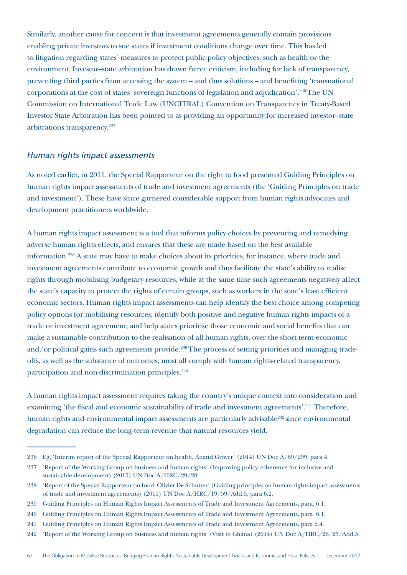Similarly, another cause for concern is that investment agreements generally contain provisions enabling private investors to sue states if investment conditions change over time. This has led to litigation regarding states' measures to protect public-policy objectives, such as health or the environment. Investor–state arbitration has drawn fierce criticism, including for lack of transparency, preventing third parties from accessing the system – and thus solutions – and benefiting 'transnational corporations at the cost of states' sovereign functions of legislation and adjudication'.236 The UN Commission on International Trade Law (UNCITRAL) Convention on Transparency in Treaty-Based Investor-State Arbitration has been pointed to as providing an opportunity for increased investor–state arbitrations transparency.<sup>237</sup>

#### *Human rights impact assessments*

As noted earlier, in 2011, the Special Rapporteur on the right to food presented Guiding Principles on human rights impact assessments of trade and investment agreements (the 'Guiding Principles on trade and investment'). These have since garnered considerable support from human rights advocates and development practitioners worldwide.

A human rights impact assessment is a tool that informs policy choices by preventing and remedying adverse human rights effects, and ensures that these are made based on the best available information.238 A state may have to make choices about its priorities, for instance, where trade and investment agreements contribute to economic growth and thus facilitate the state's ability to realise rights through mobilising budgetary resources, while at the same time such agreements negatively affect the state's capacity to protect the rights of certain groups, such as workers in the state's least efficient economic sectors. Human rights impact assessments can help identify the best choice among competing policy options for mobilising resources; identify both positive and negative human rights impacts of a trade or investment agreement; and help states prioritise those economic and social benefits that can make a sustainable contribution to the realisation of all human rights, over the short-term economic and/or political gains such agreements provide.<sup>239</sup> The process of setting priorities and managing tradeoffs, as well as the substance of outcomes, must all comply with human rights-related transparency, participation and non-discrimination principles.<sup>240</sup>

A human rights impact assessment requires taking the country's unique context into consideration and examining 'the fiscal and economic sustainability of trade and investment agreements'.<sup>241</sup> Therefore, human rights and environmental impact assessments are particularly advisable<sup>242</sup> since environmental degradation can reduce the long-term revenue that natural resources yield.

<sup>236</sup> Eg, 'Interim report of the Special Rapporteur on health, Anand Grover' (2014) UN Doc A/69/299, para 4.

<sup>237</sup> 'Report of the Working Group on business and human rights' (Improving policy coherence for inclusive and sustainable development) (2015) UN Doc A/HRC/29/28.

<sup>238</sup> 'Report of the Special Rapporteur on food, Olivier De Schutter' (Guiding principles on human rights impact assessments of trade and investment agreements) (2011) UN Doc A/HRC/19/59/Add.5, para 6.2.

<sup>239</sup> Guiding Principles on Human Rights Impact Assessments of Trade and Investment Agreements, para. 6.1.

<sup>240</sup> Guiding Principles on Human Rights Impact Assessments of Trade and Investment Agreements, para. 6.1.

<sup>241</sup> Guiding Principles on Human Rights Impact Assessments of Trade and Investment Agreements, para 2.4.

<sup>242</sup> 'Report of the Working Group on business and human rights' (Visit to Ghana) (2014) UN Doc A/HRC/26/25/Add.5.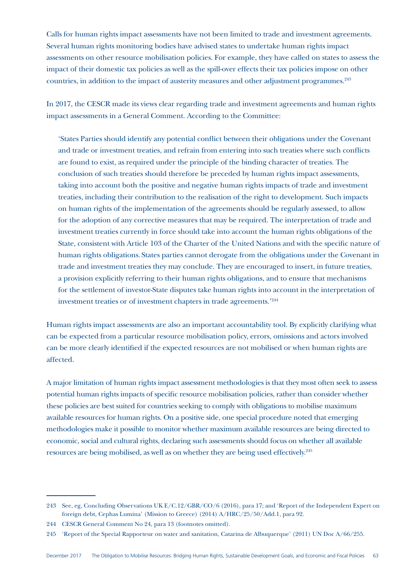Calls for human rights impact assessments have not been limited to trade and investment agreements. Several human rights monitoring bodies have advised states to undertake human rights impact assessments on other resource mobilisation policies. For example, they have called on states to assess the impact of their domestic tax policies as well as the spill-over effects their tax policies impose on other countries, in addition to the impact of austerity measures and other adjustment programmes.<sup>243</sup>

In 2017, the CESCR made its views clear regarding trade and investment agreements and human rights impact assessments in a General Comment. According to the Committee:

'States Parties should identify any potential conflict between their obligations under the Covenant and trade or investment treaties, and refrain from entering into such treaties where such conflicts are found to exist, as required under the principle of the binding character of treaties. The conclusion of such treaties should therefore be preceded by human rights impact assessments, taking into account both the positive and negative human rights impacts of trade and investment treaties, including their contribution to the realisation of the right to development. Such impacts on human rights of the implementation of the agreements should be regularly assessed, to allow for the adoption of any corrective measures that may be required. The interpretation of trade and investment treaties currently in force should take into account the human rights obligations of the State, consistent with Article 103 of the Charter of the United Nations and with the specific nature of human rights obligations. States parties cannot derogate from the obligations under the Covenant in trade and investment treaties they may conclude. They are encouraged to insert, in future treaties, a provision explicitly referring to their human rights obligations, and to ensure that mechanisms for the settlement of investor-State disputes take human rights into account in the interpretation of investment treaties or of investment chapters in trade agreements.'244

Human rights impact assessments are also an important accountability tool. By explicitly clarifying what can be expected from a particular resource mobilisation policy, errors, omissions and actors involved can be more clearly identified if the expected resources are not mobilised or when human rights are affected.

A major limitation of human rights impact assessment methodologies is that they most often seek to assess potential human rights impacts of specific resource mobilisation policies, rather than consider whether these policies are best suited for countries seeking to comply with obligations to mobilise maximum available resources for human rights. On a positive side, one special procedure noted that emerging methodologies make it possible to monitor whether maximum available resources are being directed to economic, social and cultural rights, declaring such assessments should focus on whether all available resources are being mobilised, as well as on whether they are being used effectively.245

<sup>243</sup> See, eg, Concluding Observations UK E/C.12/GBR/CO/6 (2016), para 17; and 'Report of the Independent Expert on foreign debt, Cephas Lumina' (Mission to Greece) (2014) A/HRC/25/50/Add.1, para 92.

<sup>244</sup> CESCR General Comment No 24, para 13 (footnotes omitted).

<sup>245</sup> 'Report of the Special Rapporteur on water and sanitation, Catarina de Albuquerque' (2011) UN Doc A/66/255.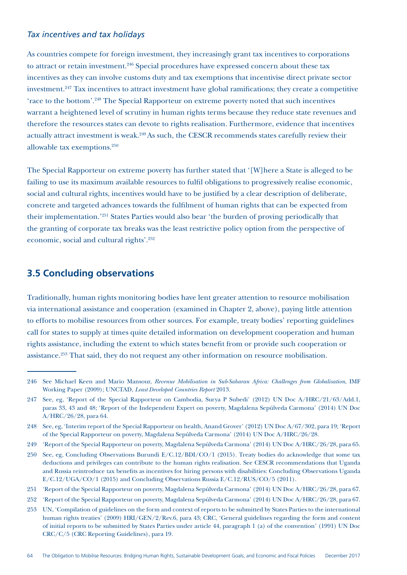### *Tax incentives and tax holidays*

As countries compete for foreign investment, they increasingly grant tax incentives to corporations to attract or retain investment.<sup>246</sup> Special procedures have expressed concern about these tax incentives as they can involve customs duty and tax exemptions that incentivise direct private sector investment.<sup>247</sup> Tax incentives to attract investment have global ramifications; they create a competitive 'race to the bottom'.<sup>248</sup> The Special Rapporteur on extreme poverty noted that such incentives warrant a heightened level of scrutiny in human rights terms because they reduce state revenues and therefore the resources states can devote to rights realisation. Furthermore, evidence that incentives actually attract investment is weak.<sup>249</sup> As such, the CESCR recommends states carefully review their allowable tax exemptions.250

The Special Rapporteur on extreme poverty has further stated that '[W]here a State is alleged to be failing to use its maximum available resources to fulfil obligations to progressively realise economic, social and cultural rights, incentives would have to be justified by a clear description of deliberate, concrete and targeted advances towards the fulfilment of human rights that can be expected from their implementation.'251 States Parties would also bear 'the burden of proving periodically that the granting of corporate tax breaks was the least restrictive policy option from the perspective of economic, social and cultural rights'.252

# **3.5 Concluding observations**

Traditionally, human rights monitoring bodies have lent greater attention to resource mobilisation via international assistance and cooperation (examined in Chapter 2, above), paying little attention to efforts to mobilise resources from other sources. For example, treaty bodies' reporting guidelines call for states to supply at times quite detailed information on development cooperation and human rights assistance, including the extent to which states benefit from or provide such cooperation or assistance.<sup>253</sup> That said, they do not request any other information on resource mobilisation.

<sup>246</sup> See Michael Keen and Mario Mansour, *Revenue Mobilisation in Sub-Saharan Africa: Challenges from Globalisation*, IMF Working Paper (2009); UNCTAD, *Least Developed Countries Report* 2013.

<sup>247</sup> See, eg, 'Report of the Special Rapporteur on Cambodia, Surya P Subedi' (2012) UN Doc A/HRC/21/63/Add.1, paras 33, 43 and 48; 'Report of the Independent Expert on poverty, Magdalena Sepúlveda Carmona' (2014) UN Doc A/HRC/26/28, para 64.

<sup>248</sup> See, eg, 'Interim report of the Special Rapporteur on health, Anand Grover' (2012) UN Doc A/67/302, para 19; 'Report of the Special Rapporteur on poverty, Magdalena Sepúlveda Carmona' (2014) UN Doc A/HRC/26/28.

<sup>249</sup> 'Report of the Special Rapporteur on poverty, Magdalena Sepúlveda Carmona' (2014) UN Doc A/HRC/26/28, para 65.

<sup>250</sup> See, eg, Concluding Observations Burundi E/C.12/BDI/CO/1 (2015). Treaty bodies do acknowledge that some tax deductions and privileges can contribute to the human rights realisation. See CESCR recommendations that Uganda and Russia reintroduce tax benefits as incentives for hiring persons with disabilities: Concluding Observations Uganda E/C.12/UGA/CO/1 (2015) and Concluding Observations Russia E/C.12/RUS/CO/5 (2011).

<sup>251</sup> 'Report of the Special Rapporteur on poverty, Magdalena Sepúlveda Carmona' (2014) UN Doc A/HRC/26/28, para 67.

<sup>252</sup> 'Report of the Special Rapporteur on poverty, Magdalena Sepúlveda Carmona' (2014) UN Doc A/HRC/26/28, para 67.

<sup>253</sup> UN, 'Compilation of guidelines on the form and context of reports to be submitted by States Parties to the international human rights treaties' (2009) HRI/GEN/2/Rev.6, para 43; CRC, 'General guidelines regarding the form and content of initial reports to be submitted by States Parties under article 44, paragraph 1 (a) of the convention' (1991) UN Doc CRC/C/5 (CRC Reporting Guidelines), para 19.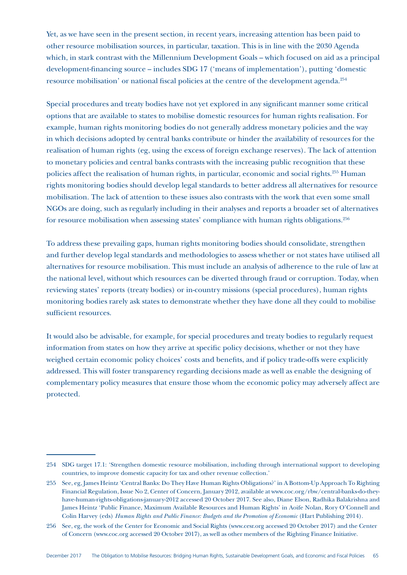Yet, as we have seen in the present section, in recent years, increasing attention has been paid to other resource mobilisation sources, in particular, taxation. This is in line with the 2030 Agenda which, in stark contrast with the Millennium Development Goals – which focused on aid as a principal development-financing source – includes SDG 17 ('means of implementation'), putting 'domestic resource mobilisation' or national fiscal policies at the centre of the development agenda.<sup>254</sup>

Special procedures and treaty bodies have not yet explored in any significant manner some critical options that are available to states to mobilise domestic resources for human rights realisation. For example, human rights monitoring bodies do not generally address monetary policies and the way in which decisions adopted by central banks contribute or hinder the availability of resources for the realisation of human rights (eg, using the excess of foreign exchange reserves). The lack of attention to monetary policies and central banks contrasts with the increasing public recognition that these policies affect the realisation of human rights, in particular, economic and social rights.<sup>255</sup> Human rights monitoring bodies should develop legal standards to better address all alternatives for resource mobilisation. The lack of attention to these issues also contrasts with the work that even some small NGOs are doing, such as regularly including in their analyses and reports a broader set of alternatives for resource mobilisation when assessing states' compliance with human rights obligations.<sup>256</sup>

To address these prevailing gaps, human rights monitoring bodies should consolidate, strengthen and further develop legal standards and methodologies to assess whether or not states have utilised all alternatives for resource mobilisation. This must include an analysis of adherence to the rule of law at the national level, without which resources can be diverted through fraud or corruption. Today, when reviewing states' reports (treaty bodies) or in-country missions (special procedures), human rights monitoring bodies rarely ask states to demonstrate whether they have done all they could to mobilise sufficient resources.

It would also be advisable, for example, for special procedures and treaty bodies to regularly request information from states on how they arrive at specific policy decisions, whether or not they have weighed certain economic policy choices' costs and benefits, and if policy trade-offs were explicitly addressed. This will foster transparency regarding decisions made as well as enable the designing of complementary policy measures that ensure those whom the economic policy may adversely affect are protected.

<sup>254</sup> SDG target 17.1: 'Strengthen domestic resource mobilisation, including through international support to developing countries, to improve domestic capacity for tax and other revenue collection.'

<sup>255</sup> See, eg, James Heintz 'Central Banks: Do They Have Human Rights Obligations?' in A Bottom-Up Approach To Righting Financial Regulation, Issue No 2, Center of Concern, January 2012, available at www.coc.org/rbw/central-banks-do-theyhave-human-rights-obligations-january-2012 accessed 20 October 2017. See also, Diane Elson, Radhika Balakrishna and James Heintz 'Public Finance, Maximum Available Resources and Human Rights' in Aoife Nolan, Rory O'Connell and Colin Harvey (eds) *Human Rights and Public Finance: Budgets and the Promotion of Economic* (Hart Publishing 2014).

<sup>256</sup> See, eg, the work of the Center for Economic and Social Rights (www.cesr.org accessed 20 October 2017) and the Center of Concern (www.coc.org accessed 20 October 2017), as well as other members of the Righting Finance Initiative.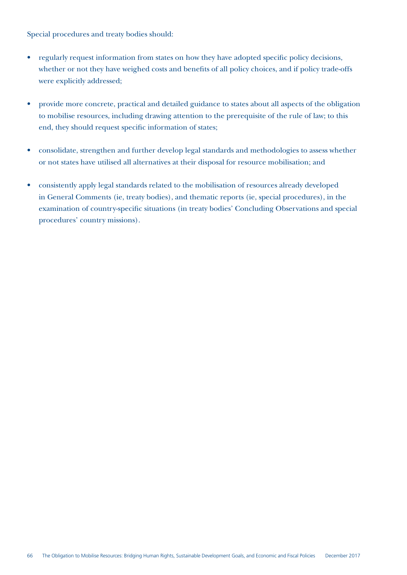Special procedures and treaty bodies should:

- regularly request information from states on how they have adopted specific policy decisions, whether or not they have weighed costs and benefits of all policy choices, and if policy trade-offs were explicitly addressed;
- provide more concrete, practical and detailed guidance to states about all aspects of the obligation to mobilise resources, including drawing attention to the prerequisite of the rule of law; to this end, they should request specific information of states;
- consolidate, strengthen and further develop legal standards and methodologies to assess whether or not states have utilised all alternatives at their disposal for resource mobilisation; and
- consistently apply legal standards related to the mobilisation of resources already developed in General Comments (ie, treaty bodies), and thematic reports (ie, special procedures), in the examination of country-specific situations (in treaty bodies' Concluding Observations and special procedures' country missions).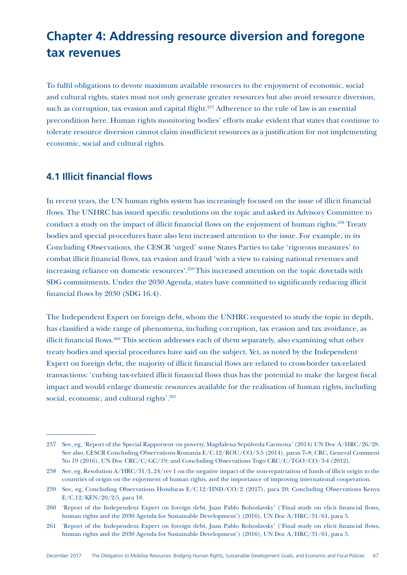# **Chapter 4: Addressing resource diversion and foregone tax revenues**

To fulfil obligations to devote maximum available resources to the enjoyment of economic, social and cultural rights, states must not only generate greater resources but also avoid resource diversion, such as corruption, tax evasion and capital flight.<sup>257</sup> Adherence to the rule of law is an essential precondition here. Human rights monitoring bodies' efforts make evident that states that continue to tolerate resource diversion cannot claim insufficient resources as a justification for not implementing economic, social and cultural rights.

# **4.1 Illicit financial flows**

In recent years, the UN human rights system has increasingly focused on the issue of illicit financial flows. The UNHRC has issued specific resolutions on the topic and asked its Advisory Committee to conduct a study on the impact of illicit financial flows on the enjoyment of human rights.258 Treaty bodies and special procedures have also lent increased attention to the issue. For example, in its Concluding Observations, the CESCR 'urged' some States Parties to take 'rigorous measures' to combat illicit financial flows, tax evasion and fraud 'with a view to raising national revenues and increasing reliance on domestic resources'.259 This increased attention on the topic dovetails with SDG commitments. Under the 2030 Agenda, states have committed to significantly reducing illicit financial flows by 2030 (SDG 16.4).

The Independent Expert on foreign debt, whom the UNHRC requested to study the topic in depth, has classified a wide range of phenomena, including corruption, tax evasion and tax avoidance, as illicit financial flows.<sup>260</sup> This section addresses each of them separately, also examining what other treaty bodies and special procedures have said on the subject. Yet, as noted by the Independent Expert on foreign debt, the majority of illicit financial flows are related to cross-border tax-related transactions: 'curbing tax-related illicit financial flows thus has the potential to make the largest fiscal impact and would enlarge domestic resources available for the realisation of human rights, including social, economic, and cultural rights'.<sup>261</sup>

<sup>257</sup> See, eg, 'Report of the Special Rapporteur on poverty, Magdalena Sepúlveda Carmona' (2014) UN Doc A/HRC/26/28. See also, CESCR Concluding Observations Romania E/C.12/ROU/CO/3-5 (2014), paras 7–8; CRC, General Comment No 19 (2016), UN Doc CRC/C/GC/19; and Concluding Observations Togo CRC/C/TGO/CO/3-4 (2012).

<sup>258</sup> See, eg, Resolution A/HRC/31/L.24/rev 1 on the negative impact of the non-repatriation of funds of illicit origin to the countries of origin on the enjoyment of human rights, and the importance of improving international cooperation.

<sup>259</sup> See, eg, Concluding Observations Honduras E/C.12/HND/CO/2 (2017), para 20; Concluding Observations Kenya E/C.12/KEN/20/2-5, para 18.

<sup>260</sup> 'Report of the Independent Expert on foreign debt, Juan Pablo Bohoslavsky' ('Final study on elicit financial flows, human rights and the 2030 Agenda for Sustainable Development') (2016), UN Doc A/HRC/31/61, para 5.

<sup>261</sup> 'Report of the Independent Expert on foreign debt, Juan Pablo Bohoslavsky' ('Final study on elicit financial flows, human rights and the 2030 Agenda for Sustainable Development') (2016), UN Doc A/HRC/31/61, para 5.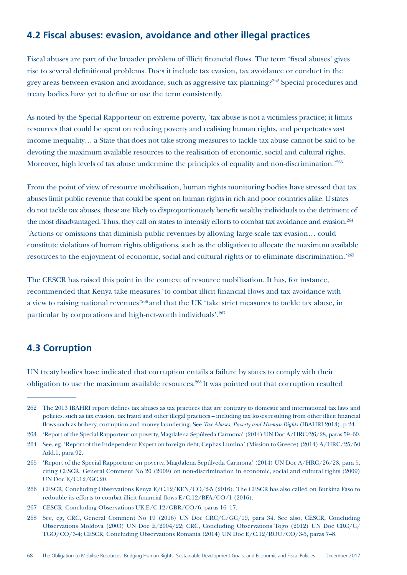# **4.2 Fiscal abuses: evasion, avoidance and other illegal practices**

Fiscal abuses are part of the broader problem of illicit financial flows. The term 'fiscal abuses' gives rise to several definitional problems. Does it include tax evasion, tax avoidance or conduct in the grey areas between evasion and avoidance, such as aggressive tax planning?262 Special procedures and treaty bodies have yet to define or use the term consistently.

As noted by the Special Rapporteur on extreme poverty, 'tax abuse is not a victimless practice; it limits resources that could be spent on reducing poverty and realising human rights, and perpetuates vast income inequality… a State that does not take strong measures to tackle tax abuse cannot be said to be devoting the maximum available resources to the realisation of economic, social and cultural rights. Moreover, high levels of tax abuse undermine the principles of equality and non-discrimination.<sup>'263</sup>

From the point of view of resource mobilisation, human rights monitoring bodies have stressed that tax abuses limit public revenue that could be spent on human rights in rich and poor countries alike. If states do not tackle tax abuses, these are likely to disproportionately benefit wealthy individuals to the detriment of the most disadvantaged. Thus, they call on states to intensify efforts to combat tax avoidance and evasion.<sup>264</sup> 'Actions or omissions that diminish public revenues by allowing large-scale tax evasion… could constitute violations of human rights obligations, such as the obligation to allocate the maximum available resources to the enjoyment of economic, social and cultural rights or to eliminate discrimination.'265

The CESCR has raised this point in the context of resource mobilisation. It has, for instance, recommended that Kenya take measures 'to combat illicit financial flows and tax avoidance with a view to raising national revenues'266 and that the UK 'take strict measures to tackle tax abuse, in particular by corporations and high-net-worth individuals'.267

# **4.3 Corruption**

UN treaty bodies have indicated that corruption entails a failure by states to comply with their obligation to use the maximum available resources.<sup>268</sup> It was pointed out that corruption resulted

<sup>262</sup> The 2013 IBAHRI report defines tax abuses as tax practices that are contrary to domestic and international tax laws and policies, such as tax evasion, tax fraud and other illegal practices – including tax losses resulting from other illicit financial flows such as bribery, corruption and money laundering. See *Tax Abuses, Poverty and Human Rights* (IBAHRI 2013), p 24.

<sup>263</sup> 'Report of the Special Rapporteur on poverty, Magdalena Sepúlveda Carmona' (2014) UN Doc A/HRC/26/28, paras 59–60.

<sup>264</sup> See, eg, 'Report of the Independent Expert on foreign debt, Cephas Lumina' (Mission to Greece) (2014) A/HRC/25/50 Add.1, para 92.

<sup>265</sup> 'Report of the Special Rapporteur on poverty, Magdalena Sepúlveda Carmona' (2014) UN Doc A/HRC/26/28, para 5, citing CESCR, General Comment No 20 (2009) on non-discrimination in economic, social and cultural rights (2009) UN Doc E/C.12/GC.20.

<sup>266</sup> CESCR, Concluding Observations Kenya E/C.12/KEN/CO/2-5 (2016). The CESCR has also called on Burkina Faso to redouble its efforts to combat illicit financial flows E/C.12/BFA/CO/1 (2016).

<sup>267</sup> CESCR, Concluding Observations UK E/C.12/GBR/CO/6, paras 16–17.

<sup>268</sup> See, eg, CRC, General Comment No 19 (2016) UN Doc CRC/C/GC/19, para 34. See also, CESCR, Concluding Observations Moldova (2003) UN Doc E/2004/22; CRC, Concluding Observations Togo (2012) UN Doc CRC/C/ TGO/CO/3-4; CESCR, Concluding Observations Romania (2014) UN Doc E/C.12/ROU/CO/3-5, paras 7–8.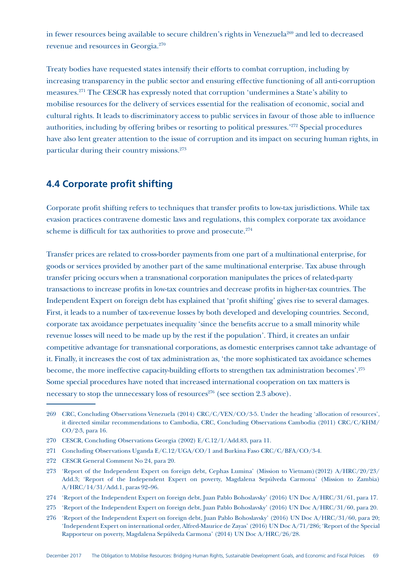in fewer resources being available to secure children's rights in Venezuela<sup>269</sup> and led to decreased revenue and resources in Georgia.270

Treaty bodies have requested states intensify their efforts to combat corruption, including by increasing transparency in the public sector and ensuring effective functioning of all anti-corruption measures.271 The CESCR has expressly noted that corruption 'undermines a State's ability to mobilise resources for the delivery of services essential for the realisation of economic, social and cultural rights. It leads to discriminatory access to public services in favour of those able to influence authorities, including by offering bribes or resorting to political pressures.'272 Special procedures have also lent greater attention to the issue of corruption and its impact on securing human rights, in particular during their country missions.273

# **4.4 Corporate profit shifting**

Corporate profit shifting refers to techniques that transfer profits to low-tax jurisdictions. While tax evasion practices contravene domestic laws and regulations, this complex corporate tax avoidance scheme is difficult for tax authorities to prove and prosecute.<sup>274</sup>

Transfer prices are related to cross-border payments from one part of a multinational enterprise, for goods or services provided by another part of the same multinational enterprise. Tax abuse through transfer pricing occurs when a transnational corporation manipulates the prices of related-party transactions to increase profits in low-tax countries and decrease profits in higher-tax countries. The Independent Expert on foreign debt has explained that 'profit shifting' gives rise to several damages. First, it leads to a number of tax-revenue losses by both developed and developing countries. Second, corporate tax avoidance perpetuates inequality 'since the benefits accrue to a small minority while revenue losses will need to be made up by the rest if the population'. Third, it creates an unfair competitive advantage for transnational corporations, as domestic enterprises cannot take advantage of it. Finally, it increases the cost of tax administration as, 'the more sophisticated tax avoidance schemes become, the more ineffective capacity-building efforts to strengthen tax administration becomes'.275 Some special procedures have noted that increased international cooperation on tax matters is necessary to stop the unnecessary loss of resources<sup>276</sup> (see section 2.3 above).

<sup>269</sup> CRC, Concluding Observations Venezuela (2014) CRC/C/VEN/CO/3-5. Under the heading 'allocation of resources', it directed similar recommendations to Cambodia, CRC, Concluding Observations Cambodia (2011) CRC/C/KHM/ CO/2-3, para 16.

<sup>270</sup> CESCR, Concluding Observations Georgia (2002) E/C.12/1/Add.83, para 11.

<sup>271</sup> Concluding Observations Uganda E/C.12/UGA/CO/1 and Burkina Faso CRC/C/BFA/CO/3-4.

<sup>272</sup> CESCR General Comment No 24, para 20.

<sup>273</sup> 'Report of the Independent Expert on foreign debt, Cephas Lumina' (Mission to Vietnam)(2012) A/HRC/20/23/ Add.3; 'Report of the Independent Expert on poverty, Magdalena Sepúlveda Carmona' (Mission to Zambia) A/HRC/14/31/Add.1, paras 92–96.

<sup>274</sup> 'Report of the Independent Expert on foreign debt, Juan Pablo Bohoslavsky' (2016) UN Doc A/HRC/31/61, para 17.

<sup>275</sup> 'Report of the Independent Expert on foreign debt, Juan Pablo Bohoslavsky' (2016) UN Doc A/HRC/31/60, para 20.

<sup>276</sup> 'Report of the Independent Expert on foreign debt, Juan Pablo Bohoslavsky' (2016) UN Doc A/HRC/31/60, para 20; 'Independent Expert on international order, Alfred-Maurice de Zayas' (2016) UN Doc A/71/286; 'Report of the Special Rapporteur on poverty, Magdalena Sepúlveda Carmona' (2014) UN Doc A/HRC/26/28.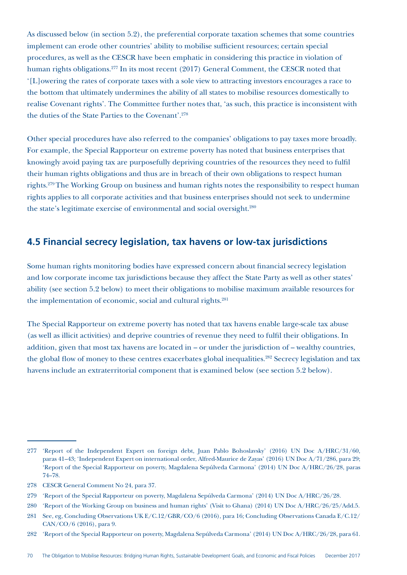As discussed below (in section 5.2), the preferential corporate taxation schemes that some countries implement can erode other countries' ability to mobilise sufficient resources; certain special procedures, as well as the CESCR have been emphatic in considering this practice in violation of human rights obligations.<sup>277</sup> In its most recent (2017) General Comment, the CESCR noted that '[L]owering the rates of corporate taxes with a sole view to attracting investors encourages a race to the bottom that ultimately undermines the ability of all states to mobilise resources domestically to realise Covenant rights'. The Committee further notes that, 'as such, this practice is inconsistent with the duties of the State Parties to the Covenant'.278

Other special procedures have also referred to the companies' obligations to pay taxes more broadly. For example, the Special Rapporteur on extreme poverty has noted that business enterprises that knowingly avoid paying tax are purposefully depriving countries of the resources they need to fulfil their human rights obligations and thus are in breach of their own obligations to respect human rights.279 The Working Group on business and human rights notes the responsibility to respect human rights applies to all corporate activities and that business enterprises should not seek to undermine the state's legitimate exercise of environmental and social oversight.<sup>280</sup>

# **4.5 Financial secrecy legislation, tax havens or low-tax jurisdictions**

Some human rights monitoring bodies have expressed concern about financial secrecy legislation and low corporate income tax jurisdictions because they affect the State Party as well as other states' ability (see section 5.2 below) to meet their obligations to mobilise maximum available resources for the implementation of economic, social and cultural rights.281

The Special Rapporteur on extreme poverty has noted that tax havens enable large-scale tax abuse (as well as illicit activities) and deprive countries of revenue they need to fulfil their obligations. In addition, given that most tax havens are located in – or under the jurisdiction of – wealthy countries, the global flow of money to these centres exacerbates global inequalities.<sup>282</sup> Secrecy legislation and tax havens include an extraterritorial component that is examined below (see section 5.2 below).

<sup>277</sup> 'Report of the Independent Expert on foreign debt, Juan Pablo Bohoslavsky' (2016) UN Doc A/HRC/31/60, paras 41–43; 'Independent Expert on international order, Alfred-Maurice de Zayas' (2016) UN Doc A/71/286, para 29; 'Report of the Special Rapporteur on poverty, Magdalena Sepúlveda Carmona' (2014) UN Doc A/HRC/26/28, paras 74–78.

<sup>278</sup> CESCR General Comment No 24, para 37.

<sup>279</sup> 'Report of the Special Rapporteur on poverty, Magdalena Sepúlveda Carmona' (2014) UN Doc A/HRC/26/28.

<sup>280</sup> 'Report of the Working Group on business and human rights' (Visit to Ghana) (2014) UN Doc A/HRC/26/25/Add.5.

<sup>281</sup> See, eg, Concluding Observations UK E/C.12/GBR/CO/6 (2016), para 16; Concluding Observations Canada E/C.12/ CAN/CO/6 (2016), para 9.

<sup>282</sup> 'Report of the Special Rapporteur on poverty, Magdalena Sepúlveda Carmona' (2014) UN Doc A/HRC/26/28, para 61.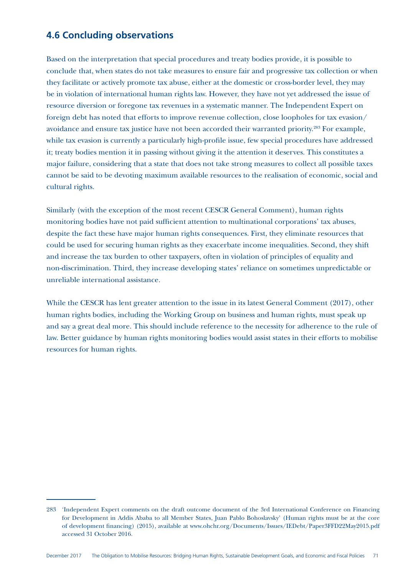#### **4.6 Concluding observations**

Based on the interpretation that special procedures and treaty bodies provide, it is possible to conclude that, when states do not take measures to ensure fair and progressive tax collection or when they facilitate or actively promote tax abuse, either at the domestic or cross-border level, they may be in violation of international human rights law. However, they have not yet addressed the issue of resource diversion or foregone tax revenues in a systematic manner. The Independent Expert on foreign debt has noted that efforts to improve revenue collection, close loopholes for tax evasion/ avoidance and ensure tax justice have not been accorded their warranted priority.283 For example, while tax evasion is currently a particularly high-profile issue, few special procedures have addressed it; treaty bodies mention it in passing without giving it the attention it deserves. This constitutes a major failure, considering that a state that does not take strong measures to collect all possible taxes cannot be said to be devoting maximum available resources to the realisation of economic, social and cultural rights.

Similarly (with the exception of the most recent CESCR General Comment), human rights monitoring bodies have not paid sufficient attention to multinational corporations' tax abuses, despite the fact these have major human rights consequences. First, they eliminate resources that could be used for securing human rights as they exacerbate income inequalities. Second, they shift and increase the tax burden to other taxpayers, often in violation of principles of equality and non-discrimination. Third, they increase developing states' reliance on sometimes unpredictable or unreliable international assistance.

While the CESCR has lent greater attention to the issue in its latest General Comment (2017), other human rights bodies, including the Working Group on business and human rights, must speak up and say a great deal more. This should include reference to the necessity for adherence to the rule of law. Better guidance by human rights monitoring bodies would assist states in their efforts to mobilise resources for human rights.

<sup>283</sup> 'Independent Expert comments on the draft outcome document of the 3rd International Conference on Financing for Development in Addis Ababa to all Member States, Juan Pablo Bohoslavsky' (Human rights must be at the core of development financing) (2015), available at www.ohchr.org/Documents/Issues/IEDebt/Paper3FFD22May2015.pdf accessed 31 October 2016.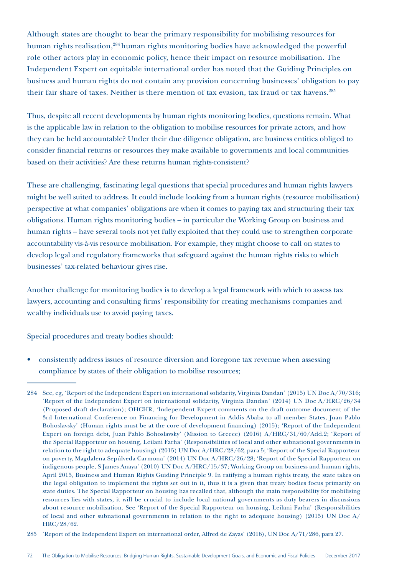Although states are thought to bear the primary responsibility for mobilising resources for human rights realisation,<sup>284</sup> human rights monitoring bodies have acknowledged the powerful role other actors play in economic policy, hence their impact on resource mobilisation. The Independent Expert on equitable international order has noted that the Guiding Principles on business and human rights do not contain any provision concerning businesses' obligation to pay their fair share of taxes. Neither is there mention of tax evasion, tax fraud or tax havens.<sup>285</sup>

Thus, despite all recent developments by human rights monitoring bodies, questions remain. What is the applicable law in relation to the obligation to mobilise resources for private actors, and how they can be held accountable? Under their due diligence obligation, are business entities obliged to consider financial returns or resources they make available to governments and local communities based on their activities? Are these returns human rights-consistent?

These are challenging, fascinating legal questions that special procedures and human rights lawyers might be well suited to address. It could include looking from a human rights (resource mobilisation) perspective at what companies' obligations are when it comes to paying tax and structuring their tax obligations. Human rights monitoring bodies – in particular the Working Group on business and human rights – have several tools not yet fully exploited that they could use to strengthen corporate accountability vis-à-vis resource mobilisation. For example, they might choose to call on states to develop legal and regulatory frameworks that safeguard against the human rights risks to which businesses' tax-related behaviour gives rise.

Another challenge for monitoring bodies is to develop a legal framework with which to assess tax lawyers, accounting and consulting firms' responsibility for creating mechanisms companies and wealthy individuals use to avoid paying taxes.

Special procedures and treaty bodies should:

• consistently address issues of resource diversion and foregone tax revenue when assessing compliance by states of their obligation to mobilise resources;

285 'Report of the Independent Expert on international order, Alfred de Zayas' (2016), UN Doc A/71/286, para 27.

<sup>284</sup> See, eg, 'Report of the Independent Expert on international solidarity, Virginia Dandan' (2015) UN Doc A/70/316; 'Report of the Independent Expert on international solidarity, Virginia Dandan' (2014) UN Doc A/HRC/26/34 (Proposed draft declaration); OHCHR, 'Independent Expert comments on the draft outcome document of the 3rd International Conference on Financing for Development in Addis Ababa to all member States, Juan Pablo Bohoslavsky' (Human rights must be at the core of development financing) (2015); 'Report of the Independent Expert on foreign debt, Juan Pablo Bohoslavsky' (Mission to Greece) (2016) A/HRC/31/60/Add.2; 'Report of the Special Rapporteur on housing, Leilani Farha' (Responsibilities of local and other subnational governments in relation to the right to adequate housing) (2015) UN Doc A/HRC/28/62, para 5; 'Report of the Special Rapporteur on poverty, Magdalena Sepúlveda Carmona' (2014) UN Doc A/HRC/26/28; 'Report of the Special Rapporteur on indigenous people, S James Anaya' (2010) UN Doc A/HRC/15/37; Working Group on business and human rights, April 2015, Business and Human Rights Guiding Principle 9. In ratifying a human rights treaty, the state takes on the legal obligation to implement the rights set out in it, thus it is a given that treaty bodies focus primarily on state duties. The Special Rapporteur on housing has recalled that, although the main responsibility for mobilising resources lies with states, it will be crucial to include local national governments as duty bearers in discussions about resource mobilisation. See 'Report of the Special Rapporteur on housing, Leilani Farha' (Responsibilities of local and other subnational governments in relation to the right to adequate housing) (2015) UN Doc A/ HRC/28/62.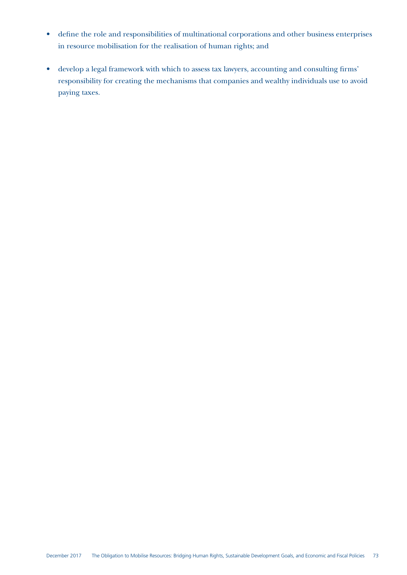- define the role and responsibilities of multinational corporations and other business enterprises in resource mobilisation for the realisation of human rights; and
- develop a legal framework with which to assess tax lawyers, accounting and consulting firms' responsibility for creating the mechanisms that companies and wealthy individuals use to avoid paying taxes.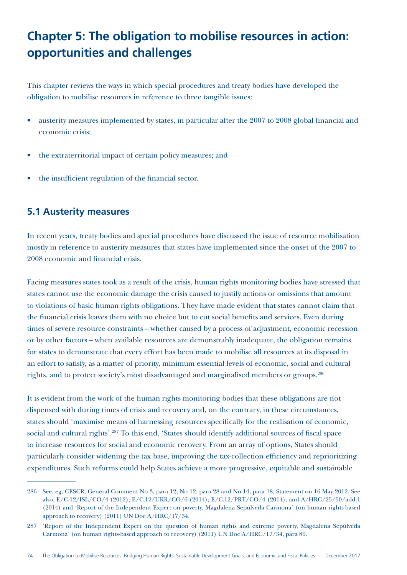## **Chapter 5: The obligation to mobilise resources in action: opportunities and challenges**

This chapter reviews the ways in which special procedures and treaty bodies have developed the obligation to mobilise resources in reference to three tangible issues:

- austerity measures implemented by states, in particular after the 2007 to 2008 global financial and economic crisis;
- the extraterritorial impact of certain policy measures; and
- the insufficient regulation of the financial sector.

#### **5.1 Austerity measures**

In recent years, treaty bodies and special procedures have discussed the issue of resource mobilisation mostly in reference to austerity measures that states have implemented since the onset of the 2007 to 2008 economic and financial crisis.

Facing measures states took as a result of the crisis, human rights monitoring bodies have stressed that states cannot use the economic damage the crisis caused to justify actions or omissions that amount to violations of basic human rights obligations. They have made evident that states cannot claim that the financial crisis leaves them with no choice but to cut social benefits and services. Even during times of severe resource constraints – whether caused by a process of adjustment, economic recession or by other factors – when available resources are demonstrably inadequate, the obligation remains for states to demonstrate that every effort has been made to mobilise all resources at its disposal in an effort to satisfy, as a matter of priority, minimum essential levels of economic, social and cultural rights, and to protect society's most disadvantaged and marginalised members or groups.286

It is evident from the work of the human rights monitoring bodies that these obligations are not dispensed with during times of crisis and recovery and, on the contrary, in these circumstances, states should 'maximise means of harnessing resources specifically for the realisation of economic, social and cultural rights'.<sup>287</sup> To this end, 'States should identify additional sources of fiscal space to increase resources for social and economic recovery. From an array of options, States should particularly consider widening the tax base, improving the tax-collection efficiency and reprioritizing expenditures. Such reforms could help States achieve a more progressive, equitable and sustainable

<sup>286</sup> See, eg, CESCR, General Comment No 3, para 12, No 12, para 28 and No 14, para 18; Statement on 16 May 2012. See also, E/C.12/ISL/CO/4 (2012); E/C.12/UKR/CO/6 (2014); E/C.12/PRT/CO/4 (2014); and A/HRC/25/50/add.1 (2014) and 'Report of the Independent Expert on poverty, Magdalena Sepúlveda Carmona' (on human rights-based approach to recovery) (2011) UN Doc A/HRC/17/34.

<sup>287</sup> 'Report of the Independent Expert on the question of human rights and extreme poverty, Magdalena Sepúlveda Carmona' (on human rights-based approach to recovery) (2011) UN Doc A/HRC/17/34, para 80.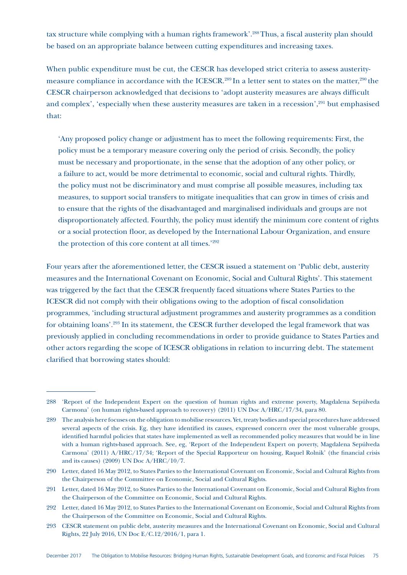tax structure while complying with a human rights framework'.<sup>288</sup> Thus, a fiscal austerity plan should be based on an appropriate balance between cutting expenditures and increasing taxes.

When public expenditure must be cut, the CESCR has developed strict criteria to assess austeritymeasure compliance in accordance with the ICESCR.<sup>289</sup> In a letter sent to states on the matter,<sup>290</sup> the CESCR chairperson acknowledged that decisions to 'adopt austerity measures are always difficult and complex', 'especially when these austerity measures are taken in a recession',<sup>291</sup> but emphasised that:

'Any proposed policy change or adjustment has to meet the following requirements: First, the policy must be a temporary measure covering only the period of crisis. Secondly, the policy must be necessary and proportionate, in the sense that the adoption of any other policy, or a failure to act, would be more detrimental to economic, social and cultural rights. Thirdly, the policy must not be discriminatory and must comprise all possible measures, including tax measures, to support social transfers to mitigate inequalities that can grow in times of crisis and to ensure that the rights of the disadvantaged and marginalised individuals and groups are not disproportionately affected. Fourthly, the policy must identify the minimum core content of rights or a social protection floor, as developed by the International Labour Organization, and ensure the protection of this core content at all times.'292

Four years after the aforementioned letter, the CESCR issued a statement on 'Public debt, austerity measures and the International Covenant on Economic, Social and Cultural Rights'. This statement was triggered by the fact that the CESCR frequently faced situations where States Parties to the ICESCR did not comply with their obligations owing to the adoption of fiscal consolidation programmes, 'including structural adjustment programmes and austerity programmes as a condition for obtaining loans'.293 In its statement, the CESCR further developed the legal framework that was previously applied in concluding recommendations in order to provide guidance to States Parties and other actors regarding the scope of ICESCR obligations in relation to incurring debt. The statement clarified that borrowing states should:

<sup>288</sup> 'Report of the Independent Expert on the question of human rights and extreme poverty, Magdalena Sepúlveda Carmona' (on human rights-based approach to recovery) (2011) UN Doc A/HRC/17/34, para 80.

<sup>289</sup> The analysis here focuses on the obligation to mobilise resources. Yet, treaty bodies and special procedures have addressed several aspects of the crisis. Eg, they have identified its causes, expressed concern over the most vulnerable groups, identified harmful policies that states have implemented as well as recommended policy measures that would be in line with a human rights-based approach. See, eg, 'Report of the Independent Expert on poverty, Magdalena Sepúlveda Carmona' (2011) A/HRC/17/34; 'Report of the Special Rapporteur on housing, Raquel Rolnik' (the financial crisis and its causes) (2009) UN Doc A/HRC/10/7.

<sup>290</sup> Letter, dated 16 May 2012, to States Parties to the International Covenant on Economic, Social and Cultural Rights from the Chairperson of the Committee on Economic, Social and Cultural Rights.

<sup>291</sup> Letter, dated 16 May 2012, to States Parties to the International Covenant on Economic, Social and Cultural Rights from the Chairperson of the Committee on Economic, Social and Cultural Rights.

<sup>292</sup> Letter, dated 16 May 2012, to States Parties to the International Covenant on Economic, Social and Cultural Rights from the Chairperson of the Committee on Economic, Social and Cultural Rights.

<sup>293</sup> CESCR statement on public debt, austerity measures and the International Covenant on Economic, Social and Cultural Rights, 22 July 2016, UN Doc E/C.12/2016/1, para 1.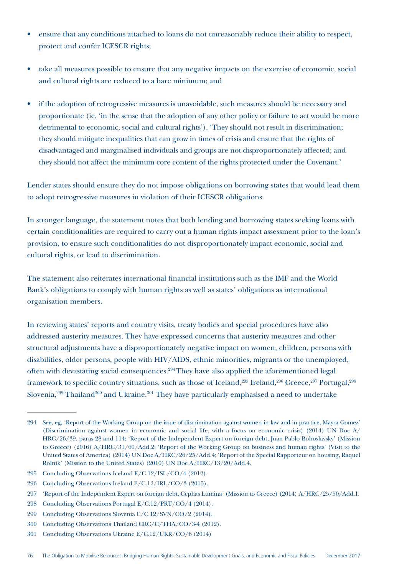- ensure that any conditions attached to loans do not unreasonably reduce their ability to respect, protect and confer ICESCR rights;
- take all measures possible to ensure that any negative impacts on the exercise of economic, social and cultural rights are reduced to a bare minimum; and
- if the adoption of retrogressive measures is unavoidable, such measures should be necessary and proportionate (ie, 'in the sense that the adoption of any other policy or failure to act would be more detrimental to economic, social and cultural rights'). 'They should not result in discrimination; they should mitigate inequalities that can grow in times of crisis and ensure that the rights of disadvantaged and marginalised individuals and groups are not disproportionately affected; and they should not affect the minimum core content of the rights protected under the Covenant.'

Lender states should ensure they do not impose obligations on borrowing states that would lead them to adopt retrogressive measures in violation of their ICESCR obligations.

In stronger language, the statement notes that both lending and borrowing states seeking loans with certain conditionalities are required to carry out a human rights impact assessment prior to the loan's provision, to ensure such conditionalities do not disproportionately impact economic, social and cultural rights, or lead to discrimination.

The statement also reiterates international financial institutions such as the IMF and the World Bank's obligations to comply with human rights as well as states' obligations as international organisation members.

In reviewing states' reports and country visits, treaty bodies and special procedures have also addressed austerity measures. They have expressed concerns that austerity measures and other structural adjustments have a disproportionately negative impact on women, children, persons with disabilities, older persons, people with HIV/AIDS, ethnic minorities, migrants or the unemployed, often with devastating social consequences.<sup>294</sup> They have also applied the aforementioned legal framework to specific country situations, such as those of Iceland,<sup>295</sup> Ireland,<sup>296</sup> Greece,<sup>297</sup> Portugal,<sup>298</sup> Slovenia,<sup>299</sup> Thailand<sup>300</sup> and Ukraine.<sup>301</sup> They have particularly emphasised a need to undertake

<sup>294</sup> See, eg, 'Report of the Working Group on the issue of discrimination against women in law and in practice, Mayra Gomez' (Discrimination against women in economic and social life, with a focus on economic crisis) (2014) UN Doc A/ HRC/26/39, paras 28 and 114; 'Report of the Independent Expert on foreign debt, Juan Pablo Bohoslavsky' (Mission to Greece) (2016) A/HRC/31/60/Add.2; 'Report of the Working Group on business and human rights' (Visit to the United States of America) (2014) UN Doc A/HRC/26/25/Add.4; 'Report of the Special Rapporteur on housing, Raquel Rolnik' (Mission to the United States) (2010) UN Doc A/HRC/13/20/Add.4.

<sup>295</sup> Concluding Observations Iceland E/C.12/ISL/CO/4 (2012).

<sup>296</sup> Concluding Observations Ireland E/C.12/IRL/CO/3 (2015).

<sup>297</sup> 'Report of the Independent Expert on foreign debt, Cephas Lumina' (Mission to Greece) (2014) A/HRC/25/50/Add.1.

<sup>298</sup> Concluding Observations Portugal E/C.12/PRT/CO/4 (2014).

<sup>299</sup> Concluding Observations Slovenia E/C.12/SVN/CO/2 (2014).

<sup>300</sup> Concluding Observations Thailand CRC/C/THA/CO/3-4 (2012).

<sup>301</sup> Concluding Observations Ukraine E/C.12/UKR/CO/6 (2014)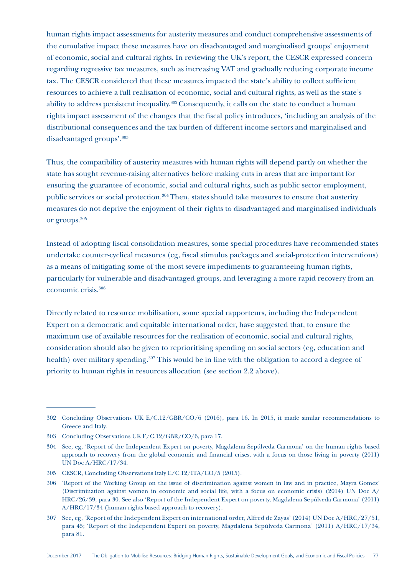human rights impact assessments for austerity measures and conduct comprehensive assessments of the cumulative impact these measures have on disadvantaged and marginalised groups' enjoyment of economic, social and cultural rights. In reviewing the UK's report, the CESCR expressed concern regarding regressive tax measures, such as increasing VAT and gradually reducing corporate income tax. The CESCR considered that these measures impacted the state's ability to collect sufficient resources to achieve a full realisation of economic, social and cultural rights, as well as the state's ability to address persistent inequality.302 Consequently, it calls on the state to conduct a human rights impact assessment of the changes that the fiscal policy introduces, 'including an analysis of the distributional consequences and the tax burden of different income sectors and marginalised and disadvantaged groups'.303

Thus, the compatibility of austerity measures with human rights will depend partly on whether the state has sought revenue-raising alternatives before making cuts in areas that are important for ensuring the guarantee of economic, social and cultural rights, such as public sector employment, public services or social protection.304 Then, states should take measures to ensure that austerity measures do not deprive the enjoyment of their rights to disadvantaged and marginalised individuals or groups.305

Instead of adopting fiscal consolidation measures, some special procedures have recommended states undertake counter-cyclical measures (eg, fiscal stimulus packages and social-protection interventions) as a means of mitigating some of the most severe impediments to guaranteeing human rights, particularly for vulnerable and disadvantaged groups, and leveraging a more rapid recovery from an economic crisis.306

Directly related to resource mobilisation, some special rapporteurs, including the Independent Expert on a democratic and equitable international order, have suggested that, to ensure the maximum use of available resources for the realisation of economic, social and cultural rights, consideration should also be given to reprioritising spending on social sectors (eg, education and health) over military spending.<sup>307</sup> This would be in line with the obligation to accord a degree of priority to human rights in resources allocation (see section 2.2 above).

<sup>302</sup> Concluding Observations UK E/C.12/GBR/CO/6 (2016), para 16. In 2015, it made similar recommendations to Greece and Italy.

<sup>303</sup> Concluding Observations UK E/C.12/GBR/CO/6, para 17.

<sup>304</sup> See, eg, 'Report of the Independent Expert on poverty, Magdalena Sepúlveda Carmona' on the human rights based approach to recovery from the global economic and financial crises, with a focus on those living in poverty (2011) UN Doc A/HRC/17/34.

<sup>305</sup> CESCR, Concluding Observations Italy E/C.12/ITA/CO/5 (2015).

<sup>306</sup> 'Report of the Working Group on the issue of discrimination against women in law and in practice, Mayra Gomez' (Discrimination against women in economic and social life, with a focus on economic crisis) (2014) UN Doc A/ HRC/26/39, para 30. See also 'Report of the Independent Expert on poverty, Magdalena Sepúlveda Carmona' (2011) A/HRC/17/34 (human rights-based approach to recovery).

<sup>307</sup> See, eg, 'Report of the Independent Expert on international order, Alfred de Zayas' (2014) UN Doc A/HRC/27/51, para 45; 'Report of the Independent Expert on poverty, Magdalena Sepúlveda Carmona' (2011) A/HRC/17/34, para 81.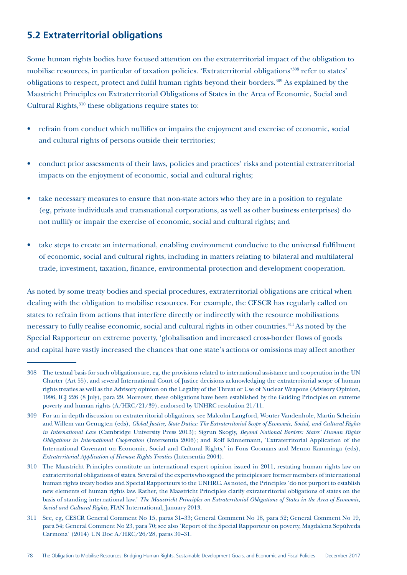### **5.2 Extraterritorial obligations**

Some human rights bodies have focused attention on the extraterritorial impact of the obligation to mobilise resources, in particular of taxation policies. 'Extraterritorial obligations'308 refer to states' obligations to respect, protect and fulfil human rights beyond their borders.309 As explained by the Maastricht Principles on Extraterritorial Obligations of States in the Area of Economic, Social and Cultural Rights,<sup>310</sup> these obligations require states to:

- refrain from conduct which nullifies or impairs the enjoyment and exercise of economic, social and cultural rights of persons outside their territories;
- conduct prior assessments of their laws, policies and practices' risks and potential extraterritorial impacts on the enjoyment of economic, social and cultural rights;
- take necessary measures to ensure that non-state actors who they are in a position to regulate (eg, private individuals and transnational corporations, as well as other business enterprises) do not nullify or impair the exercise of economic, social and cultural rights; and
- take steps to create an international, enabling environment conducive to the universal fulfilment of economic, social and cultural rights, including in matters relating to bilateral and multilateral trade, investment, taxation, finance, environmental protection and development cooperation.

As noted by some treaty bodies and special procedures, extraterritorial obligations are critical when dealing with the obligation to mobilise resources. For example, the CESCR has regularly called on states to refrain from actions that interfere directly or indirectly with the resource mobilisations necessary to fully realise economic, social and cultural rights in other countries.311 As noted by the Special Rapporteur on extreme poverty, 'globalisation and increased cross-border flows of goods and capital have vastly increased the chances that one state's actions or omissions may affect another

<sup>308</sup> The textual basis for such obligations are, eg, the provisions related to international assistance and cooperation in the UN Charter (Art 55), and several International Court of Justice decisions acknowledging the extraterritorial scope of human rights treaties as well as the Advisory opinion on the Legality of the Threat or Use of Nuclear Weapons (Advisory Opinion, 1996, ICJ 226 (8 July), para 29. Moreover, these obligations have been established by the Guiding Principles on extreme poverty and human rights (A/HRC/21/39), endorsed by UNHRC resolution 21/11.

<sup>309</sup> For an in-depth discussion on extraterritorial obligations, see Malcolm Langford, Wouter Vandenhole, Martin Scheinin and Willem van Genugten (eds), *Global Justice, State Duties: The Extraterritorial Scope of Economic, Social, and Cultural Rights in International Law* (Cambridge University Press 2013); Sigrun Skogly, *Beyond National Borders: States' Human Rights Obligations in International Cooperation* (Intersentia 2006); and Rolf Künnemann, 'Extraterritorial Application of the International Covenant on Economic, Social and Cultural Rights,' in Fons Coomans and Menno Kamminga (eds), *Extraterritorial Application of Human Rights Treaties* (Intersentia 2004).

<sup>310</sup> The Maastricht Principles constitute an international expert opinion issued in 2011, restating human rights law on extraterritorial obligations of states. Several of the experts who signed the principles are former members of international human rights treaty bodies and Special Rapporteurs to the UNHRC. As noted, the Principles 'do not purport to establish new elements of human rights law. Rather, the Maastricht Principles clarify extraterritorial obligations of states on the basis of standing international law.' *The Maastricht Principles on Extraterritorial Obligations of States in the Area of Economic, Social and Cultural Rights*, FIAN International, January 2013.

<sup>311</sup> See, eg, CESCR General Comment No 15, paras 31–33; General Comment No 18, para 52; General Comment No 19, para 54; General Comment No 23, para 70; see also 'Report of the Special Rapporteur on poverty, Magdalena Sepúlveda Carmona' (2014) UN Doc A/HRC/26/28, paras 30–31.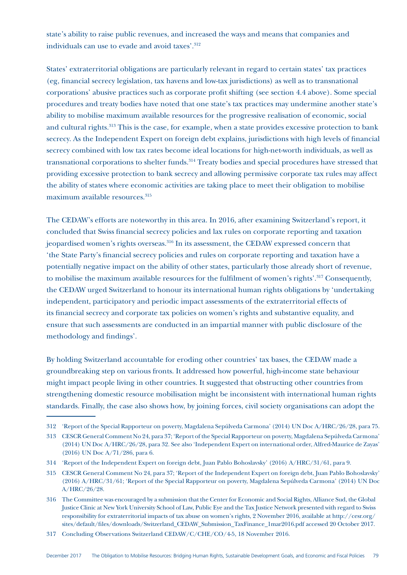state's ability to raise public revenues, and increased the ways and means that companies and individuals can use to evade and avoid taxes'.<sup>312</sup>

States' extraterritorial obligations are particularly relevant in regard to certain states' tax practices (eg, financial secrecy legislation, tax havens and low-tax jurisdictions) as well as to transnational corporations' abusive practices such as corporate profit shifting (see section 4.4 above). Some special procedures and treaty bodies have noted that one state's tax practices may undermine another state's ability to mobilise maximum available resources for the progressive realisation of economic, social and cultural rights.<sup>313</sup> This is the case, for example, when a state provides excessive protection to bank secrecy. As the Independent Expert on foreign debt explains, jurisdictions with high levels of financial secrecy combined with low tax rates become ideal locations for high-net-worth individuals, as well as transnational corporations to shelter funds.<sup>314</sup> Treaty bodies and special procedures have stressed that providing excessive protection to bank secrecy and allowing permissive corporate tax rules may affect the ability of states where economic activities are taking place to meet their obligation to mobilise maximum available resources.<sup>315</sup>

The CEDAW's efforts are noteworthy in this area. In 2016, after examining Switzerland's report, it concluded that Swiss financial secrecy policies and lax rules on corporate reporting and taxation jeopardised women's rights overseas.<sup>316</sup> In its assessment, the CEDAW expressed concern that 'the State Party's financial secrecy policies and rules on corporate reporting and taxation have a potentially negative impact on the ability of other states, particularly those already short of revenue, to mobilise the maximum available resources for the fulfilment of women's rights'.317 Consequently, the CEDAW urged Switzerland to honour its international human rights obligations by 'undertaking independent, participatory and periodic impact assessments of the extraterritorial effects of its financial secrecy and corporate tax policies on women's rights and substantive equality, and ensure that such assessments are conducted in an impartial manner with public disclosure of the methodology and findings'.

By holding Switzerland accountable for eroding other countries' tax bases, the CEDAW made a groundbreaking step on various fronts. It addressed how powerful, high-income state behaviour might impact people living in other countries. It suggested that obstructing other countries from strengthening domestic resource mobilisation might be inconsistent with international human rights standards. Finally, the case also shows how, by joining forces, civil society organisations can adopt the

317 Concluding Observations Switzerland CEDAW/C/CHE/CO/4-5, 18 November 2016.

<sup>312</sup> 'Report of the Special Rapporteur on poverty, Magdalena Sepúlveda Carmona' (2014) UN Doc A/HRC/26/28, para 75.

<sup>313</sup> CESCR General Comment No 24, para 37; 'Report of the Special Rapporteur on poverty, Magdalena Sepúlveda Carmona' (2014) UN Doc A/HRC/26/28, para 32. See also 'Independent Expert on international order, Alfred-Maurice de Zayas' (2016) UN Doc A/71/286, para 6.

<sup>314</sup> 'Report of the Independent Expert on foreign debt, Juan Pablo Bohoslavsky' (2016) A/HRC/31/61, para 9.

<sup>315</sup> CESCR General Comment No 24, para 37; 'Report of the Independent Expert on foreign debt, Juan Pablo Bohoslavsky' (2016) A/HRC/31/61; 'Report of the Special Rapporteur on poverty, Magdalena Sepúlveda Carmona' (2014) UN Doc A/HRC/26/28.

<sup>316</sup> The Committee was encouraged by a submission that the Center for Economic and Social Rights, Alliance Sud, the Global Justice Clinic at New York University School of Law, Public Eye and the Tax Justice Network presented with regard to Swiss responsibility for extraterritorial impacts of tax abuse on women's rights, 2 November 2016, available at http://cesr.org/ sites/default/files/downloads/Switzerland\_CEDAW\_Submission\_TaxFinance\_1mar2016.pdf accessed 20 October 2017.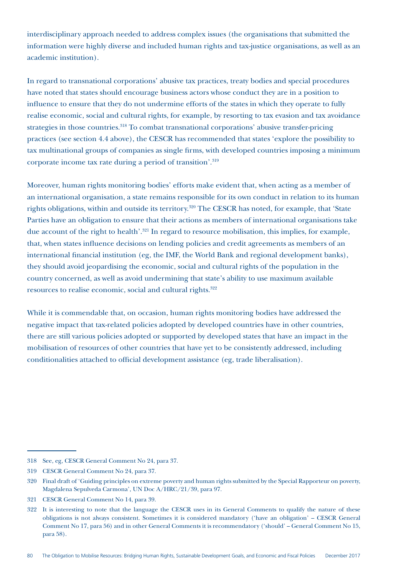interdisciplinary approach needed to address complex issues (the organisations that submitted the information were highly diverse and included human rights and tax-justice organisations, as well as an academic institution).

In regard to transnational corporations' abusive tax practices, treaty bodies and special procedures have noted that states should encourage business actors whose conduct they are in a position to influence to ensure that they do not undermine efforts of the states in which they operate to fully realise economic, social and cultural rights, for example, by resorting to tax evasion and tax avoidance strategies in those countries.<sup>318</sup> To combat transnational corporations' abusive transfer-pricing practices (see section 4.4 above), the CESCR has recommended that states 'explore the possibility to tax multinational groups of companies as single firms, with developed countries imposing a minimum corporate income tax rate during a period of transition'.319

Moreover, human rights monitoring bodies' efforts make evident that, when acting as a member of an international organisation, a state remains responsible for its own conduct in relation to its human rights obligations, within and outside its territory.<sup>320</sup> The CESCR has noted, for example, that 'State Parties have an obligation to ensure that their actions as members of international organisations take due account of the right to health'.<sup>321</sup> In regard to resource mobilisation, this implies, for example, that, when states influence decisions on lending policies and credit agreements as members of an international financial institution (eg, the IMF, the World Bank and regional development banks), they should avoid jeopardising the economic, social and cultural rights of the population in the country concerned, as well as avoid undermining that state's ability to use maximum available resources to realise economic, social and cultural rights.<sup>322</sup>

While it is commendable that, on occasion, human rights monitoring bodies have addressed the negative impact that tax-related policies adopted by developed countries have in other countries, there are still various policies adopted or supported by developed states that have an impact in the mobilisation of resources of other countries that have yet to be consistently addressed, including conditionalities attached to official development assistance (eg, trade liberalisation).

<sup>318</sup> See, eg, CESCR General Comment No 24, para 37.

<sup>319</sup> CESCR General Comment No 24, para 37.

<sup>320</sup> Final draft of 'Guiding principles on extreme poverty and human rights submitted by the Special Rapporteur on poverty, Magdalena Sepulveda Carmona', UN Doc A/HRC/21/39, para 97.

<sup>321</sup> CESCR General Comment No 14, para 39.

<sup>322</sup> It is interesting to note that the language the CESCR uses in its General Comments to qualify the nature of these obligations is not always consistent. Sometimes it is considered mandatory ('have an obligation' – CESCR General Comment No 17, para 56) and in other General Comments it is recommendatory ('should' – General Comment No 15, para 58).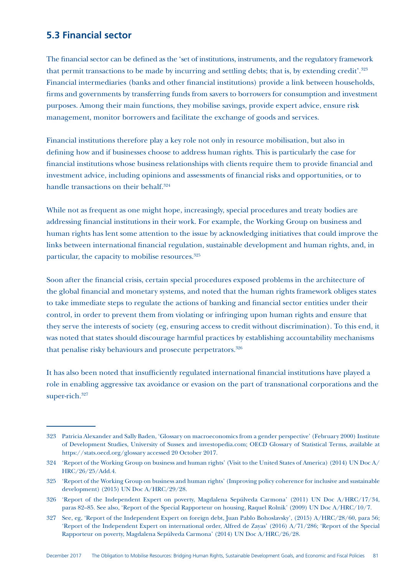#### **5.3 Financial sector**

The financial sector can be defined as the 'set of institutions, instruments, and the regulatory framework that permit transactions to be made by incurring and settling debts; that is, by extending credit'.323 Financial intermediaries (banks and other financial institutions) provide a link between households, firms and governments by transferring funds from savers to borrowers for consumption and investment purposes. Among their main functions, they mobilise savings, provide expert advice, ensure risk management, monitor borrowers and facilitate the exchange of goods and services.

Financial institutions therefore play a key role not only in resource mobilisation, but also in defining how and if businesses choose to address human rights. This is particularly the case for financial institutions whose business relationships with clients require them to provide financial and investment advice, including opinions and assessments of financial risks and opportunities, or to handle transactions on their behalf.<sup>324</sup>

While not as frequent as one might hope, increasingly, special procedures and treaty bodies are addressing financial institutions in their work. For example, the Working Group on business and human rights has lent some attention to the issue by acknowledging initiatives that could improve the links between international financial regulation, sustainable development and human rights, and, in particular, the capacity to mobilise resources.325

Soon after the financial crisis, certain special procedures exposed problems in the architecture of the global financial and monetary systems, and noted that the human rights framework obliges states to take immediate steps to regulate the actions of banking and financial sector entities under their control, in order to prevent them from violating or infringing upon human rights and ensure that they serve the interests of society (eg, ensuring access to credit without discrimination). To this end, it was noted that states should discourage harmful practices by establishing accountability mechanisms that penalise risky behaviours and prosecute perpetrators.<sup>326</sup>

It has also been noted that insufficiently regulated international financial institutions have played a role in enabling aggressive tax avoidance or evasion on the part of transnational corporations and the super-rich.<sup>327</sup>

<sup>323</sup> Patricia Alexander and Sally Baden, 'Glossary on macroeconomics from a gender perspective' (February 2000) Institute of Development Studies, University of Sussex and investopedia.com; OECD Glossary of Statistical Terms, available at https://stats.oecd.org/glossary accessed 20 October 2017.

<sup>324</sup> 'Report of the Working Group on business and human rights' (Visit to the United States of America) (2014) UN Doc A/ HRC/26/25/Add.4.

<sup>325</sup> 'Report of the Working Group on business and human rights' (Improving policy coherence for inclusive and sustainable development) (2015) UN Doc A/HRC/29/28.

<sup>326</sup> 'Report of the Independent Expert on poverty, Magdalena Sepúlveda Carmona' (2011) UN Doc A/HRC/17/34, paras 82–85. See also, 'Report of the Special Rapporteur on housing, Raquel Rolnik' (2009) UN Doc A/HRC/10/7.

<sup>327</sup> See, eg, 'Report of the Independent Expert on foreign debt, Juan Pablo Bohoslavsky', (2015) A/HRC/28/60, para 56; 'Report of the Independent Expert on international order, Alfred de Zayas' (2016) A/71/286; 'Report of the Special Rapporteur on poverty, Magdalena Sepúlveda Carmona' (2014) UN Doc A/HRC/26/28.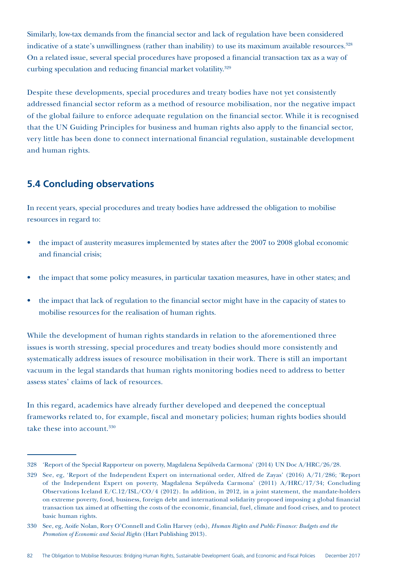Similarly, low-tax demands from the financial sector and lack of regulation have been considered indicative of a state's unwillingness (rather than inability) to use its maximum available resources.<sup>328</sup> On a related issue, several special procedures have proposed a financial transaction tax as a way of curbing speculation and reducing financial market volatility.<sup>329</sup>

Despite these developments, special procedures and treaty bodies have not yet consistently addressed financial sector reform as a method of resource mobilisation, nor the negative impact of the global failure to enforce adequate regulation on the financial sector. While it is recognised that the UN Guiding Principles for business and human rights also apply to the financial sector, very little has been done to connect international financial regulation, sustainable development and human rights.

#### **5.4 Concluding observations**

In recent years, special procedures and treaty bodies have addressed the obligation to mobilise resources in regard to:

- the impact of austerity measures implemented by states after the 2007 to 2008 global economic and financial crisis;
- the impact that some policy measures, in particular taxation measures, have in other states; and
- the impact that lack of regulation to the financial sector might have in the capacity of states to mobilise resources for the realisation of human rights.

While the development of human rights standards in relation to the aforementioned three issues is worth stressing, special procedures and treaty bodies should more consistently and systematically address issues of resource mobilisation in their work. There is still an important vacuum in the legal standards that human rights monitoring bodies need to address to better assess states' claims of lack of resources.

In this regard, academics have already further developed and deepened the conceptual frameworks related to, for example, fiscal and monetary policies; human rights bodies should take these into account.<sup>330</sup>

<sup>328</sup> 'Report of the Special Rapporteur on poverty, Magdalena Sepúlveda Carmona' (2014) UN Doc A/HRC/26/28.

<sup>329</sup> See, eg, 'Report of the Independent Expert on international order, Alfred de Zayas' (2016) A/71/286; 'Report of the Independent Expert on poverty, Magdalena Sepúlveda Carmona' (2011) A/HRC/17/34; Concluding Observations Iceland E/C.12/ISL/CO/4 (2012). In addition, in 2012, in a joint statement, the mandate-holders on extreme poverty, food, business, foreign debt and international solidarity proposed imposing a global financial transaction tax aimed at offsetting the costs of the economic, financial, fuel, climate and food crises, and to protect basic human rights.

<sup>330</sup> See, eg, Aoife Nolan, Rory O'Connell and Colin Harvey (eds), *Human Rights and Public Finance: Budgets and the Promotion of Economic and Social Rights* (Hart Publishing 2013).

<sup>82</sup> The Obligation to Mobilise Resources: Bridging Human Rights, Sustainable Development Goals, and Economic and Fiscal Policies December 2017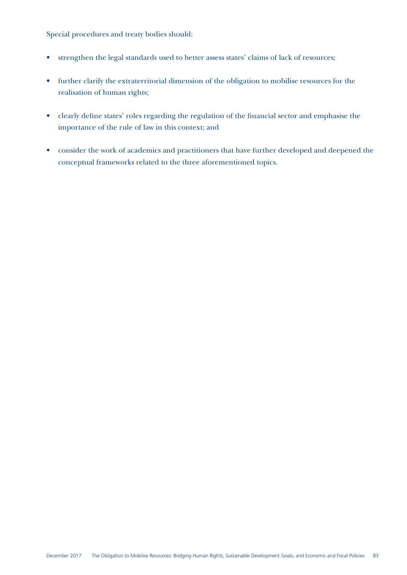Special procedures and treaty bodies should:

- strengthen the legal standards used to better assess states' claims of lack of resources;
- further clarify the extraterritorial dimension of the obligation to mobilise resources for the realisation of human rights;
- clearly define states' roles regarding the regulation of the financial sector and emphasise the importance of the rule of law in this context; and
- consider the work of academics and practitioners that have further developed and deepened the conceptual frameworks related to the three aforementioned topics.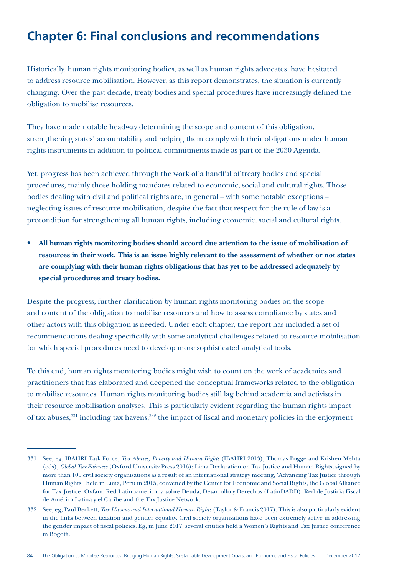### **Chapter 6: Final conclusions and recommendations**

Historically, human rights monitoring bodies, as well as human rights advocates, have hesitated to address resource mobilisation. However, as this report demonstrates, the situation is currently changing. Over the past decade, treaty bodies and special procedures have increasingly defined the obligation to mobilise resources.

They have made notable headway determining the scope and content of this obligation, strengthening states' accountability and helping them comply with their obligations under human rights instruments in addition to political commitments made as part of the 2030 Agenda.

Yet, progress has been achieved through the work of a handful of treaty bodies and special procedures, mainly those holding mandates related to economic, social and cultural rights. Those bodies dealing with civil and political rights are, in general – with some notable exceptions – neglecting issues of resource mobilisation, despite the fact that respect for the rule of law is a precondition for strengthening all human rights, including economic, social and cultural rights.

• **All human rights monitoring bodies should accord due attention to the issue of mobilisation of resources in their work. This is an issue highly relevant to the assessment of whether or not states are complying with their human rights obligations that has yet to be addressed adequately by special procedures and treaty bodies.**

Despite the progress, further clarification by human rights monitoring bodies on the scope and content of the obligation to mobilise resources and how to assess compliance by states and other actors with this obligation is needed. Under each chapter, the report has included a set of recommendations dealing specifically with some analytical challenges related to resource mobilisation for which special procedures need to develop more sophisticated analytical tools.

To this end, human rights monitoring bodies might wish to count on the work of academics and practitioners that has elaborated and deepened the conceptual frameworks related to the obligation to mobilise resources. Human rights monitoring bodies still lag behind academia and activists in their resource mobilisation analyses. This is particularly evident regarding the human rights impact of tax abuses,<sup>331</sup> including tax havens;<sup>332</sup> the impact of fiscal and monetary policies in the enjoyment

<sup>331</sup> See, eg, IBAHRI Task Force, *Tax Abuses, Poverty and Human Rights* (IBAHRI 2013); Thomas Pogge and Krishen Mehta (eds), *Global Tax Fairness* (Oxford University Press 2016); Lima Declaration on Tax Justice and Human Rights, signed by more than 100 civil society organisations as a result of an international strategy meeting, 'Advancing Tax Justice through Human Rights', held in Lima, Peru in 2015, convened by the Center for Economic and Social Rights, the Global Alliance for Tax Justice, Oxfam, Red Latinoamericana sobre Deuda, Desarrollo y Derechos (LatinDADD), Red de Justicia Fiscal de América Latina y el Caribe and the Tax Justice Network.

<sup>332</sup> See, eg, Paul Beckett, *Tax Havens and International Human Rights* (Taylor & Francis 2017). This is also particularly evident in the links between taxation and gender equality. Civil society organisations have been extremely active in addressing the gender impact of fiscal policies. Eg, in June 2017, several entities held a Women's Rights and Tax Justice conference in Bogotá.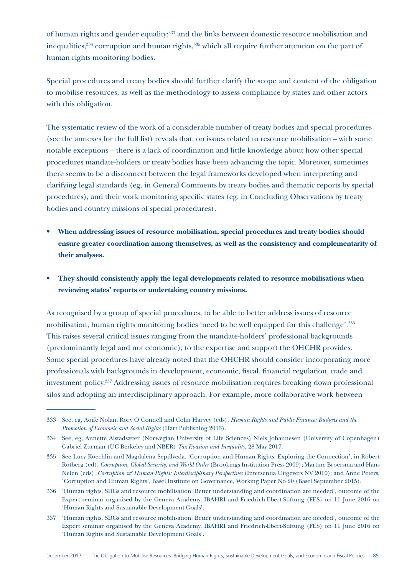of human rights and gender equality;<sup>333</sup> and the links between domestic resource mobilisation and inequalities,<sup>334</sup> corruption and human rights,<sup>335</sup> which all require further attention on the part of human rights monitoring bodies.

Special procedures and treaty bodies should further clarify the scope and content of the obligation to mobilise resources, as well as the methodology to assess compliance by states and other actors with this obligation.

The systematic review of the work of a considerable number of treaty bodies and special procedures (see the annexes for the full list) reveals that, on issues related to resource mobilisation – with some notable exceptions – there is a lack of coordination and little knowledge about how other special procedures mandate-holders or treaty bodies have been advancing the topic. Moreover, sometimes there seems to be a disconnect between the legal frameworks developed when interpreting and clarifying legal standards (eg, in General Comments by treaty bodies and thematic reports by special procedures), and their work monitoring specific states (eg, in Concluding Observations by treaty bodies and country missions of special procedures)*.*

- **When addressing issues of resource mobilisation, special procedures and treaty bodies should ensure greater coordination among themselves, as well as the consistency and complementarity of their analyses.**
- **They should consistently apply the legal developments related to resource mobilisations when reviewing states' reports or undertaking country missions.**

As recognised by a group of special procedures, to be able to better address issues of resource mobilisation, human rights monitoring bodies 'need to be well equipped for this challenge'.336 This raises several critical issues ranging from the mandate-holders' professional backgrounds (predominantly legal and not economic), to the expertise and support the OHCHR provides. Some special procedures have already noted that the OHCHR should consider incorporating more professionals with backgrounds in development, economic, fiscal, financial regulation, trade and investment policy.337 Addressing issues of resource mobilisation requires breaking down professional silos and adopting an interdisciplinary approach. For example, more collaborative work between

<sup>333</sup> See, eg, Aoife Nolan, Rory O'Connell and Colin Harvey (eds), *Human Rights and Public Finance: Budgets and the Promotion of Economic and Social Rights* (Hart Publishing 2013).

<sup>334</sup> See, eg, Annette Alstadsæter (Norwegian University of Life Sciences) Niels Johannesen (University of Copenhagen) Gabriel Zucman (UC Berkeley and NBER) *Tax Evasion and Inequality*, 28 May 2017.

<sup>335</sup> See Lucy Koechlin and Magdalena Sepúlveda, 'Corruption and Human Rights. Exploring the Connection', in Robert Rotberg (ed), *Corruption, Global Security, and World Order* (Brookings Institution Press 2009); Martine Broersma and Hans Nelen (eds), *Corruption & Human Rights: Interdisciplinary Perspectives* (Intersentia Uitgevers NV 2010); and Anne Peters, 'Corruption and Human Rights', Basel Institute on Governance, Working Paper No 20 (Basel September 2015).

<sup>336</sup> 'Human rights, SDGs and resource mobilisation: Better understanding and coordination are needed', outcome of the Expert seminar organised by the Geneva Academy, IBAHRI and Friedrich*-*Ebert*-*Stiftung (FES) on 11 June 2016 on 'Human Rights and Sustainable Development Goals'.

<sup>337</sup> 'Human rights, SDGs and resource mobilisation: Better understanding and coordination are needed', outcome of the Expert seminar organised by the Geneva Academy, IBAHRI and Friedrich*-*Ebert*-*Stiftung (FES) on 11 June 2016 on 'Human Rights and Sustainable Development Goals'.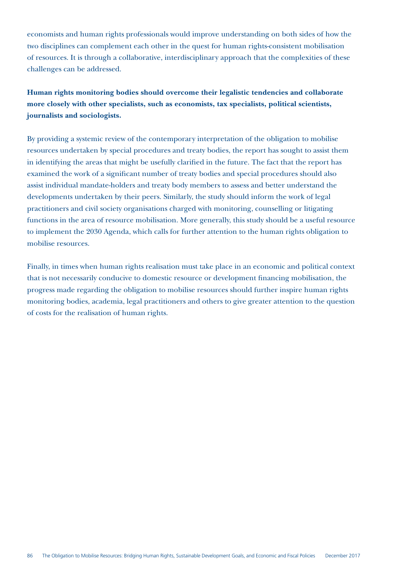economists and human rights professionals would improve understanding on both sides of how the two disciplines can complement each other in the quest for human rights-consistent mobilisation of resources. It is through a collaborative, interdisciplinary approach that the complexities of these challenges can be addressed.

**Human rights monitoring bodies should overcome their legalistic tendencies and collaborate more closely with other specialists, such as economists, tax specialists, political scientists, journalists and sociologists.** 

By providing a systemic review of the contemporary interpretation of the obligation to mobilise resources undertaken by special procedures and treaty bodies, the report has sought to assist them in identifying the areas that might be usefully clarified in the future. The fact that the report has examined the work of a significant number of treaty bodies and special procedures should also assist individual mandate-holders and treaty body members to assess and better understand the developments undertaken by their peers. Similarly, the study should inform the work of legal practitioners and civil society organisations charged with monitoring, counselling or litigating functions in the area of resource mobilisation. More generally, this study should be a useful resource to implement the 2030 Agenda, which calls for further attention to the human rights obligation to mobilise resources.

Finally, in times when human rights realisation must take place in an economic and political context that is not necessarily conducive to domestic resource or development financing mobilisation, the progress made regarding the obligation to mobilise resources should further inspire human rights monitoring bodies, academia, legal practitioners and others to give greater attention to the question of costs for the realisation of human rights.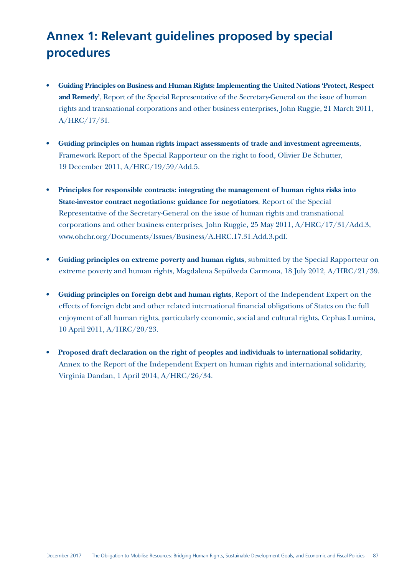### **Annex 1: Relevant guidelines proposed by special procedures**

- **• Guiding Principles on Business and Human Rights: Implementing the United Nations 'Protect, Respect and Remedy'**, Report of the Special Representative of the Secretary-General on the issue of human rights and transnational corporations and other business enterprises, John Ruggie, 21 March 2011, A/HRC/17/31.
- **• Guiding principles on human rights impact assessments of trade and investment agreements**, Framework Report of the Special Rapporteur on the right to food, Olivier De Schutter, 19 December 2011, A/HRC/19/59/Add.5.
- **• Principles for responsible contracts: integrating the management of human rights risks into State-investor contract negotiations: guidance for negotiators**, Report of the Special Representative of the Secretary-General on the issue of human rights and transnational corporations and other business enterprises, John Ruggie, 25 May 2011, A/HRC/17/31/Add.3, www.ohchr.org/Documents/Issues/Business/A.HRC.17.31.Add.3.pdf.
- **• Guiding principles on extreme poverty and human rights**, submitted by the Special Rapporteur on extreme poverty and human rights, Magdalena Sepúlveda Carmona, 18 July 2012, A/HRC/21/39.
- **• Guiding principles on foreign debt and human rights**, Report of the Independent Expert on the effects of foreign debt and other related international financial obligations of States on the full enjoyment of all human rights, particularly economic, social and cultural rights, Cephas Lumina, 10 April 2011, A/HRC/20/23.
- **• Proposed draft declaration on the right of peoples and individuals to international solidarity**, Annex to the Report of the Independent Expert on human rights and international solidarity, Virginia Dandan, 1 April 2014, A/HRC/26/34.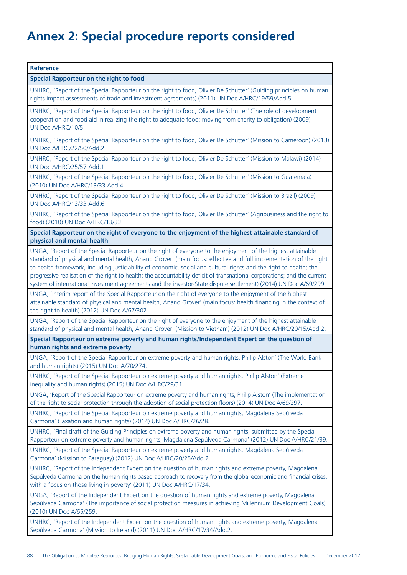### **Annex 2: Special procedure reports considered**

**Reference Special Rapporteur on the right to food** UNHRC, 'Report of the Special Rapporteur on the right to food, Olivier De Schutter' (Guiding principles on human rights impact assessments of trade and investment agreements) (2011) UN Doc A/HRC/19/59/Add.5. UNHRC, 'Report of the Special Rapporteur on the right to food, Olivier De Schutter' (The role of development cooperation and food aid in realizing the right to adequate food: moving from charity to obligation) (2009) UN Doc A/HRC/10/5. UNHRC, 'Report of the Special Rapporteur on the right to food, Olivier De Schutter' (Mission to Cameroon) (2013) UN Doc A/HRC/22/50/Add.2. UNHRC, 'Report of the Special Rapporteur on the right to food, Olivier De Schutter' (Mission to Malawi) (2014) UN Doc A/HRC/25/57 Add.1. UNHRC, 'Report of the Special Rapporteur on the right to food, Olivier De Schutter' (Mission to Guatemala) (2010) UN Doc A/HRC/13/33 Add.4. UNHRC, 'Report of the Special Rapporteur on the right to food, Olivier De Schutter' (Mission to Brazil) (2009) UN Doc A/HRC/13/33 Add.6. UNHRC, 'Report of the Special Rapporteur on the right to food, Olivier De Schutter' (Agribusiness and the right to food) (2010) UN Doc A/HRC/13/33. **Special Rapporteur on the right of everyone to the enjoyment of the highest attainable standard of physical and mental health** UNGA, 'Report of the Special Rapporteur on the right of everyone to the enjoyment of the highest attainable standard of physical and mental health, Anand Grover' (main focus: effective and full implementation of the right to health framework, including justiciability of economic, social and cultural rights and the right to health; the progressive realisation of the right to health; the accountability deficit of transnational corporations; and the current system of international investment agreements and the investor-State dispute settlement) (2014) UN Doc A/69/299. UNGA, 'Interim report of the Special Rapporteur on the right of everyone to the enjoyment of the highest attainable standard of physical and mental health, Anand Grover' (main focus: health financing in the context of the right to health) (2012) UN Doc A/67/302. UNGA, 'Report of the Special Rapporteur on the right of everyone to the enjoyment of the highest attainable standard of physical and mental health, Anand Grover' (Mission to Vietnam) (2012) UN Doc A/HRC/20/15/Add.2. **Special Rapporteur on extreme poverty and human rights/Independent Expert on the question of human rights and extreme poverty** UNGA, 'Report of the Special Rapporteur on extreme poverty and human rights, Philip Alston' (The World Bank and human rights) (2015) UN Doc A/70/274. UNHRC, 'Report of the Special Rapporteur on extreme poverty and human rights, Philip Alston' (Extreme inequality and human rights) (2015) UN Doc A/HRC/29/31. UNGA, 'Report of the Special Rapporteur on extreme poverty and human rights, Philip Alston' (The implementation of the right to social protection through the adoption of social protection floors) (2014) UN Doc A/69/297. UNHRC, 'Report of the Special Rapporteur on extreme poverty and human rights, Magdalena Sepúlveda Carmona' (Taxation and human rights) (2014) UN Doc A/HRC/26/28. UNHRC, 'Final draft of the Guiding Principles on extreme poverty and human rights, submitted by the Special Rapporteur on extreme poverty and human rights, Magdalena Sepúlveda Carmona' (2012) UN Doc A/HRC/21/39. UNHRC, 'Report of the Special Rapporteur on extreme poverty and human rights, Magdalena Sepúlveda Carmona' (Mission to Paraguay) (2012) UN Doc A/HRC/20/25/Add.2. UNHRC, 'Report of the Independent Expert on the question of human rights and extreme poverty, Magdalena Sepúlveda Carmona on the human rights based approach to recovery from the global economic and financial crises, with a focus on those living in poverty' (2011) UN Doc A/HRC/17/34. UNGA, 'Report of the Independent Expert on the question of human rights and extreme poverty, Magdalena Sepúlveda Carmona' (The importance of social protection measures in achieving Millennium Development Goals) (2010) UN Doc A/65/259. UNHRC, 'Report of the Independent Expert on the question of human rights and extreme poverty, Magdalena Sepúlveda Carmona' (Mission to Ireland) (2011) UN Doc A/HRC/17/34/Add.2.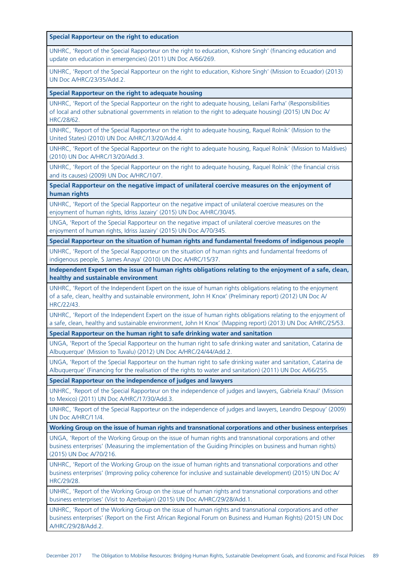**Special Rapporteur on the right to education**

UNHRC, 'Report of the Special Rapporteur on the right to education, Kishore Singh' (financing education and update on education in emergencies) (2011) UN Doc A/66/269.

UNHRC, 'Report of the Special Rapporteur on the right to education, Kishore Singh' (Mission to Ecuador) (2013) UN Doc A/HRC/23/35/Add.2.

**Special Rapporteur on the right to adequate housing**

UNHRC, 'Report of the Special Rapporteur on the right to adequate housing, Leilani Farha' (Responsibilities of local and other subnational governments in relation to the right to adequate housing) (2015) UN Doc A/ HRC/28/62.

UNHRC, 'Report of the Special Rapporteur on the right to adequate housing, Raquel Rolnik' (Mission to the United States) (2010) UN Doc A/HRC/13/20/Add.4.

UNHRC, 'Report of the Special Rapporteur on the right to adequate housing, Raquel Rolnik' (Mission to Maldives) (2010) UN Doc A/HRC/13/20/Add.3.

UNHRC, 'Report of the Special Rapporteur on the right to adequate housing, Raquel Rolnik' (the financial crisis and its causes) (2009) UN Doc A/HRC/10/7.

**Special Rapporteur on the negative impact of unilateral coercive measures on the enjoyment of human rights**

UNHRC, 'Report of the Special Rapporteur on the negative impact of unilateral coercive measures on the enjoyment of human rights, Idriss Jazairy' (2015) UN Doc A/HRC/30/45.

UNGA, 'Report of the Special Rapporteur on the negative impact of unilateral coercive measures on the enjoyment of human rights, Idriss Jazairy' (2015) UN Doc A/70/345.

**Special Rapporteur on the situation of human rights and fundamental freedoms of indigenous people**

UNHRC, 'Report of the Special Rapporteur on the situation of human rights and fundamental freedoms of indigenous people, S James Anaya' (2010) UN Doc A/HRC/15/37.

**Independent Expert on the issue of human rights obligations relating to the enjoyment of a safe, clean, healthy and sustainable environment**

UNHRC, 'Report of the Independent Expert on the issue of human rights obligations relating to the enjoyment of a safe, clean, healthy and sustainable environment, John H Knox' (Preliminary report) (2012) UN Doc A/ HRC/22/43.

UNHRC, 'Report of the Independent Expert on the issue of human rights obligations relating to the enjoyment of a safe, clean, healthy and sustainable environment, John H Knox' (Mapping report) (2013) UN Doc A/HRC/25/53.

**Special Rapporteur on the human right to safe drinking water and sanitation**

UNGA, 'Report of the Special Rapporteur on the human right to safe drinking water and sanitation, Catarina de Albuquerque' (Mission to Tuvalu) (2012) UN Doc A/HRC/24/44/Add.2.

UNGA, 'Report of the Special Rapporteur on the human right to safe drinking water and sanitation, Catarina de Albuquerque' (Financing for the realisation of the rights to water and sanitation) (2011) UN Doc A/66/255.

**Special Rapporteur on the independence of judges and lawyers**

UNHRC, 'Report of the Special Rapporteur on the independence of judges and lawyers, Gabriela Knaul' (Mission to Mexico) (2011) UN Doc A/HRC/17/30/Add.3.

UNHRC, 'Report of the Special Rapporteur on the independence of judges and lawyers, Leandro Despouy' (2009) UN Doc A/HRC/11/4.

**Working Group on the issue of human rights and transnational corporations and other business enterprises**

UNGA, 'Report of the Working Group on the issue of human rights and transnational corporations and other business enterprises' (Measuring the implementation of the Guiding Principles on business and human rights) (2015) UN Doc A/70/216.

UNHRC, 'Report of the Working Group on the issue of human rights and transnational corporations and other business enterprises' (Improving policy coherence for inclusive and sustainable development) (2015) UN Doc A/ HRC/29/28.

UNHRC, 'Report of the Working Group on the issue of human rights and transnational corporations and other business enterprises' (Visit to Azerbaijan) (2015) UN Doc A/HRC/29/28/Add.1.

UNHRC, 'Report of the Working Group on the issue of human rights and transnational corporations and other business enterprises' (Report on the First African Regional Forum on Business and Human Rights) (2015) UN Doc A/HRC/29/28/Add.2.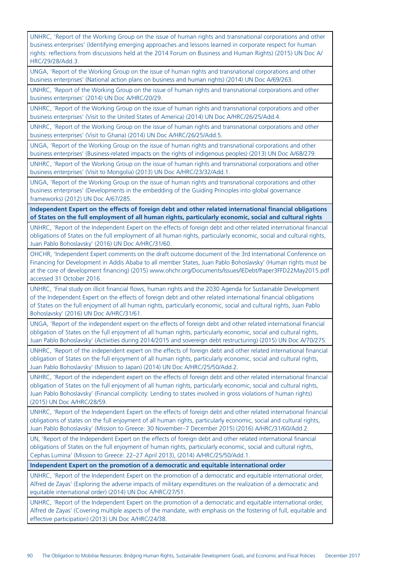UNHRC, 'Report of the Working Group on the issue of human rights and transnational corporations and other business enterprises' (Identifying emerging approaches and lessons learned in corporate respect for human rights: reflections from discussions held at the 2014 Forum on Business and Human Rights) (2015) UN Doc A/ HRC/29/28/Add.3.

UNGA, 'Report of the Working Group on the issue of human rights and transnational corporations and other business enterprises' (National action plans on business and human rights) (2014) UN Doc A/69/263.

UNHRC, 'Report of the Working Group on the issue of human rights and transnational corporations and other business enterprises' (2014) UN Doc A/HRC/20/29.

UNHRC, 'Report of the Working Group on the issue of human rights and transnational corporations and other business enterprises' (Visit to the United States of America) (2014) UN Doc A/HRC/26/25/Add.4.

UNHRC, 'Report of the Working Group on the issue of human rights and transnational corporations and other business enterprises' (Visit to Ghana) (2014) UN Doc A/HRC/26/25/Add.5.

UNGA, 'Report of the Working Group on the issue of human rights and transnational corporations and other business enterprises' (Business-related impacts on the rights of indigenous peoples) (2013) UN Doc A/68/279.

UNHRC, 'Report of the Working Group on the issue of human rights and transnational corporations and other business enterprises' (Visit to Mongolia) (2013) UN Doc A/HRC/23/32/Add.1.

UNGA, 'Report of the Working Group on the issue of human rights and transnational corporations and other business enterprises' (Developments in the embedding of the Guiding Principles into global governance frameworks) (2012) UN Doc A/67/285.

**Independent Expert on the effects of foreign debt and other related international financial obligations of States on the full employment of all human rights, particularly economic, social and cultural rights**

UNHRC, 'Report of the Independent Expert on the effects of foreign debt and other related international financial obligations of States on the full employment of all human rights, particularly economic, social and cultural rights, Juan Pablo Bohoslavsky' (2016) UN Doc A/HRC/31/60.

OHCHR, 'Independent Expert comments on the draft outcome document of the 3rd International Conference on Financing for Development in Addis Ababa to all member States, Juan Pablo Bohoslavsky' (Human rights must be at the core of development financing) (2015) www.ohchr.org/Documents/Issues/IEDebt/Paper3FFD22May2015.pdf accessed 31 October 2016.

UNHRC, 'Final study on illicit financial flows, human rights and the 2030 Agenda for Sustainable Development of the Independent Expert on the effects of foreign debt and other related international financial obligations of States on the full enjoyment of all human rights, particularly economic, social and cultural rights, Juan Pablo Bohoslavsky' (2016) UN Doc A/HRC/31/61.

UNGA, 'Report of the independent expert on the effects of foreign debt and other related international financial obligation of States on the full enjoyment of all human rights, particularly economic, social and cultural rights, Juan Pablo Bohoslavsky' (Activities during 2014/2015 and sovereign debt restructuring) (2015) UN Doc A/70/275.

UNHRC, 'Report of the independent expert on the effects of foreign debt and other related international financial obligation of States on the full enjoyment of all human rights, particularly economic, social and cultural rights, Juan Pablo Bohoslavsky' (Mission to Japan) (2014) UN Doc A/HRC/25/50/Add.2.

UNHRC, 'Report of the independent expert on the effects of foreign debt and other related international financial obligation of States on the full enjoyment of all human rights, particularly economic, social and cultural rights, Juan Pablo Bohoslavsky' (Financial complicity: Lending to states involved in gross violations of human rights) (2015) UN Doc A/HRC/28/59.

UNHRC, 'Report of the Independent Expert on the effects of foreign debt and other related international financial obligations of states on the full enjoyment of all human rights, particularly economic, social and cultural rights, Juan Pablo Bohoslavsky' (Mission to Greece: 30 November–7 December 2015) (2016) A/HRC/31/60/Add.2.

UN, 'Report of the Independent Expert on the effects of foreign debt and other related international financial obligations of States on the full enjoyment of human rights, particularly economic, social and cultural rights, Cephas Lumina' (Mission to Greece: 22–27 April 2013), (2014) A/HRC/25/50/Add.1.

**Independent Expert on the promotion of a democratic and equitable international order**

UNHRC, 'Report of the Independent Expert on the promotion of a democratic and equitable international order, Alfred de Zayas' (Exploring the adverse impacts of military expenditures on the realization of a democratic and equitable international order) (2014) UN Doc A/HRC/27/51.

UNHRC, 'Report of the Independent Expert on the promotion of a democratic and equitable international order, Alfred de Zayas' (Covering multiple aspects of the mandate, with emphasis on the fostering of full, equitable and effective participation) (2013) UN Doc A/HRC/24/38.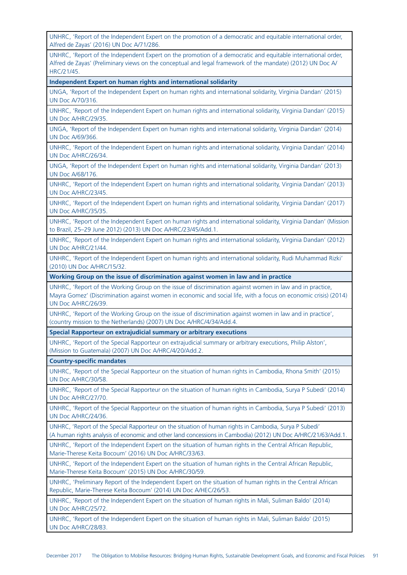UNHRC, 'Report of the Independent Expert on the promotion of a democratic and equitable international order, Alfred de Zayas' (2016) UN Doc A/71/286.

UNHRC, 'Report of the Independent Expert on the promotion of a democratic and equitable international order, Alfred de Zayas' (Preliminary views on the conceptual and legal framework of the mandate) (2012) UN Doc A/ HRC/21/45.

**Independent Expert on human rights and international solidarity**

UNGA, 'Report of the Independent Expert on human rights and international solidarity, Virginia Dandan' (2015) UN Doc A/70/316.

UNHRC, 'Report of the Independent Expert on human rights and international solidarity, Virginia Dandan' (2015) UN Doc A/HRC/29/35.

UNGA, 'Report of the Independent Expert on human rights and international solidarity, Virginia Dandan' (2014) UN Doc A/69/366.

UNHRC, 'Report of the Independent Expert on human rights and international solidarity, Virginia Dandan' (2014) UN Doc A/HRC/26/34.

UNGA, 'Report of the Independent Expert on human rights and international solidarity, Virginia Dandan' (2013) UN Doc A/68/176.

UNHRC, 'Report of the Independent Expert on human rights and international solidarity, Virginia Dandan' (2013) UN Doc A/HRC/23/45.

UNHRC, 'Report of the Independent Expert on human rights and international solidarity, Virginia Dandan' (2017) UN Doc A/HRC/35/35.

UNHRC, 'Report of the Independent Expert on human rights and international solidarity, Virginia Dandan' (Mission to Brazil, 25–29 June 2012) (2013) UN Doc A/HRC/23/45/Add.1.

UNHRC, 'Report of the Independent Expert on human rights and international solidarity, Virginia Dandan' (2012) UN Doc A/HRC/21/44.

UNHRC, 'Report of the Independent Expert on human rights and international solidarity, Rudi Muhammad Rizki' (2010) UN Doc A/HRC/15/32.

**Working Group on the issue of discrimination against women in law and in practice**

UNHRC, 'Report of the Working Group on the issue of discrimination against women in law and in practice, Mayra Gomez' (Discrimination against women in economic and social life, with a focus on economic crisis) (2014) UN Doc A/HRC/26/39.

UNHRC, 'Report of the Working Group on the issue of discrimination against women in law and in practice', (country mission to the Netherlands) (2007) UN Doc A/HRC/4/34/Add.4.

**Special Rapporteur on extrajudicial summary or arbitrary executions**

UNHRC, 'Report of the Special Rapporteur on extrajudicial summary or arbitrary executions, Philip Alston', (Mission to Guatemala) (2007) UN Doc A/HRC/4/20/Add.2.

**Country-specific mandates**

UNHRC, 'Report of the Special Rapporteur on the situation of human rights in Cambodia, Rhona Smith' (2015) UN Doc A/HRC/30/58.

UNHRC, 'Report of the Special Rapporteur on the situation of human rights in Cambodia, Surya P Subedi' (2014) UN Doc A/HRC/27/70.

UNHRC, 'Report of the Special Rapporteur on the situation of human rights in Cambodia, Surya P Subedi' (2013) UN Doc A/HRC/24/36.

UNHRC, 'Report of the Special Rapporteur on the situation of human rights in Cambodia, Surya P Subedi' (A human rights analysis of economic and other land concessions in Cambodia) (2012) UN Doc A/HRC/21/63/Add.1.

UNHRC, 'Report of the Independent Expert on the situation of human rights in the Central African Republic, Marie-Therese Keita Bocoum' (2016) UN Doc A/HRC/33/63.

UNHRC, 'Report of the Independent Expert on the situation of human rights in the Central African Republic, Marie-Therese Keita Bocoum' (2015) UN Doc A/HRC/30/59.

UNHRC, 'Preliminary Report of the Independent Expert on the situation of human rights in the Central African Republic, Marie-Therese Keita Bocoum' (2014) UN Doc A/HEC/26/53.

UNHRC, 'Report of the Independent Expert on the situation of human rights in Mali, Suliman Baldo' (2014) UN Doc A/HRC/25/72.

UNHRC, 'Report of the Independent Expert on the situation of human rights in Mali, Suliman Baldo' (2015) UN Doc A/HRC/28/83.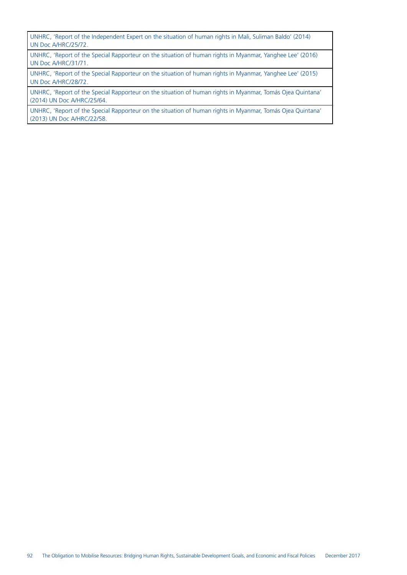UNHRC, 'Report of the Independent Expert on the situation of human rights in Mali, Suliman Baldo' (2014) UN Doc A/HRC/25/72.

UNHRC, 'Report of the Special Rapporteur on the situation of human rights in Myanmar, Yanghee Lee' (2016) UN Doc A/HRC/31/71.

UNHRC, 'Report of the Special Rapporteur on the situation of human rights in Myanmar, Yanghee Lee' (2015) UN Doc A/HRC/28/72.

UNHRC, 'Report of the Special Rapporteur on the situation of human rights in Myanmar, Tomás Ojea Quintana' (2014) UN Doc A/HRC/25/64.

UNHRC, 'Report of the Special Rapporteur on the situation of human rights in Myanmar, Tomás Ojea Quintana' (2013) UN Doc A/HRC/22/58.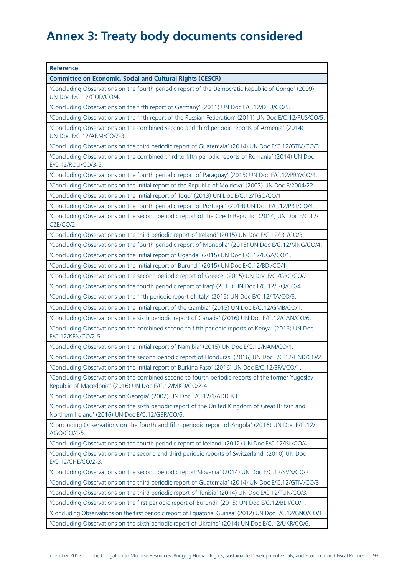# **Annex 3: Treaty body documents considered**

| <b>Reference</b>                                                                                                                                             |
|--------------------------------------------------------------------------------------------------------------------------------------------------------------|
| <b>Committee on Economic, Social and Cultural Rights (CESCR)</b>                                                                                             |
| 'Concluding Observations on the fourth periodic report of the Democratic Republic of Congo' (2009)<br>UN Doc E/C.12/COD/CO/4.                                |
| 'Concluding Observations on the fifth report of Germany' (2011) UN Doc E/C.12/DEU/CO/5.                                                                      |
| 'Concluding Observations on the fifth report of the Russian Federation' (2011) UN Doc E/C.12/RUS/CO/5.                                                       |
| 'Concluding Observations on the combined second and third periodic reports of Armenia' (2014)<br>UN Doc E/C.12/ARM/CO/2-3.                                   |
| 'Concluding Observations on the third periodic report of Guatemala' (2014) UN Doc E/C.12/GTM/CO/3.                                                           |
| 'Concluding Observations on the combined third to fifth periodic reports of Romania' (2014) UN Doc<br>E/C.12/ROU/CO/3-5.                                     |
| 'Concluding Observations on the fourth periodic report of Paraguay' (2015) UN Doc E/C.12/PRY/CO/4.                                                           |
| 'Concluding Observations on the initial report of the Republic of Moldova' (2003) UN Doc E/2004/22.                                                          |
| 'Concluding Observations on the initial report of Togo' (2013) UN Doc E/C.12/TGO/CO/1.                                                                       |
| 'Concluding Observations on the fourth periodic report of Portugal' (2014) UN Doc E/C.12/PRT/CO/4.                                                           |
| 'Concluding Observations on the second periodic report of the Czech Republic' (2014) UN Doc E/C.12/<br>CZE/CO/2.                                             |
| 'Concluding Observations on the third periodic report of Ireland' (2015) UN Doc E/C.12/IRL/CO/3.                                                             |
| 'Concluding Observations on the fourth periodic report of Mongolia' (2015) UN Doc E/C.12/MNG/CO/4.                                                           |
| 'Concluding Observations on the initial report of Uganda' (2015) UN Doc E/C.12/UGA/CO/1.                                                                     |
| 'Concluding Observations on the initial report of Burundi' (2015) UN Doc E/C.12/BDI/CO/1.                                                                    |
| 'Concluding Observations on the second periodic report of Greece' (2015) UN Doc E/C./GRC/CO/2.                                                               |
| 'Concluding Observations on the fourth periodic report of Iraq' (2015) UN Doc E/C.12/IRQ/CO/4.                                                               |
| 'Concluding Observations on the fifth periodic report of Italy' (2015) UN Doc E/C.12/ITA/CO/5.                                                               |
| 'Concluding Observations on the initial report of the Gambia' (2015) UN Doc E/C.12/GMB/CO/1.                                                                 |
| 'Concluding Observations on the sixth periodic report of Canada' (2016) UN Doc E/C.12/CAN/CO/6.                                                              |
| 'Concluding Observations on the combined second to fifth periodic reports of Kenya' (2016) UN Doc<br>E/C.12/KEN/CO/2-5.                                      |
| 'Concluding Observations on the initial report of Namibia' (2015) UN Doc E/C.12/NAM/CO/1.                                                                    |
| 'Concluding Observations on the second periodic report of Honduras' (2016) UN Doc E/C.12/HND/CO/2.                                                           |
| 'Concluding Observations on the initial report of Burkina Faso' (2016) UN Doc E/C.12/BFA/CO/1                                                                |
| 'Concluding Observations on the combined second to fourth periodic reports of the former Yugoslav<br>Republic of Macedonia' (2016) UN Doc E/C.12/MKD/CO/2-4. |
| 'Concluding Observations on Georgia' (2002) UN Doc E/C.12/1/ADD.83.                                                                                          |
| 'Concluding Observations on the sixth periodic report of the United Kingdom of Great Britain and<br>Northern Ireland' (2016) UN Doc E/C.12/GBR/CO/6.         |
| 'Concluding Observations on the fourth and fifth periodic report of Angola' (2016) UN Doc E/C.12/<br>AGO/CO/4-5.                                             |
| 'Concluding Observations on the fourth periodic report of Iceland' (2012) UN Doc E/C.12/ISL/CO/4.                                                            |
| 'Concluding Observations on the second and third periodic reports of Switzerland' (2010) UN Doc<br>E/C.12/CHE/CO/2-3.                                        |
| 'Concluding Observations on the second periodic report Slovenia' (2014) UN Doc E/C.12/SVN/CO/2.                                                              |
| 'Concluding Observations on the third periodic report of Guatemala' (2014) UN Doc E/C.12/GTM/CO/3.                                                           |
| 'Concluding Observations on the third periodic report of Tunisia' (2014) UN Doc E/C.12/TUN/CO/3.                                                             |
| 'Concluding Observations on the first periodic report of Burundi' (2015) UN Doc E/C.12/BDI/CO/1.                                                             |
| 'Concluding Observations on the first periodic report of Equatorial Guinea' (2012) UN Doc E/C.12/GNQ/CO/1.                                                   |
| 'Concluding Observations on the sixth periodic report of Ukraine' (2014) UN Doc E/C.12/UKR/CO/6.                                                             |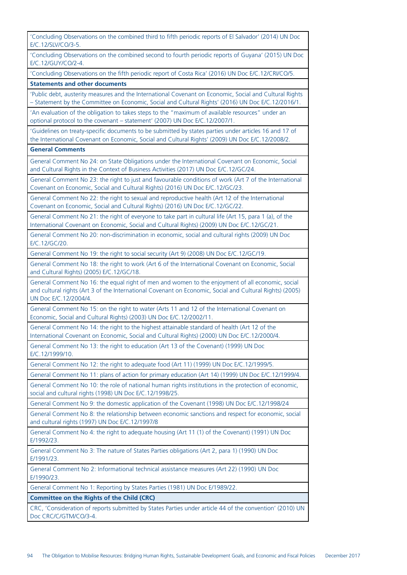'Concluding Observations on the combined third to fifth periodic reports of El Salvador' (2014) UN Doc E/C.12/SLV/CO/3-5. 'Concluding Observations on the combined second to fourth periodic reports of Guyana' (2015) UN Doc E/C.12/GUY/CO/2-4. 'Concluding Observations on the fifth periodic report of Costa Rica' (2016) UN Doc E/C.12/CRI/CO/5. **Statements and other documents** 'Public debt, austerity measures and the International Covenant on Economic, Social and Cultural Rights – Statement by the Committee on Economic, Social and Cultural Rights' (2016) UN Doc E/C.12/2016/1. 'An evaluation of the obligation to takes steps to the "maximum of available resources" under an optional protocol to the covenant – statement' (2007) UN Doc E/C.12/2007/1. 'Guidelines on treaty-specific documents to be submitted by states parties under articles 16 and 17 of the International Covenant on Economic, Social and Cultural Rights' (2009) UN Doc E/C.12/2008/2. **General Comments** General Comment No 24: on State Obligations under the International Covenant on Economic, Social and Cultural Rights in the Context of Business Activities (2017) UN Doc E/C.12/GC/24. General Comment No 23: the right to just and favourable conditions of work (Art 7 of the International Covenant on Economic, Social and Cultural Rights) (2016) UN Doc E/C.12/GC/23. General Comment No 22: the right to sexual and reproductive health (Art 12 of the International Covenant on Economic, Social and Cultural Rights) (2016) UN Doc E/C.12/GC/22. General Comment No 21: the right of everyone to take part in cultural life (Art 15, para 1 (a), of the International Covenant on Economic, Social and Cultural Rights) (2009) UN Doc E/C.12/GC/21. General Comment No 20: non-discrimination in economic, social and cultural rights (2009) UN Doc E/C.12/GC/20. General Comment No 19: the right to social security (Art 9) (2008) UN Doc E/C.12/GC/19. General Comment No 18: the right to work (Art 6 of the International Covenant on Economic, Social and Cultural Rights) (2005) E/C.12/GC/18. General Comment No 16: the equal right of men and women to the enjoyment of all economic, social and cultural rights (Art 3 of the International Covenant on Economic, Social and Cultural Rights) (2005) UN Doc E/C.12/2004/4. General Comment No 15: on the right to water (Arts 11 and 12 of the International Covenant on Economic, Social and Cultural Rights) (2003) UN Doc E/C.12/2002/11. General Comment No 14: the right to the highest attainable standard of health (Art 12 of the International Covenant on Economic, Social and Cultural Rights) (2000) UN Doc E/C.12/2000/4. General Comment No 13: the right to education (Art 13 of the Covenant) (1999) UN Doc E/C.12/1999/10. General Comment No 12: the right to adequate food (Art 11) (1999) UN Doc E/C.12/1999/5. General Comment No 11: plans of action for primary education (Art 14) (1999) UN Doc E/C.12/1999/4. General Comment No 10: the role of national human rights institutions in the protection of economic, social and cultural rights (1998) UN Doc E/C.12/1998/25. General Comment No 9: the domestic application of the Covenant (1998) UN Doc E/C.12/1998/24 General Comment No 8: the relationship between economic sanctions and respect for economic, social and cultural rights (1997) UN Doc E/C.12/1997/8 General Comment No 4: the right to adequate housing (Art 11 (1) of the Covenant) (1991) UN Doc E/1992/23. General Comment No 3: The nature of States Parties obligations (Art 2, para 1) (1990) UN Doc E/1991/23. General Comment No 2: Informational technical assistance measures (Art 22) (1990) UN Doc E/1990/23. General Comment No 1: Reporting by States Parties (1981) UN Doc E/1989/22. **Committee on the Rights of the Child (CRC)** CRC, 'Consideration of reports submitted by States Parties under article 44 of the convention' (2010) UN Doc CRC/C/GTM/CO/3-4.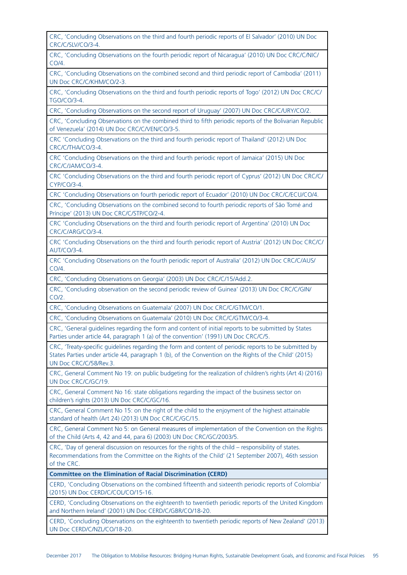| CRC, 'Concluding Observations on the third and fourth periodic reports of El Salvador' (2010) UN Doc<br>CRC/C/SLV/CO/3-4.                                                                                                                  |
|--------------------------------------------------------------------------------------------------------------------------------------------------------------------------------------------------------------------------------------------|
| CRC, 'Concluding Observations on the fourth periodic report of Nicaragua' (2010) UN Doc CRC/C/NIC/<br>CO/4.                                                                                                                                |
| CRC, 'Concluding Observations on the combined second and third periodic report of Cambodia' (2011)<br>UN Doc CRC/C/KHM/CO/2-3.                                                                                                             |
| CRC, 'Concluding Observations on the third and fourth periodic reports of Togo' (2012) UN Doc CRC/C/<br>TGO/CO/3-4.                                                                                                                        |
| CRC, 'Concluding Observations on the second report of Uruguay' (2007) UN Doc CRC/C/URY/CO/2.                                                                                                                                               |
| CRC, 'Concluding Observations on the combined third to fifth periodic reports of the Bolivarian Republic<br>of Venezuela' (2014) UN Doc CRC/C/VEN/CO/3-5.                                                                                  |
| CRC 'Concluding Observations on the third and fourth periodic report of Thailand' (2012) UN Doc<br>CRC/C/THA/CO/3-4.                                                                                                                       |
| CRC 'Concluding Observations on the third and fourth periodic report of Jamaica' (2015) UN Doc<br>CRC/C/JAM/CO/3-4.                                                                                                                        |
| CRC 'Concluding Observations on the third and fourth periodic report of Cyprus' (2012) UN Doc CRC/C/<br>CYP/CO/3-4.                                                                                                                        |
| CRC 'Concluding Observations on fourth periodic report of Ecuador' (2010) UN Doc CRC/C/ECU/CO/4.                                                                                                                                           |
| CRC, 'Concluding Observations on the combined second to fourth periodic reports of São Tomé and<br>Príncipe' (2013) UN Doc CRC/C/STP/CO/2-4.                                                                                               |
| CRC 'Concluding Observations on the third and fourth periodic report of Argentina' (2010) UN Doc<br>CRC/C/ARG/CO/3-4.                                                                                                                      |
| CRC 'Concluding Observations on the third and fourth periodic report of Austria' (2012) UN Doc CRC/C/<br><b>AUT/CO/3-4.</b>                                                                                                                |
| CRC 'Concluding Observations on the fourth periodic report of Australia' (2012) UN Doc CRC/C/AUS/<br>CO/4.                                                                                                                                 |
| CRC, 'Concluding Observations on Georgia' (2003) UN Doc CRC/C/15/Add.2.                                                                                                                                                                    |
|                                                                                                                                                                                                                                            |
| CRC, 'Concluding observation on the second periodic review of Guinea' (2013) UN Doc CRC/C/GIN/<br>CO/2.                                                                                                                                    |
| CRC, 'Concluding Observations on Guatemala' (2007) UN Doc CRC/C/GTM/CO/1.                                                                                                                                                                  |
| CRC, 'Concluding Observations on Guatemala' (2010) UN Doc CRC/C/GTM/CO/3-4.                                                                                                                                                                |
| CRC, 'General guidelines regarding the form and content of initial reports to be submitted by States<br>Parties under article 44, paragraph 1 (a) of the convention' (1991) UN Doc CRC/C/5.                                                |
| CRC, 'Treaty-specific guidelines regarding the form and content of periodic reports to be submitted by<br>States Parties under article 44, paragraph 1 (b), of the Convention on the Rights of the Child' (2015)<br>UN Doc CRC/C/58/Rev.3. |
| CRC, General Comment No 19: on public budgeting for the realization of children's rights (Art 4) (2016)<br>UN Doc CRC/C/GC/19.                                                                                                             |
| CRC, General Comment No 16: state obligations regarding the impact of the business sector on<br>children's rights (2013) UN Doc CRC/C/GC/16.                                                                                               |
| CRC, General Comment No 15: on the right of the child to the enjoyment of the highest attainable<br>standard of health (Art 24) (2013) UN Doc CRC/C/GC/15.                                                                                 |
| CRC, General Comment No 5: on General measures of implementation of the Convention on the Rights<br>of the Child (Arts 4, 42 and 44, para 6) (2003) UN Doc CRC/GC/2003/5.                                                                  |
| CRC, 'Day of general discussion on resources for the rights of the child - responsibility of states.<br>Recommendations from the Committee on the Rights of the Child' (21 September 2007), 46th session<br>of the CRC.                    |
| <b>Committee on the Elimination of Racial Discrimination (CERD)</b>                                                                                                                                                                        |
| CERD, 'Concluding Observations on the combined fifteenth and sixteenth periodic reports of Colombia'<br>(2015) UN Doc CERD/C/COL/CO/15-16.                                                                                                 |
| CERD, 'Concluding Observations on the eighteenth to twentieth periodic reports of the United Kingdom<br>and Northern Ireland' (2001) UN Doc CERD/C/GBR/CO/18-20.                                                                           |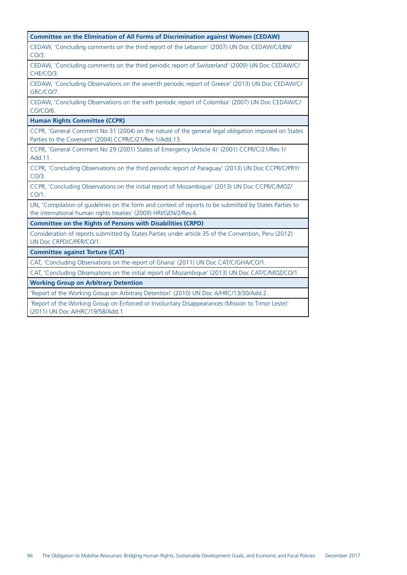| <b>Committee on the Elimination of All Forms of Discrimination against Women (CEDAW)</b>                                                                                   |
|----------------------------------------------------------------------------------------------------------------------------------------------------------------------------|
| CEDAW, 'Concluding comments on the third report of the Lebanon' (2007) UN Doc CEDAW/C/LBN/<br>CO/3.                                                                        |
| CEDAW, 'Concluding comments on the third periodic report of Switzerland' (2009) UN Doc CEDAW/C/<br>CHE/CO/3.                                                               |
| CEDAW, 'Concluding Observations on the seventh periodic report of Greece' (2013) UN Doc CEDAW/C/<br>GRC/CO/7.                                                              |
| CEDAW, 'Concluding Observations on the sixth periodic report of Colombia' (2007) UN Doc CEDAW/C/<br>CO/CO/6.                                                               |
| <b>Human Rights Committee (CCPR)</b>                                                                                                                                       |
| CCPR, 'General Comment No 31 (2004) on the nature of the general legal obligation imposed on States<br>Parties to the Covenant' (2004) CCPR/C/21/Rev.1/Add.13.             |
| CCPR, 'General Comment No 29 (2001) States of Emergency (Article 4)' (2001) CCPR/C/21/Rev.1/<br>Add.11.                                                                    |
| CCPR, 'Concluding Observations on the third periodic report of Paraguay' (2013) UN Doc CCPR/C/PRY/<br>$CO/3$ .                                                             |
| CCPR, 'Concluding Observations on the initial report of Mozambique' (2013) UN Doc CCPR/C/MOZ/<br>CO/1.                                                                     |
| UN, 'Compilation of quidelines on the form and context of reports to be submitted by States Parties to<br>the international human rights treaties' (2009) HRI/GEN/2/Rev.6. |
| <b>Committee on the Rights of Persons with Disabilities (CRPD)</b>                                                                                                         |
| Consideration of reports submitted by States Parties under article 35 of the Convention, Peru (2012)<br>UN Doc CRPD/C/PER/CO/1.                                            |
| <b>Committee against Torture (CAT)</b>                                                                                                                                     |
| CAT, 'Concluding Observations on the report of Ghana' (2011) UN Doc CAT/C/GHA/CO/1.                                                                                        |
| CAT, 'Concluding Observations on the initial report of Mozambique' (2013) UN Doc CAT/C/MOZ/CO/1.                                                                           |
| <b>Working Group on Arbitrary Detention</b>                                                                                                                                |

'Report of the Working Group on Arbitrary Detention' (2010) UN Doc A/HRC/13/30/Add.2.

'Report of the Working Group on Enforced or Involuntary Disappearances (Mission to Timor Leste)' (2011) UN Doc A/HRC/19/58/Add.1.